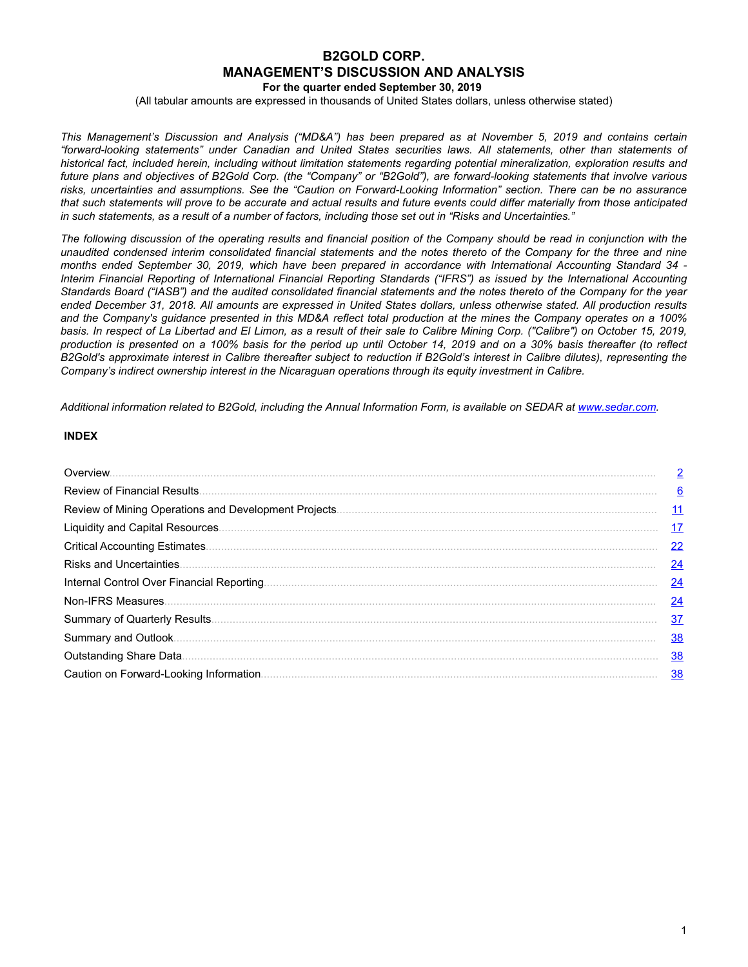# **B2GOLD CORP. MANAGEMENT'S DISCUSSION AND ANALYSIS**

**For the quarter ended September 30, 2019**

(All tabular amounts are expressed in thousands of United States dollars, unless otherwise stated)

This Management's Discussion and Analysis ("MD&A") has been prepared as at November 5, 2019 and contains certain *"forward-looking statements" under Canadian and United States securities laws. All statements, other than statements of* historical fact, included herein, including without limitation statements regarding potential mineralization, exploration results and future plans and objectives of B2Gold Corp. (the "Company" or "B2Gold"), are forward-looking statements that involve various risks, uncertainties and assumptions. See the "Caution on Forward-Looking Information" section. There can be no assurance that such statements will prove to be accurate and actual results and future events could differ materially from those anticipated in such statements, as a result of a number of factors, including those set out in "Risks and Uncertainties."

The following discussion of the operating results and financial position of the Company should be read in conjunction with the unaudited condensed interim consolidated financial statements and the notes thereto of the Company for the three and nine months ended September 30, 2019, which have been prepared in accordance with International Accounting Standard 34 -Interim Financial Reporting of International Financial Reporting Standards ("IFRS") as issued by the International Accounting Standards Board ("IASB") and the audited consolidated financial statements and the notes thereto of the Company for the year ended December 31, 2018. All amounts are expressed in United States dollars, unless otherwise stated. All production results and the Company's guidance presented in this MD&A reflect total production at the mines the Company operates on a 100% basis. In respect of La Libertad and El Limon, as a result of their sale to Calibre Mining Corp. ("Calibre") on October 15, 2019, production is presented on a 100% basis for the period up until October 14, 2019 and on a 30% basis thereafter (to reflect B2Gold's approximate interest in Calibre thereafter subject to reduction if B2Gold's interest in Calibre dilutes), representing the *Company's indirect ownership interest in the Nicaraguan operations through its equity investment in Calibre.*

Additional information related to B2Gold, including the Annual Information Form, is available on SEDAR at www.sedar.com.

# **INDEX**

| Overview. | $\overline{2}$ |
|-----------|----------------|
|           | 6              |
|           | <u>11</u>      |
|           | <u>17</u>      |
|           | 22             |
|           | 24             |
|           | $\frac{24}{5}$ |
|           | $\frac{24}{1}$ |
|           | $\frac{37}{2}$ |
|           | 38             |
|           | <u>38</u>      |
|           | <u>38</u>      |
|           |                |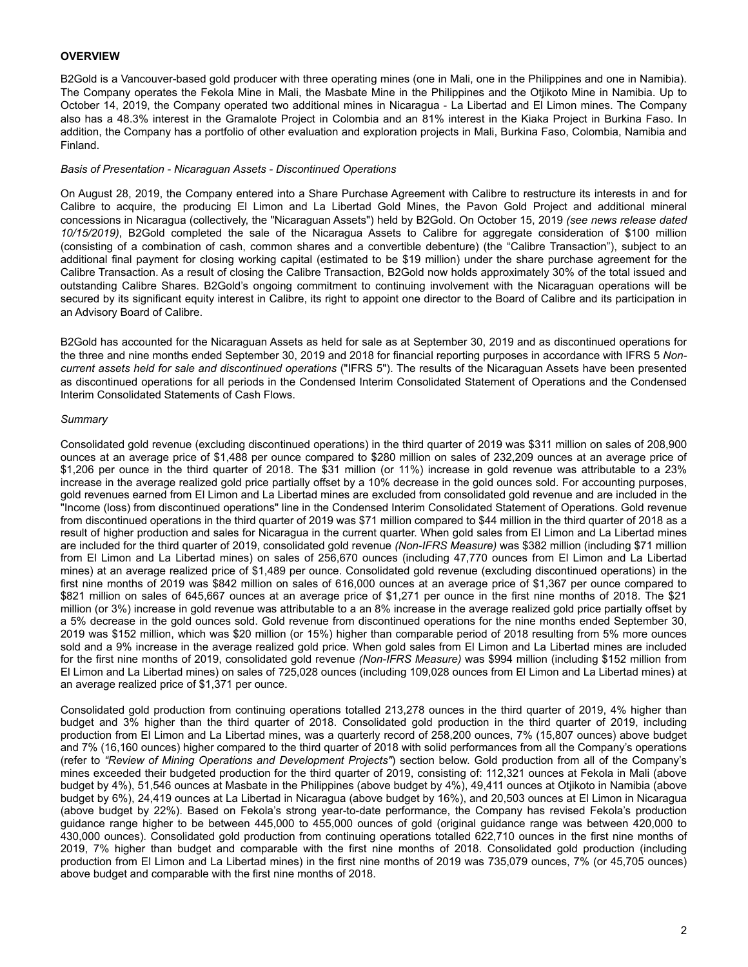# <span id="page-1-0"></span>**OVERVIEW**

B2Gold is a Vancouver-based gold producer with three operating mines (one in Mali, one in the Philippines and one in Namibia). The Company operates the Fekola Mine in Mali, the Masbate Mine in the Philippines and the Otjikoto Mine in Namibia. Up to October 14, 2019, the Company operated two additional mines in Nicaragua - La Libertad and El Limon mines. The Company also has a 48.3% interest in the Gramalote Project in Colombia and an 81% interest in the Kiaka Project in Burkina Faso. In addition, the Company has a portfolio of other evaluation and exploration projects in Mali, Burkina Faso, Colombia, Namibia and Finland.

#### *Basis of Presentation - Nicaraguan Assets - Discontinued Operations*

On August 28, 2019, the Company entered into a Share Purchase Agreement with Calibre to restructure its interests in and for Calibre to acquire, the producing El Limon and La Libertad Gold Mines, the Pavon Gold Project and additional mineral concessions in Nicaragua (collectively, the "Nicaraguan Assets") held by B2Gold. On October 15, 2019 *(see news release dated 10/15/2019)*, B2Gold completed the sale of the Nicaragua Assets to Calibre for aggregate consideration of \$100 million (consisting of a combination of cash, common shares and a convertible debenture) (the "Calibre Transaction"), subject to an additional final payment for closing working capital (estimated to be \$19 million) under the share purchase agreement for the Calibre Transaction. As a result of closing the Calibre Transaction, B2Gold now holds approximately 30% of the total issued and outstanding Calibre Shares. B2Gold's ongoing commitment to continuing involvement with the Nicaraguan operations will be secured by its significant equity interest in Calibre, its right to appoint one director to the Board of Calibre and its participation in an Advisory Board of Calibre.

B2Gold has accounted for the Nicaraguan Assets as held for sale as at September 30, 2019 and as discontinued operations for the three and nine months ended September 30, 2019 and 2018 for financial reporting purposes in accordance with IFRS 5 *Noncurrent assets held for sale and discontinued operations* ("IFRS 5"). The results of the Nicaraguan Assets have been presented as discontinued operations for all periods in the Condensed Interim Consolidated Statement of Operations and the Condensed Interim Consolidated Statements of Cash Flows.

#### *Summary*

Consolidated gold revenue (excluding discontinued operations) in the third quarter of 2019 was \$311 million on sales of 208,900 ounces at an average price of \$1,488 per ounce compared to \$280 million on sales of 232,209 ounces at an average price of \$1,206 per ounce in the third quarter of 2018. The \$31 million (or 11%) increase in gold revenue was attributable to a 23% increase in the average realized gold price partially offset by a 10% decrease in the gold ounces sold. For accounting purposes, gold revenues earned from El Limon and La Libertad mines are excluded from consolidated gold revenue and are included in the "Income (loss) from discontinued operations" line in the Condensed Interim Consolidated Statement of Operations. Gold revenue from discontinued operations in the third quarter of 2019 was \$71 million compared to \$44 million in the third quarter of 2018 as a result of higher production and sales for Nicaragua in the current quarter. When gold sales from El Limon and La Libertad mines are included for the third quarter of 2019, consolidated gold revenue *(Non-IFRS Measure)* was \$382 million (including \$71 million from El Limon and La Libertad mines) on sales of 256,670 ounces (including 47,770 ounces from El Limon and La Libertad mines) at an average realized price of \$1,489 per ounce. Consolidated gold revenue (excluding discontinued operations) in the first nine months of 2019 was \$842 million on sales of 616,000 ounces at an average price of \$1,367 per ounce compared to \$821 million on sales of 645,667 ounces at an average price of \$1,271 per ounce in the first nine months of 2018. The \$21 million (or 3%) increase in gold revenue was attributable to a an 8% increase in the average realized gold price partially offset by a 5% decrease in the gold ounces sold. Gold revenue from discontinued operations for the nine months ended September 30, 2019 was \$152 million, which was \$20 million (or 15%) higher than comparable period of 2018 resulting from 5% more ounces sold and a 9% increase in the average realized gold price. When gold sales from El Limon and La Libertad mines are included for the first nine months of 2019, consolidated gold revenue *(Non-IFRS Measure)* was \$994 million (including \$152 million from El Limon and La Libertad mines) on sales of 725,028 ounces (including 109,028 ounces from El Limon and La Libertad mines) at an average realized price of \$1,371 per ounce.

Consolidated gold production from continuing operations totalled 213,278 ounces in the third quarter of 2019, 4% higher than budget and 3% higher than the third quarter of 2018. Consolidated gold production in the third quarter of 2019, including production from El Limon and La Libertad mines, was a quarterly record of 258,200 ounces, 7% (15,807 ounces) above budget and 7% (16,160 ounces) higher compared to the third quarter of 2018 with solid performances from all the Company's operations (refer to *"Review of Mining Operations and Development Projects"*) section below. Gold production from all of the Company's mines exceeded their budgeted production for the third quarter of 2019, consisting of: 112,321 ounces at Fekola in Mali (above budget by 4%), 51,546 ounces at Masbate in the Philippines (above budget by 4%), 49,411 ounces at Otjikoto in Namibia (above budget by 6%), 24,419 ounces at La Libertad in Nicaragua (above budget by 16%), and 20,503 ounces at El Limon in Nicaragua (above budget by 22%). Based on Fekola's strong year-to-date performance, the Company has revised Fekola's production guidance range higher to be between 445,000 to 455,000 ounces of gold (original guidance range was between 420,000 to 430,000 ounces). Consolidated gold production from continuing operations totalled 622,710 ounces in the first nine months of 2019, 7% higher than budget and comparable with the first nine months of 2018. Consolidated gold production (including production from El Limon and La Libertad mines) in the first nine months of 2019 was 735,079 ounces, 7% (or 45,705 ounces) above budget and comparable with the first nine months of 2018.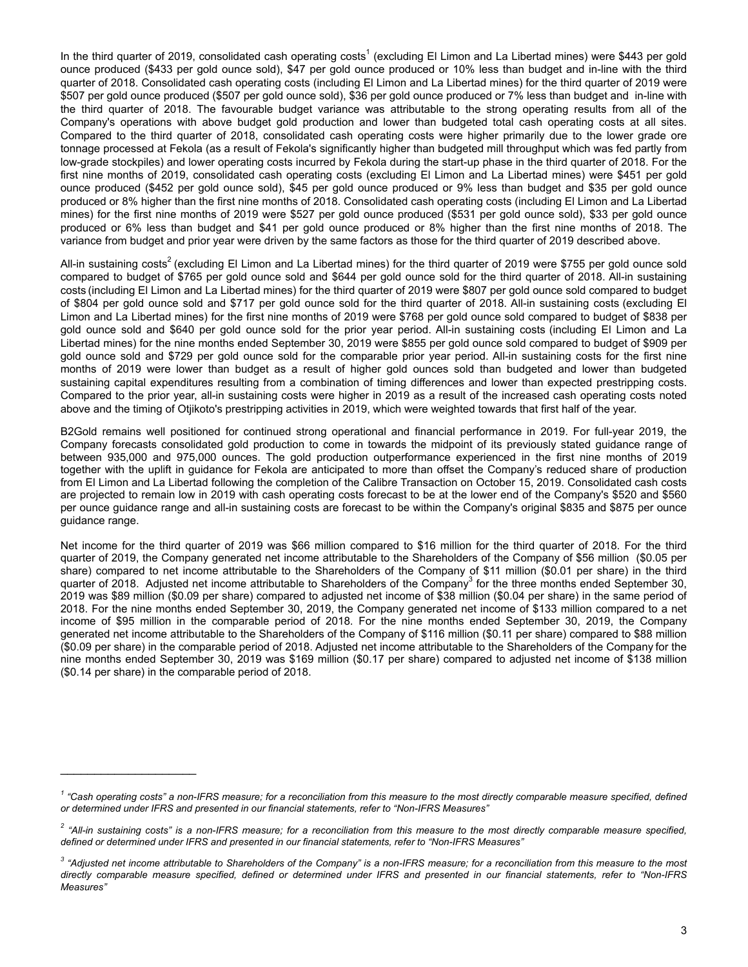In the third quarter of 2019, consolidated cash operating costs<sup>1</sup> (excluding El Limon and La Libertad mines) were \$443 per gold ounce produced (\$433 per gold ounce sold), \$47 per gold ounce produced or 10% less than budget and in-line with the third quarter of 2018. Consolidated cash operating costs (including El Limon and La Libertad mines) for the third quarter of 2019 were \$507 per gold ounce produced (\$507 per gold ounce sold), \$36 per gold ounce produced or 7% less than budget and in-line with the third quarter of 2018. The favourable budget variance was attributable to the strong operating results from all of the Company's operations with above budget gold production and lower than budgeted total cash operating costs at all sites. Compared to the third quarter of 2018, consolidated cash operating costs were higher primarily due to the lower grade ore tonnage processed at Fekola (as a result of Fekola's significantly higher than budgeted mill throughput which was fed partly from low-grade stockpiles) and lower operating costs incurred by Fekola during the start-up phase in the third quarter of 2018. For the first nine months of 2019, consolidated cash operating costs (excluding El Limon and La Libertad mines) were \$451 per gold ounce produced (\$452 per gold ounce sold), \$45 per gold ounce produced or 9% less than budget and \$35 per gold ounce produced or 8% higher than the first nine months of 2018. Consolidated cash operating costs (including El Limon and La Libertad mines) for the first nine months of 2019 were \$527 per gold ounce produced (\$531 per gold ounce sold), \$33 per gold ounce produced or 6% less than budget and \$41 per gold ounce produced or 8% higher than the first nine months of 2018. The variance from budget and prior year were driven by the same factors as those for the third quarter of 2019 described above.

All-in sustaining costs<sup>2</sup> (excluding El Limon and La Libertad mines) for the third quarter of 2019 were \$755 per gold ounce sold compared to budget of \$765 per gold ounce sold and \$644 per gold ounce sold for the third quarter of 2018. All-in sustaining costs (including El Limon and La Libertad mines) for the third quarter of 2019 were \$807 per gold ounce sold compared to budget of \$804 per gold ounce sold and \$717 per gold ounce sold for the third quarter of 2018. All-in sustaining costs (excluding El Limon and La Libertad mines) for the first nine months of 2019 were \$768 per gold ounce sold compared to budget of \$838 per gold ounce sold and \$640 per gold ounce sold for the prior year period. All-in sustaining costs (including El Limon and La Libertad mines) for the nine months ended September 30, 2019 were \$855 per gold ounce sold compared to budget of \$909 per gold ounce sold and \$729 per gold ounce sold for the comparable prior year period. All-in sustaining costs for the first nine months of 2019 were lower than budget as a result of higher gold ounces sold than budgeted and lower than budgeted sustaining capital expenditures resulting from a combination of timing differences and lower than expected prestripping costs. Compared to the prior year, all-in sustaining costs were higher in 2019 as a result of the increased cash operating costs noted above and the timing of Otjikoto's prestripping activities in 2019, which were weighted towards that first half of the year.

B2Gold remains well positioned for continued strong operational and financial performance in 2019. For full-year 2019, the Company forecasts consolidated gold production to come in towards the midpoint of its previously stated guidance range of between 935,000 and 975,000 ounces. The gold production outperformance experienced in the first nine months of 2019 together with the uplift in guidance for Fekola are anticipated to more than offset the Company's reduced share of production from El Limon and La Libertad following the completion of the Calibre Transaction on October 15, 2019. Consolidated cash costs are projected to remain low in 2019 with cash operating costs forecast to be at the lower end of the Company's \$520 and \$560 per ounce guidance range and all-in sustaining costs are forecast to be within the Company's original \$835 and \$875 per ounce guidance range.

Net income for the third quarter of 2019 was \$66 million compared to \$16 million for the third quarter of 2018. For the third quarter of 2019, the Company generated net income attributable to the Shareholders of the Company of \$56 million (\$0.05 per share) compared to net income attributable to the Shareholders of the Company of \$11 million (\$0.01 per share) in the third quarter of 2018. Adjusted net income attributable to Shareholders of the Company<sup>3</sup> for the three months ended September 30, 2019 was \$89 million (\$0.09 per share) compared to adjusted net income of \$38 million (\$0.04 per share) in the same period of 2018. For the nine months ended September 30, 2019, the Company generated net income of \$133 million compared to a net income of \$95 million in the comparable period of 2018. For the nine months ended September 30, 2019, the Company generated net income attributable to the Shareholders of the Company of \$116 million (\$0.11 per share) compared to \$88 million (\$0.09 per share) in the comparable period of 2018. Adjusted net income attributable to the Shareholders of the Company for the nine months ended September 30, 2019 was \$169 million (\$0.17 per share) compared to adjusted net income of \$138 million (\$0.14 per share) in the comparable period of 2018.

 $\mathcal{L}_\text{max}$  , where  $\mathcal{L}_\text{max}$  , we have the set of  $\mathcal{L}_\text{max}$ 

<sup>&</sup>lt;sup>1</sup> "Cash operating costs" a non-IFRS measure; for a reconciliation from this measure to the most directly comparable measure specified, defined *or determined under IFRS and presented in our financial statements, refer to "Non-IFRS Measures"*

<sup>&</sup>lt;sup>2</sup> "All-in sustaining costs" is a non-IFRS measure; for a reconciliation from this measure to the most directly comparable measure specified, *defined or determined under IFRS and presented in our financial statements, refer to "Non-IFRS Measures"*

 $^3$  "Adjusted net income attributable to Shareholders of the Company" is a non-IFRS measure; for a reconciliation from this measure to the most directly comparable measure specified, defined or determined under IFRS and presented in our financial statements, refer to "Non-IFRS *Measures"*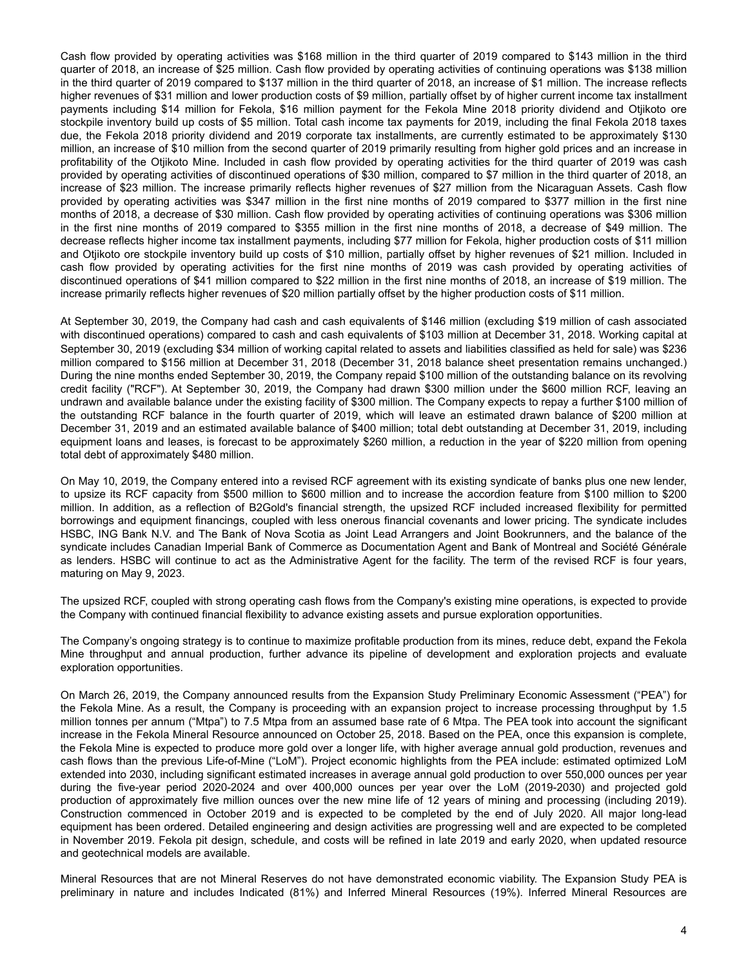Cash flow provided by operating activities was \$168 million in the third quarter of 2019 compared to \$143 million in the third quarter of 2018, an increase of \$25 million. Cash flow provided by operating activities of continuing operations was \$138 million in the third quarter of 2019 compared to \$137 million in the third quarter of 2018, an increase of \$1 million. The increase reflects higher revenues of \$31 million and lower production costs of \$9 million, partially offset by of higher current income tax installment payments including \$14 million for Fekola, \$16 million payment for the Fekola Mine 2018 priority dividend and Otjikoto ore stockpile inventory build up costs of \$5 million. Total cash income tax payments for 2019, including the final Fekola 2018 taxes due, the Fekola 2018 priority dividend and 2019 corporate tax installments, are currently estimated to be approximately \$130 million, an increase of \$10 million from the second quarter of 2019 primarily resulting from higher gold prices and an increase in profitability of the Otjikoto Mine. Included in cash flow provided by operating activities for the third quarter of 2019 was cash provided by operating activities of discontinued operations of \$30 million, compared to \$7 million in the third quarter of 2018, an increase of \$23 million. The increase primarily reflects higher revenues of \$27 million from the Nicaraguan Assets. Cash flow provided by operating activities was \$347 million in the first nine months of 2019 compared to \$377 million in the first nine months of 2018, a decrease of \$30 million. Cash flow provided by operating activities of continuing operations was \$306 million in the first nine months of 2019 compared to \$355 million in the first nine months of 2018, a decrease of \$49 million. The decrease reflects higher income tax installment payments, including \$77 million for Fekola, higher production costs of \$11 million and Otjikoto ore stockpile inventory build up costs of \$10 million, partially offset by higher revenues of \$21 million. Included in cash flow provided by operating activities for the first nine months of 2019 was cash provided by operating activities of discontinued operations of \$41 million compared to \$22 million in the first nine months of 2018, an increase of \$19 million. The increase primarily reflects higher revenues of \$20 million partially offset by the higher production costs of \$11 million.

At September 30, 2019, the Company had cash and cash equivalents of \$146 million (excluding \$19 million of cash associated with discontinued operations) compared to cash and cash equivalents of \$103 million at December 31, 2018. Working capital at September 30, 2019 (excluding \$34 million of working capital related to assets and liabilities classified as held for sale) was \$236 million compared to \$156 million at December 31, 2018 (December 31, 2018 balance sheet presentation remains unchanged.) During the nine months ended September 30, 2019, the Company repaid \$100 million of the outstanding balance on its revolving credit facility ("RCF"). At September 30, 2019, the Company had drawn \$300 million under the \$600 million RCF, leaving an undrawn and available balance under the existing facility of \$300 million. The Company expects to repay a further \$100 million of the outstanding RCF balance in the fourth quarter of 2019, which will leave an estimated drawn balance of \$200 million at December 31, 2019 and an estimated available balance of \$400 million; total debt outstanding at December 31, 2019, including equipment loans and leases, is forecast to be approximately \$260 million, a reduction in the year of \$220 million from opening total debt of approximately \$480 million.

On May 10, 2019, the Company entered into a revised RCF agreement with its existing syndicate of banks plus one new lender, to upsize its RCF capacity from \$500 million to \$600 million and to increase the accordion feature from \$100 million to \$200 million. In addition, as a reflection of B2Gold's financial strength, the upsized RCF included increased flexibility for permitted borrowings and equipment financings, coupled with less onerous financial covenants and lower pricing. The syndicate includes HSBC, ING Bank N.V. and The Bank of Nova Scotia as Joint Lead Arrangers and Joint Bookrunners, and the balance of the syndicate includes Canadian Imperial Bank of Commerce as Documentation Agent and Bank of Montreal and Société Générale as lenders. HSBC will continue to act as the Administrative Agent for the facility. The term of the revised RCF is four years, maturing on May 9, 2023.

The upsized RCF, coupled with strong operating cash flows from the Company's existing mine operations, is expected to provide the Company with continued financial flexibility to advance existing assets and pursue exploration opportunities.

The Company's ongoing strategy is to continue to maximize profitable production from its mines, reduce debt, expand the Fekola Mine throughput and annual production, further advance its pipeline of development and exploration projects and evaluate exploration opportunities.

On March 26, 2019, the Company announced results from the Expansion Study Preliminary Economic Assessment ("PEA") for the Fekola Mine. As a result, the Company is proceeding with an expansion project to increase processing throughput by 1.5 million tonnes per annum ("Mtpa") to 7.5 Mtpa from an assumed base rate of 6 Mtpa. The PEA took into account the significant increase in the Fekola Mineral Resource announced on October 25, 2018. Based on the PEA, once this expansion is complete, the Fekola Mine is expected to produce more gold over a longer life, with higher average annual gold production, revenues and cash flows than the previous Life-of-Mine ("LoM"). Project economic highlights from the PEA include: estimated optimized LoM extended into 2030, including significant estimated increases in average annual gold production to over 550,000 ounces per year during the five-year period 2020-2024 and over 400,000 ounces per year over the LoM (2019-2030) and projected gold production of approximately five million ounces over the new mine life of 12 years of mining and processing (including 2019). Construction commenced in October 2019 and is expected to be completed by the end of July 2020. All major long-lead equipment has been ordered. Detailed engineering and design activities are progressing well and are expected to be completed in November 2019. Fekola pit design, schedule, and costs will be refined in late 2019 and early 2020, when updated resource and geotechnical models are available.

Mineral Resources that are not Mineral Reserves do not have demonstrated economic viability. The Expansion Study PEA is preliminary in nature and includes Indicated (81%) and Inferred Mineral Resources (19%). Inferred Mineral Resources are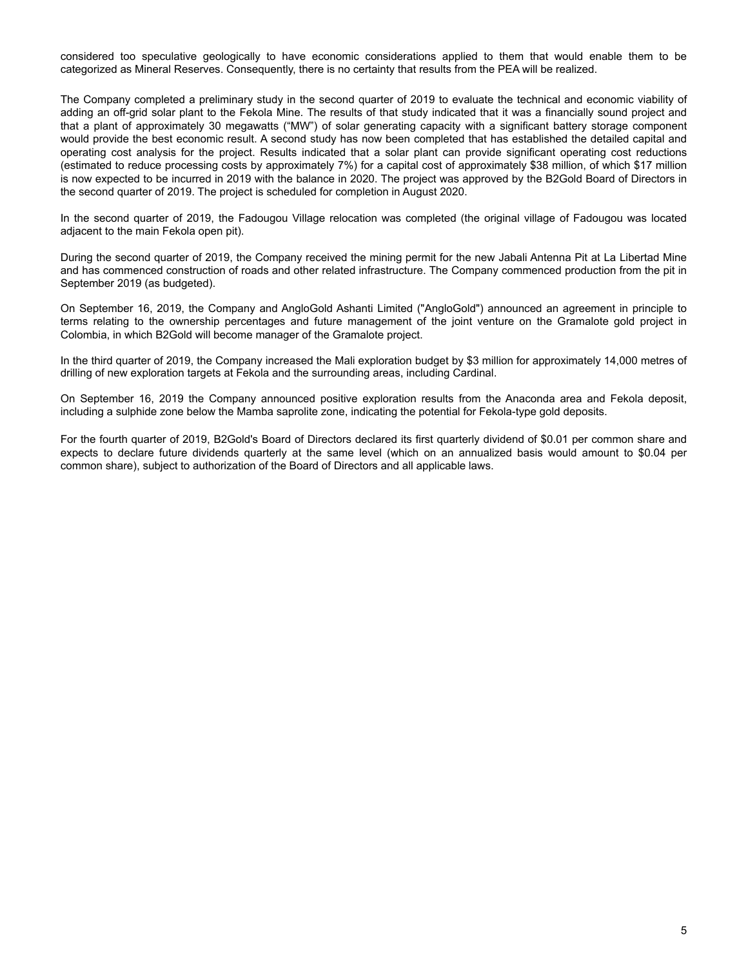considered too speculative geologically to have economic considerations applied to them that would enable them to be categorized as Mineral Reserves. Consequently, there is no certainty that results from the PEA will be realized.

The Company completed a preliminary study in the second quarter of 2019 to evaluate the technical and economic viability of adding an off-grid solar plant to the Fekola Mine. The results of that study indicated that it was a financially sound project and that a plant of approximately 30 megawatts ("MW") of solar generating capacity with a significant battery storage component would provide the best economic result. A second study has now been completed that has established the detailed capital and operating cost analysis for the project. Results indicated that a solar plant can provide significant operating cost reductions (estimated to reduce processing costs by approximately 7%) for a capital cost of approximately \$38 million, of which \$17 million is now expected to be incurred in 2019 with the balance in 2020. The project was approved by the B2Gold Board of Directors in the second quarter of 2019. The project is scheduled for completion in August 2020.

In the second quarter of 2019, the Fadougou Village relocation was completed (the original village of Fadougou was located adjacent to the main Fekola open pit).

During the second quarter of 2019, the Company received the mining permit for the new Jabali Antenna Pit at La Libertad Mine and has commenced construction of roads and other related infrastructure. The Company commenced production from the pit in September 2019 (as budgeted).

On September 16, 2019, the Company and AngloGold Ashanti Limited ("AngloGold") announced an agreement in principle to terms relating to the ownership percentages and future management of the joint venture on the Gramalote gold project in Colombia, in which B2Gold will become manager of the Gramalote project.

In the third quarter of 2019, the Company increased the Mali exploration budget by \$3 million for approximately 14,000 metres of drilling of new exploration targets at Fekola and the surrounding areas, including Cardinal.

On September 16, 2019 the Company announced positive exploration results from the Anaconda area and Fekola deposit, including a sulphide zone below the Mamba saprolite zone, indicating the potential for Fekola-type gold deposits.

For the fourth quarter of 2019, B2Gold's Board of Directors declared its first quarterly dividend of \$0.01 per common share and expects to declare future dividends quarterly at the same level (which on an annualized basis would amount to \$0.04 per common share), subject to authorization of the Board of Directors and all applicable laws.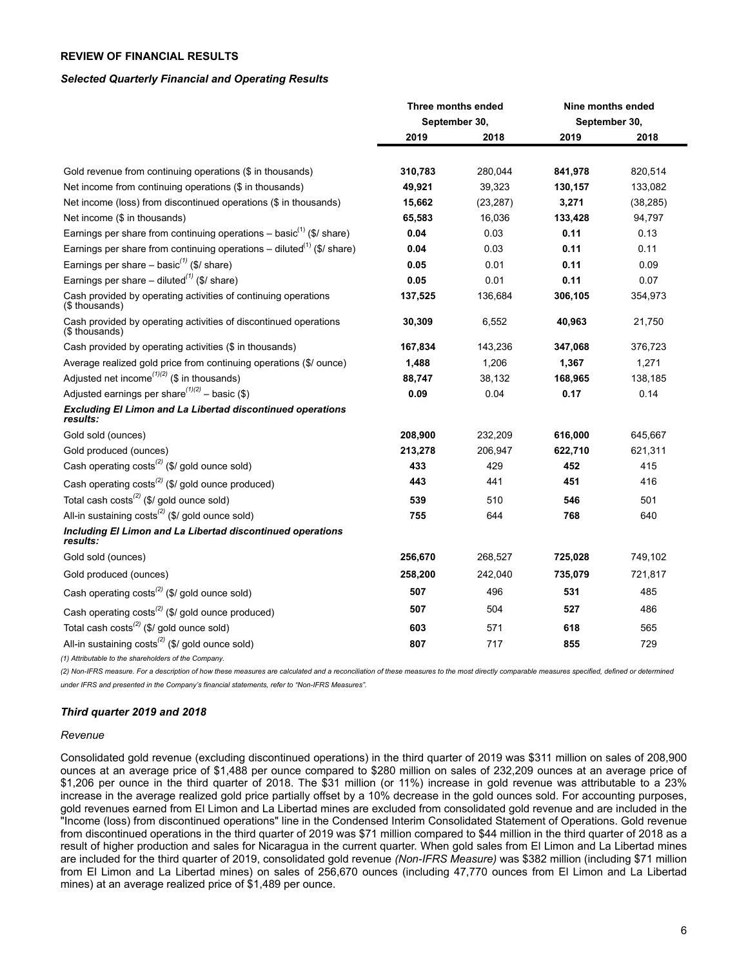# <span id="page-5-0"></span>**REVIEW OF FINANCIAL RESULTS**

#### *Selected Quarterly Financial and Operating Results*

|                                                                                    |               | Three months ended |               | Nine months ended |
|------------------------------------------------------------------------------------|---------------|--------------------|---------------|-------------------|
|                                                                                    | September 30, |                    | September 30, |                   |
|                                                                                    | 2019          | 2018               | 2019          | 2018              |
| Gold revenue from continuing operations (\$ in thousands)                          | 310,783       | 280,044            | 841,978       | 820,514           |
| Net income from continuing operations (\$ in thousands)                            | 49,921        | 39,323             | 130,157       | 133,082           |
| Net income (loss) from discontinued operations (\$ in thousands)                   | 15,662        | (23, 287)          | 3,271         | (38, 285)         |
| Net income (\$ in thousands)                                                       | 65,583        | 16,036             | 133,428       | 94,797            |
| Earnings per share from continuing operations – basic <sup>(1)</sup> (\$/ share)   | 0.04          | 0.03               | 0.11          | 0.13              |
| Earnings per share from continuing operations – diluted <sup>(1)</sup> (\$/ share) | 0.04          | 0.03               | 0.11          | 0.11              |
| Earnings per share – basic <sup>(1)</sup> (\$/ share)                              | 0.05          | 0.01               | 0.11          | 0.09              |
| Earnings per share – diluted <sup>(1)</sup> (\$/ share)                            | 0.05          | 0.01               | 0.11          | 0.07              |
| Cash provided by operating activities of continuing operations<br>(\$ thousands)   | 137,525       | 136,684            | 306,105       | 354,973           |
| Cash provided by operating activities of discontinued operations<br>(\$ thousands) | 30,309        | 6,552              | 40,963        | 21,750            |
| Cash provided by operating activities (\$ in thousands)                            | 167,834       | 143,236            | 347,068       | 376,723           |
| Average realized gold price from continuing operations (\$/ ounce)                 | 1,488         | 1,206              | 1,367         | 1,271             |
| Adjusted net income <sup><math>(1)(2)</math></sup> (\$ in thousands)               | 88,747        | 38,132             | 168,965       | 138,185           |
| Adjusted earnings per share $(1)(2)$ – basic (\$)                                  | 0.09          | 0.04               | 0.17          | 0.14              |
| Excluding El Limon and La Libertad discontinued operations<br>results:             |               |                    |               |                   |
| Gold sold (ounces)                                                                 | 208,900       | 232,209            | 616,000       | 645,667           |
| Gold produced (ounces)                                                             | 213,278       | 206,947            | 622,710       | 621,311           |
| Cash operating costs <sup>(2)</sup> (\$/ gold ounce sold)                          | 433           | 429                | 452           | 415               |
| Cash operating costs <sup>(2)</sup> (\$/ gold ounce produced)                      | 443           | 441                | 451           | 416               |
| Total cash $costs^{(2)}$ (\$/ gold ounce sold)                                     | 539           | 510                | 546           | 501               |
| All-in sustaining $costs^{(2)}$ (\$/ gold ounce sold)                              | 755           | 644                | 768           | 640               |
| Including El Limon and La Libertad discontinued operations<br>results:             |               |                    |               |                   |
| Gold sold (ounces)                                                                 | 256,670       | 268,527            | 725,028       | 749,102           |
| Gold produced (ounces)                                                             | 258,200       | 242,040            | 735,079       | 721,817           |
| Cash operating costs <sup>(2)</sup> (\$/ gold ounce sold)                          | 507           | 496                | 531           | 485               |
| Cash operating costs <sup>(2)</sup> (\$/ gold ounce produced)                      | 507           | 504                | 527           | 486               |
| Total cash $costs^{(2)}$ (\$/ gold ounce sold)                                     | 603           | 571                | 618           | 565               |
| All-in sustaining costs <sup>(2)</sup> (\$/ gold ounce sold)                       | 807           | 717                | 855           | 729               |
|                                                                                    |               |                    |               |                   |

*(1) Attributable to the shareholders of the Company.*

(2) Non-IFRS measure. For a description of how these measures are calculated and a reconciliation of these measures to the most directly comparable measures specified, defined or determined *under IFRS and presented in the Company's financial statements, refer to "Non-IFRS Measures".*

# *Third quarter 2019 and 2018*

### *Revenue*

Consolidated gold revenue (excluding discontinued operations) in the third quarter of 2019 was \$311 million on sales of 208,900 ounces at an average price of \$1,488 per ounce compared to \$280 million on sales of 232,209 ounces at an average price of \$1,206 per ounce in the third quarter of 2018. The \$31 million (or 11%) increase in gold revenue was attributable to a 23% increase in the average realized gold price partially offset by a 10% decrease in the gold ounces sold. For accounting purposes, gold revenues earned from El Limon and La Libertad mines are excluded from consolidated gold revenue and are included in the "Income (loss) from discontinued operations" line in the Condensed Interim Consolidated Statement of Operations. Gold revenue from discontinued operations in the third quarter of 2019 was \$71 million compared to \$44 million in the third quarter of 2018 as a result of higher production and sales for Nicaragua in the current quarter. When gold sales from El Limon and La Libertad mines are included for the third quarter of 2019, consolidated gold revenue *(Non-IFRS Measure)* was \$382 million (including \$71 million from El Limon and La Libertad mines) on sales of 256,670 ounces (including 47,770 ounces from El Limon and La Libertad mines) at an average realized price of \$1,489 per ounce.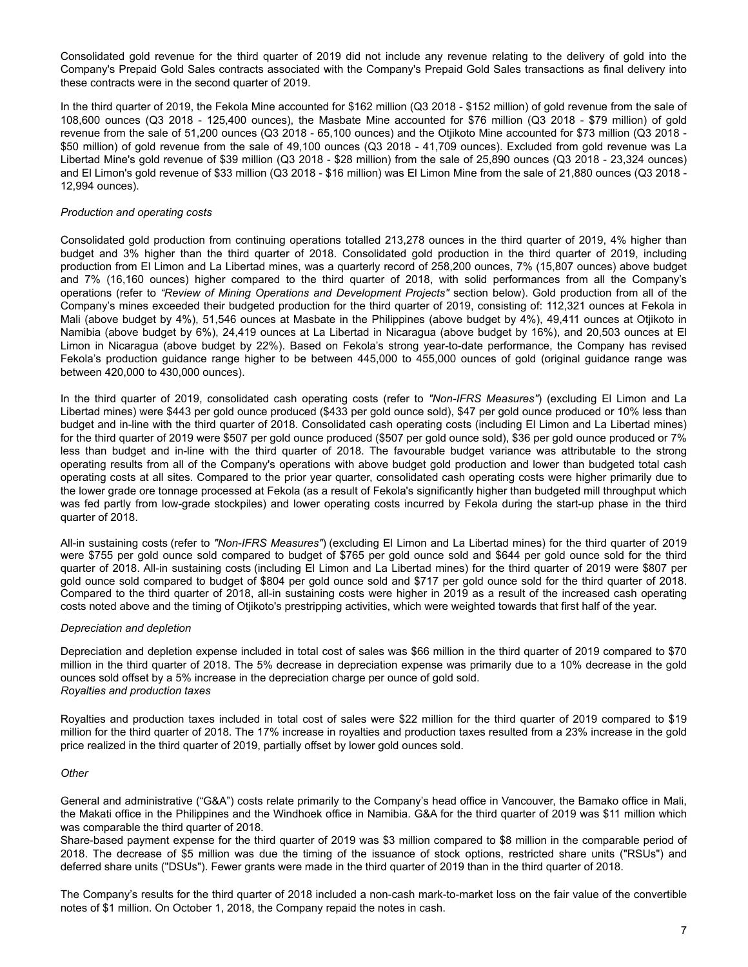Consolidated gold revenue for the third quarter of 2019 did not include any revenue relating to the delivery of gold into the Company's Prepaid Gold Sales contracts associated with the Company's Prepaid Gold Sales transactions as final delivery into these contracts were in the second quarter of 2019.

In the third quarter of 2019, the Fekola Mine accounted for \$162 million (Q3 2018 - \$152 million) of gold revenue from the sale of 108,600 ounces (Q3 2018 - 125,400 ounces), the Masbate Mine accounted for \$76 million (Q3 2018 - \$79 million) of gold revenue from the sale of 51,200 ounces (Q3 2018 - 65,100 ounces) and the Otjikoto Mine accounted for \$73 million (Q3 2018 - \$50 million) of gold revenue from the sale of 49,100 ounces (Q3 2018 - 41,709 ounces). Excluded from gold revenue was La Libertad Mine's gold revenue of \$39 million (Q3 2018 - \$28 million) from the sale of 25,890 ounces (Q3 2018 - 23,324 ounces) and El Limon's gold revenue of \$33 million (Q3 2018 - \$16 million) was El Limon Mine from the sale of 21,880 ounces (Q3 2018 - 12,994 ounces).

# *Production and operating costs*

Consolidated gold production from continuing operations totalled 213,278 ounces in the third quarter of 2019, 4% higher than budget and 3% higher than the third quarter of 2018. Consolidated gold production in the third quarter of 2019, including production from El Limon and La Libertad mines, was a quarterly record of 258,200 ounces, 7% (15,807 ounces) above budget and 7% (16,160 ounces) higher compared to the third quarter of 2018, with solid performances from all the Company's operations (refer to *"Review of Mining Operations and Development Projects"* section below). Gold production from all of the Company's mines exceeded their budgeted production for the third quarter of 2019, consisting of: 112,321 ounces at Fekola in Mali (above budget by 4%), 51,546 ounces at Masbate in the Philippines (above budget by 4%), 49,411 ounces at Otjikoto in Namibia (above budget by 6%), 24,419 ounces at La Libertad in Nicaragua (above budget by 16%), and 20,503 ounces at El Limon in Nicaragua (above budget by 22%). Based on Fekola's strong year-to-date performance, the Company has revised Fekola's production guidance range higher to be between 445,000 to 455,000 ounces of gold (original guidance range was between 420,000 to 430,000 ounces).

In the third quarter of 2019, consolidated cash operating costs (refer to *"Non-IFRS Measures"*) (excluding El Limon and La Libertad mines) were \$443 per gold ounce produced (\$433 per gold ounce sold), \$47 per gold ounce produced or 10% less than budget and in-line with the third quarter of 2018. Consolidated cash operating costs (including El Limon and La Libertad mines) for the third quarter of 2019 were \$507 per gold ounce produced (\$507 per gold ounce sold), \$36 per gold ounce produced or 7% less than budget and in-line with the third quarter of 2018. The favourable budget variance was attributable to the strong operating results from all of the Company's operations with above budget gold production and lower than budgeted total cash operating costs at all sites. Compared to the prior year quarter, consolidated cash operating costs were higher primarily due to the lower grade ore tonnage processed at Fekola (as a result of Fekola's significantly higher than budgeted mill throughput which was fed partly from low-grade stockpiles) and lower operating costs incurred by Fekola during the start-up phase in the third quarter of 2018.

All-in sustaining costs (refer to *"Non-IFRS Measures"*) (excluding El Limon and La Libertad mines) for the third quarter of 2019 were \$755 per gold ounce sold compared to budget of \$765 per gold ounce sold and \$644 per gold ounce sold for the third quarter of 2018. All-in sustaining costs (including El Limon and La Libertad mines) for the third quarter of 2019 were \$807 per gold ounce sold compared to budget of \$804 per gold ounce sold and \$717 per gold ounce sold for the third quarter of 2018. Compared to the third quarter of 2018, all-in sustaining costs were higher in 2019 as a result of the increased cash operating costs noted above and the timing of Otjikoto's prestripping activities, which were weighted towards that first half of the year.

# *Depreciation and depletion*

Depreciation and depletion expense included in total cost of sales was \$66 million in the third quarter of 2019 compared to \$70 million in the third quarter of 2018. The 5% decrease in depreciation expense was primarily due to a 10% decrease in the gold ounces sold offset by a 5% increase in the depreciation charge per ounce of gold sold. *Royalties and production taxes*

Royalties and production taxes included in total cost of sales were \$22 million for the third quarter of 2019 compared to \$19 million for the third quarter of 2018. The 17% increase in royalties and production taxes resulted from a 23% increase in the gold price realized in the third quarter of 2019, partially offset by lower gold ounces sold.

#### *Other*

General and administrative ("G&A") costs relate primarily to the Company's head office in Vancouver, the Bamako office in Mali, the Makati office in the Philippines and the Windhoek office in Namibia. G&A for the third quarter of 2019 was \$11 million which was comparable the third quarter of 2018.

Share-based payment expense for the third quarter of 2019 was \$3 million compared to \$8 million in the comparable period of 2018. The decrease of \$5 million was due the timing of the issuance of stock options, restricted share units ("RSUs") and deferred share units ("DSUs"). Fewer grants were made in the third quarter of 2019 than in the third quarter of 2018.

The Company's results for the third quarter of 2018 included a non-cash mark-to-market loss on the fair value of the convertible notes of \$1 million. On October 1, 2018, the Company repaid the notes in cash.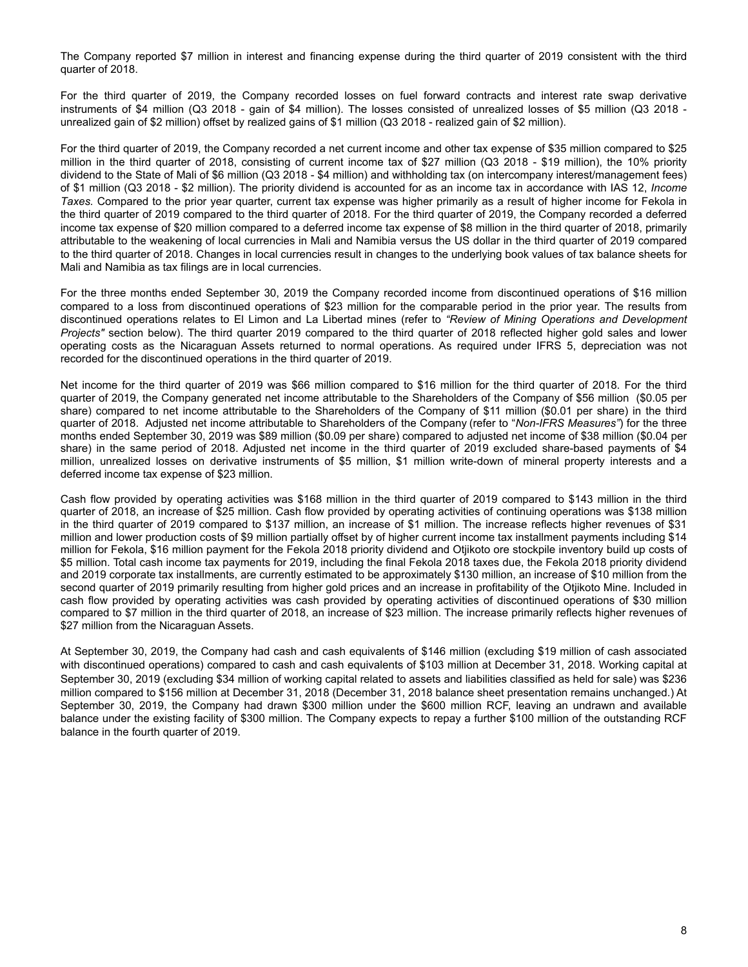The Company reported \$7 million in interest and financing expense during the third quarter of 2019 consistent with the third quarter of 2018.

For the third quarter of 2019, the Company recorded losses on fuel forward contracts and interest rate swap derivative instruments of \$4 million (Q3 2018 - gain of \$4 million). The losses consisted of unrealized losses of \$5 million (Q3 2018 unrealized gain of \$2 million) offset by realized gains of \$1 million (Q3 2018 - realized gain of \$2 million).

For the third quarter of 2019, the Company recorded a net current income and other tax expense of \$35 million compared to \$25 million in the third quarter of 2018, consisting of current income tax of \$27 million (Q3 2018 - \$19 million), the 10% priority dividend to the State of Mali of \$6 million (Q3 2018 - \$4 million) and withholding tax (on intercompany interest/management fees) of \$1 million (Q3 2018 - \$2 million). The priority dividend is accounted for as an income tax in accordance with IAS 12, *Income Taxes.* Compared to the prior year quarter, current tax expense was higher primarily as a result of higher income for Fekola in the third quarter of 2019 compared to the third quarter of 2018. For the third quarter of 2019, the Company recorded a deferred income tax expense of \$20 million compared to a deferred income tax expense of \$8 million in the third quarter of 2018, primarily attributable to the weakening of local currencies in Mali and Namibia versus the US dollar in the third quarter of 2019 compared to the third quarter of 2018. Changes in local currencies result in changes to the underlying book values of tax balance sheets for Mali and Namibia as tax filings are in local currencies.

For the three months ended September 30, 2019 the Company recorded income from discontinued operations of \$16 million compared to a loss from discontinued operations of \$23 million for the comparable period in the prior year. The results from discontinued operations relates to El Limon and La Libertad mines (refer to *"Review of Mining Operations and Development Projects"* section below). The third quarter 2019 compared to the third quarter of 2018 reflected higher gold sales and lower operating costs as the Nicaraguan Assets returned to normal operations. As required under IFRS 5, depreciation was not recorded for the discontinued operations in the third quarter of 2019.

Net income for the third quarter of 2019 was \$66 million compared to \$16 million for the third quarter of 2018. For the third quarter of 2019, the Company generated net income attributable to the Shareholders of the Company of \$56 million (\$0.05 per share) compared to net income attributable to the Shareholders of the Company of \$11 million (\$0.01 per share) in the third quarter of 2018. Adjusted net income attributable to Shareholders of the Company (refer to "*Non-IFRS Measures"*) for the three months ended September 30, 2019 was \$89 million (\$0.09 per share) compared to adjusted net income of \$38 million (\$0.04 per share) in the same period of 2018. Adjusted net income in the third quarter of 2019 excluded share-based payments of \$4 million, unrealized losses on derivative instruments of \$5 million, \$1 million write-down of mineral property interests and a deferred income tax expense of \$23 million.

Cash flow provided by operating activities was \$168 million in the third quarter of 2019 compared to \$143 million in the third quarter of 2018, an increase of \$25 million. Cash flow provided by operating activities of continuing operations was \$138 million in the third quarter of 2019 compared to \$137 million, an increase of \$1 million. The increase reflects higher revenues of \$31 million and lower production costs of \$9 million partially offset by of higher current income tax installment payments including \$14 million for Fekola, \$16 million payment for the Fekola 2018 priority dividend and Otjikoto ore stockpile inventory build up costs of \$5 million. Total cash income tax payments for 2019, including the final Fekola 2018 taxes due, the Fekola 2018 priority dividend and 2019 corporate tax installments, are currently estimated to be approximately \$130 million, an increase of \$10 million from the second quarter of 2019 primarily resulting from higher gold prices and an increase in profitability of the Otjikoto Mine. Included in cash flow provided by operating activities was cash provided by operating activities of discontinued operations of \$30 million compared to \$7 million in the third quarter of 2018, an increase of \$23 million. The increase primarily reflects higher revenues of \$27 million from the Nicaraguan Assets.

At September 30, 2019, the Company had cash and cash equivalents of \$146 million (excluding \$19 million of cash associated with discontinued operations) compared to cash and cash equivalents of \$103 million at December 31, 2018. Working capital at September 30, 2019 (excluding \$34 million of working capital related to assets and liabilities classified as held for sale) was \$236 million compared to \$156 million at December 31, 2018 (December 31, 2018 balance sheet presentation remains unchanged.) At September 30, 2019, the Company had drawn \$300 million under the \$600 million RCF, leaving an undrawn and available balance under the existing facility of \$300 million. The Company expects to repay a further \$100 million of the outstanding RCF balance in the fourth quarter of 2019.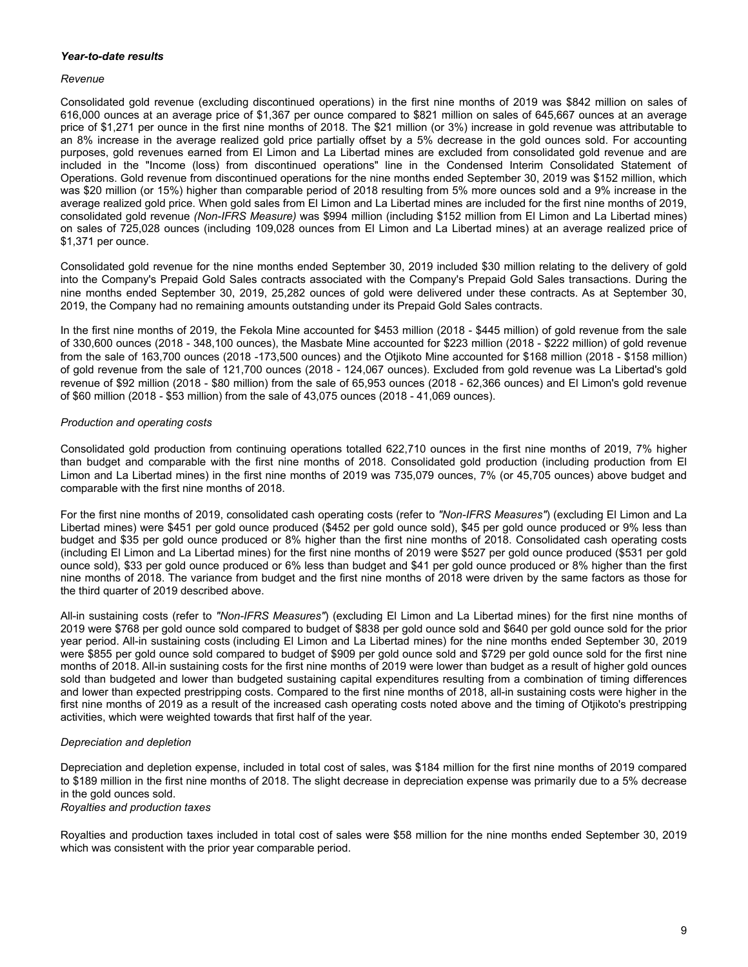# *Year-to-date results*

#### *Revenue*

Consolidated gold revenue (excluding discontinued operations) in the first nine months of 2019 was \$842 million on sales of 616,000 ounces at an average price of \$1,367 per ounce compared to \$821 million on sales of 645,667 ounces at an average price of \$1,271 per ounce in the first nine months of 2018. The \$21 million (or 3%) increase in gold revenue was attributable to an 8% increase in the average realized gold price partially offset by a 5% decrease in the gold ounces sold. For accounting purposes, gold revenues earned from El Limon and La Libertad mines are excluded from consolidated gold revenue and are included in the "Income (loss) from discontinued operations" line in the Condensed Interim Consolidated Statement of Operations. Gold revenue from discontinued operations for the nine months ended September 30, 2019 was \$152 million, which was \$20 million (or 15%) higher than comparable period of 2018 resulting from 5% more ounces sold and a 9% increase in the average realized gold price. When gold sales from El Limon and La Libertad mines are included for the first nine months of 2019, consolidated gold revenue *(Non-IFRS Measure)* was \$994 million (including \$152 million from El Limon and La Libertad mines) on sales of 725,028 ounces (including 109,028 ounces from El Limon and La Libertad mines) at an average realized price of \$1,371 per ounce.

Consolidated gold revenue for the nine months ended September 30, 2019 included \$30 million relating to the delivery of gold into the Company's Prepaid Gold Sales contracts associated with the Company's Prepaid Gold Sales transactions. During the nine months ended September 30, 2019, 25,282 ounces of gold were delivered under these contracts. As at September 30, 2019, the Company had no remaining amounts outstanding under its Prepaid Gold Sales contracts.

In the first nine months of 2019, the Fekola Mine accounted for \$453 million (2018 - \$445 million) of gold revenue from the sale of 330,600 ounces (2018 - 348,100 ounces), the Masbate Mine accounted for \$223 million (2018 - \$222 million) of gold revenue from the sale of 163,700 ounces (2018 -173,500 ounces) and the Otjikoto Mine accounted for \$168 million (2018 - \$158 million) of gold revenue from the sale of 121,700 ounces (2018 - 124,067 ounces). Excluded from gold revenue was La Libertad's gold revenue of \$92 million (2018 - \$80 million) from the sale of 65,953 ounces (2018 - 62,366 ounces) and El Limon's gold revenue of \$60 million (2018 - \$53 million) from the sale of 43,075 ounces (2018 - 41,069 ounces).

# *Production and operating costs*

Consolidated gold production from continuing operations totalled 622,710 ounces in the first nine months of 2019, 7% higher than budget and comparable with the first nine months of 2018. Consolidated gold production (including production from El Limon and La Libertad mines) in the first nine months of 2019 was 735,079 ounces, 7% (or 45,705 ounces) above budget and comparable with the first nine months of 2018.

For the first nine months of 2019, consolidated cash operating costs (refer to *"Non-IFRS Measures"*) (excluding El Limon and La Libertad mines) were \$451 per gold ounce produced (\$452 per gold ounce sold), \$45 per gold ounce produced or 9% less than budget and \$35 per gold ounce produced or 8% higher than the first nine months of 2018. Consolidated cash operating costs (including El Limon and La Libertad mines) for the first nine months of 2019 were \$527 per gold ounce produced (\$531 per gold ounce sold), \$33 per gold ounce produced or 6% less than budget and \$41 per gold ounce produced or 8% higher than the first nine months of 2018. The variance from budget and the first nine months of 2018 were driven by the same factors as those for the third quarter of 2019 described above.

All-in sustaining costs (refer to *"Non-IFRS Measures"*) (excluding El Limon and La Libertad mines) for the first nine months of 2019 were \$768 per gold ounce sold compared to budget of \$838 per gold ounce sold and \$640 per gold ounce sold for the prior year period. All-in sustaining costs (including El Limon and La Libertad mines) for the nine months ended September 30, 2019 were \$855 per gold ounce sold compared to budget of \$909 per gold ounce sold and \$729 per gold ounce sold for the first nine months of 2018. All-in sustaining costs for the first nine months of 2019 were lower than budget as a result of higher gold ounces sold than budgeted and lower than budgeted sustaining capital expenditures resulting from a combination of timing differences and lower than expected prestripping costs. Compared to the first nine months of 2018, all-in sustaining costs were higher in the first nine months of 2019 as a result of the increased cash operating costs noted above and the timing of Otjikoto's prestripping activities, which were weighted towards that first half of the year.

# *Depreciation and depletion*

Depreciation and depletion expense, included in total cost of sales, was \$184 million for the first nine months of 2019 compared to \$189 million in the first nine months of 2018. The slight decrease in depreciation expense was primarily due to a 5% decrease in the gold ounces sold.

*Royalties and production taxes*

Royalties and production taxes included in total cost of sales were \$58 million for the nine months ended September 30, 2019 which was consistent with the prior year comparable period.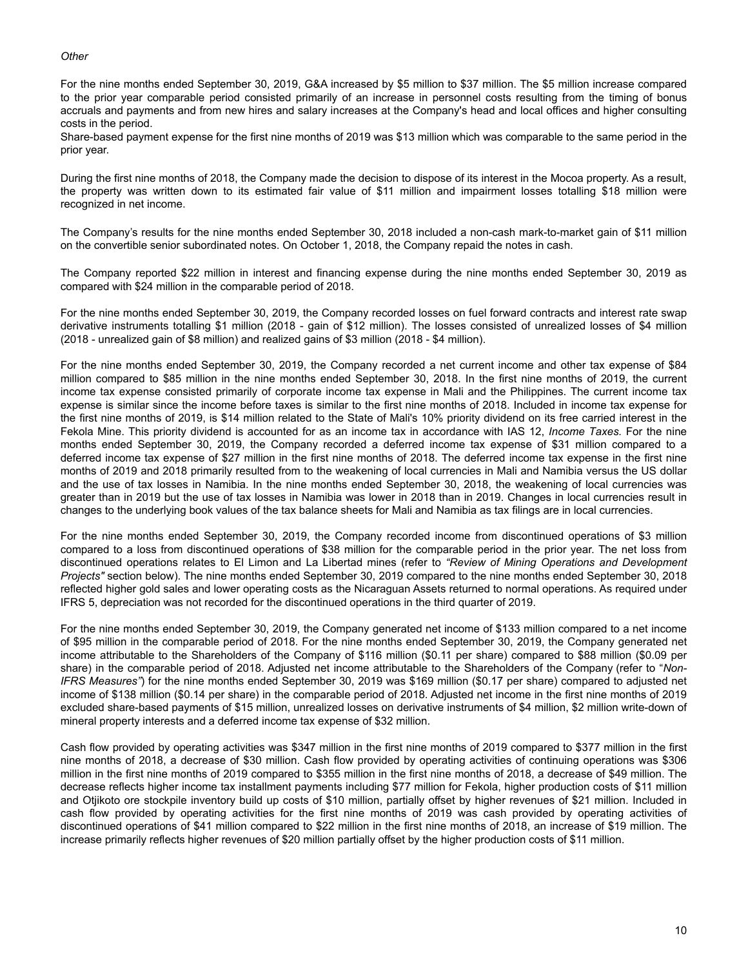### *Other*

For the nine months ended September 30, 2019, G&A increased by \$5 million to \$37 million. The \$5 million increase compared to the prior year comparable period consisted primarily of an increase in personnel costs resulting from the timing of bonus accruals and payments and from new hires and salary increases at the Company's head and local offices and higher consulting costs in the period.

Share-based payment expense for the first nine months of 2019 was \$13 million which was comparable to the same period in the prior year.

During the first nine months of 2018, the Company made the decision to dispose of its interest in the Mocoa property. As a result, the property was written down to its estimated fair value of \$11 million and impairment losses totalling \$18 million were recognized in net income.

The Company's results for the nine months ended September 30, 2018 included a non-cash mark-to-market gain of \$11 million on the convertible senior subordinated notes. On October 1, 2018, the Company repaid the notes in cash.

The Company reported \$22 million in interest and financing expense during the nine months ended September 30, 2019 as compared with \$24 million in the comparable period of 2018.

For the nine months ended September 30, 2019, the Company recorded losses on fuel forward contracts and interest rate swap derivative instruments totalling \$1 million (2018 - gain of \$12 million). The losses consisted of unrealized losses of \$4 million (2018 - unrealized gain of \$8 million) and realized gains of \$3 million (2018 - \$4 million).

For the nine months ended September 30, 2019, the Company recorded a net current income and other tax expense of \$84 million compared to \$85 million in the nine months ended September 30, 2018. In the first nine months of 2019, the current income tax expense consisted primarily of corporate income tax expense in Mali and the Philippines. The current income tax expense is similar since the income before taxes is similar to the first nine months of 2018. Included in income tax expense for the first nine months of 2019, is \$14 million related to the State of Mali's 10% priority dividend on its free carried interest in the Fekola Mine. This priority dividend is accounted for as an income tax in accordance with IAS 12, *Income Taxes.* For the nine months ended September 30, 2019, the Company recorded a deferred income tax expense of \$31 million compared to a deferred income tax expense of \$27 million in the first nine months of 2018. The deferred income tax expense in the first nine months of 2019 and 2018 primarily resulted from to the weakening of local currencies in Mali and Namibia versus the US dollar and the use of tax losses in Namibia. In the nine months ended September 30, 2018, the weakening of local currencies was greater than in 2019 but the use of tax losses in Namibia was lower in 2018 than in 2019. Changes in local currencies result in changes to the underlying book values of the tax balance sheets for Mali and Namibia as tax filings are in local currencies.

For the nine months ended September 30, 2019, the Company recorded income from discontinued operations of \$3 million compared to a loss from discontinued operations of \$38 million for the comparable period in the prior year. The net loss from discontinued operations relates to El Limon and La Libertad mines (refer to *"Review of Mining Operations and Development Projects"* section below). The nine months ended September 30, 2019 compared to the nine months ended September 30, 2018 reflected higher gold sales and lower operating costs as the Nicaraguan Assets returned to normal operations. As required under IFRS 5, depreciation was not recorded for the discontinued operations in the third quarter of 2019.

For the nine months ended September 30, 2019, the Company generated net income of \$133 million compared to a net income of \$95 million in the comparable period of 2018. For the nine months ended September 30, 2019, the Company generated net income attributable to the Shareholders of the Company of \$116 million (\$0.11 per share) compared to \$88 million (\$0.09 per share) in the comparable period of 2018. Adjusted net income attributable to the Shareholders of the Company (refer to "*Non-IFRS Measures"*) for the nine months ended September 30, 2019 was \$169 million (\$0.17 per share) compared to adjusted net income of \$138 million (\$0.14 per share) in the comparable period of 2018. Adjusted net income in the first nine months of 2019 excluded share-based payments of \$15 million, unrealized losses on derivative instruments of \$4 million, \$2 million write-down of mineral property interests and a deferred income tax expense of \$32 million.

Cash flow provided by operating activities was \$347 million in the first nine months of 2019 compared to \$377 million in the first nine months of 2018, a decrease of \$30 million. Cash flow provided by operating activities of continuing operations was \$306 million in the first nine months of 2019 compared to \$355 million in the first nine months of 2018, a decrease of \$49 million. The decrease reflects higher income tax installment payments including \$77 million for Fekola, higher production costs of \$11 million and Otjikoto ore stockpile inventory build up costs of \$10 million, partially offset by higher revenues of \$21 million. Included in cash flow provided by operating activities for the first nine months of 2019 was cash provided by operating activities of discontinued operations of \$41 million compared to \$22 million in the first nine months of 2018, an increase of \$19 million. The increase primarily reflects higher revenues of \$20 million partially offset by the higher production costs of \$11 million.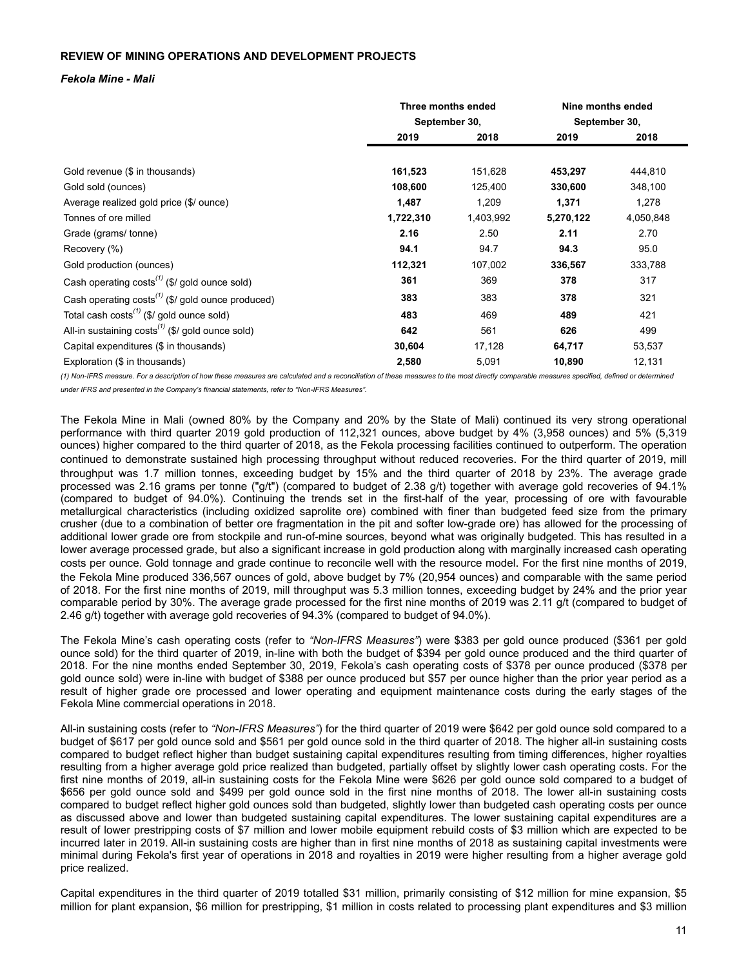# <span id="page-10-0"></span>**REVIEW OF MINING OPERATIONS AND DEVELOPMENT PROJECTS**

### *Fekola Mine - Mali*

|                                                                    |               | Three months ended |               | Nine months ended |
|--------------------------------------------------------------------|---------------|--------------------|---------------|-------------------|
|                                                                    | September 30, |                    | September 30, |                   |
|                                                                    | 2019<br>2018  |                    | 2019          | 2018              |
|                                                                    |               |                    |               |                   |
| Gold revenue (\$ in thousands)                                     | 161,523       | 151,628            | 453,297       | 444,810           |
| Gold sold (ounces)                                                 | 108,600       | 125,400            | 330,600       | 348,100           |
| Average realized gold price (\$/ ounce)                            | 1,487         | 1,209              | 1,371         | 1,278             |
| Tonnes of ore milled                                               | 1,722,310     | 1,403,992          | 5,270,122     | 4,050,848         |
| Grade (grams/tonne)                                                | 2.16          | 2.50               | 2.11          | 2.70              |
| Recovery (%)                                                       | 94.1          | 94.7               | 94.3          | 95.0              |
| Gold production (ounces)                                           | 112,321       | 107,002            | 336,567       | 333,788           |
| Cash operating costs <sup>(1)</sup> (\$/ gold ounce sold)          | 361           | 369                | 378           | 317               |
| Cash operating $costs^{(1)}$ (\$/ gold ounce produced)             | 383           | 383                | 378           | 321               |
| Total cash costs <sup><math>(1)</math></sup> (\$/ gold ounce sold) | 483           | 469                | 489           | 421               |
| All-in sustaining $costs^{(1)}$ (\$/ gold ounce sold)              | 642           | 561                | 626           | 499               |
| Capital expenditures (\$ in thousands)                             | 30,604        | 17,128             | 64,717        | 53,537            |
| Exploration (\$ in thousands)                                      | 2,580         | 5,091              | 10,890        | 12,131            |

(1) Non-IFRS measure. For a description of how these measures are calculated and a reconciliation of these measures to the most directly comparable measures specified, defined or determined *under IFRS and presented in the Company's financial statements, refer to "Non-IFRS Measures".*

The Fekola Mine in Mali (owned 80% by the Company and 20% by the State of Mali) continued its very strong operational performance with third quarter 2019 gold production of 112,321 ounces, above budget by 4% (3,958 ounces) and 5% (5,319 ounces) higher compared to the third quarter of 2018, as the Fekola processing facilities continued to outperform. The operation continued to demonstrate sustained high processing throughput without reduced recoveries. For the third quarter of 2019, mill throughput was 1.7 million tonnes, exceeding budget by 15% and the third quarter of 2018 by 23%. The average grade processed was 2.16 grams per tonne ("g/t") (compared to budget of 2.38 g/t) together with average gold recoveries of 94.1% (compared to budget of 94.0%). Continuing the trends set in the first-half of the year, processing of ore with favourable metallurgical characteristics (including oxidized saprolite ore) combined with finer than budgeted feed size from the primary crusher (due to a combination of better ore fragmentation in the pit and softer low-grade ore) has allowed for the processing of additional lower grade ore from stockpile and run-of-mine sources, beyond what was originally budgeted. This has resulted in a lower average processed grade, but also a significant increase in gold production along with marginally increased cash operating costs per ounce. Gold tonnage and grade continue to reconcile well with the resource model. For the first nine months of 2019, the Fekola Mine produced 336,567 ounces of gold, above budget by 7% (20,954 ounces) and comparable with the same period of 2018. For the first nine months of 2019, mill throughput was 5.3 million tonnes, exceeding budget by 24% and the prior year comparable period by 30%. The average grade processed for the first nine months of 2019 was 2.11 g/t (compared to budget of 2.46 g/t) together with average gold recoveries of 94.3% (compared to budget of 94.0%).

The Fekola Mine's cash operating costs (refer to *"Non-IFRS Measures"*) were \$383 per gold ounce produced (\$361 per gold ounce sold) for the third quarter of 2019, in-line with both the budget of \$394 per gold ounce produced and the third quarter of 2018. For the nine months ended September 30, 2019, Fekola's cash operating costs of \$378 per ounce produced (\$378 per gold ounce sold) were in-line with budget of \$388 per ounce produced but \$57 per ounce higher than the prior year period as a result of higher grade ore processed and lower operating and equipment maintenance costs during the early stages of the Fekola Mine commercial operations in 2018.

All-in sustaining costs (refer to *"Non-IFRS Measures"*) for the third quarter of 2019 were \$642 per gold ounce sold compared to a budget of \$617 per gold ounce sold and \$561 per gold ounce sold in the third quarter of 2018. The higher all-in sustaining costs compared to budget reflect higher than budget sustaining capital expenditures resulting from timing differences, higher royalties resulting from a higher average gold price realized than budgeted, partially offset by slightly lower cash operating costs. For the first nine months of 2019, all-in sustaining costs for the Fekola Mine were \$626 per gold ounce sold compared to a budget of \$656 per gold ounce sold and \$499 per gold ounce sold in the first nine months of 2018. The lower all-in sustaining costs compared to budget reflect higher gold ounces sold than budgeted, slightly lower than budgeted cash operating costs per ounce as discussed above and lower than budgeted sustaining capital expenditures. The lower sustaining capital expenditures are a result of lower prestripping costs of \$7 million and lower mobile equipment rebuild costs of \$3 million which are expected to be incurred later in 2019. All-in sustaining costs are higher than in first nine months of 2018 as sustaining capital investments were minimal during Fekola's first year of operations in 2018 and royalties in 2019 were higher resulting from a higher average gold price realized.

Capital expenditures in the third quarter of 2019 totalled \$31 million, primarily consisting of \$12 million for mine expansion, \$5 million for plant expansion, \$6 million for prestripping, \$1 million in costs related to processing plant expenditures and \$3 million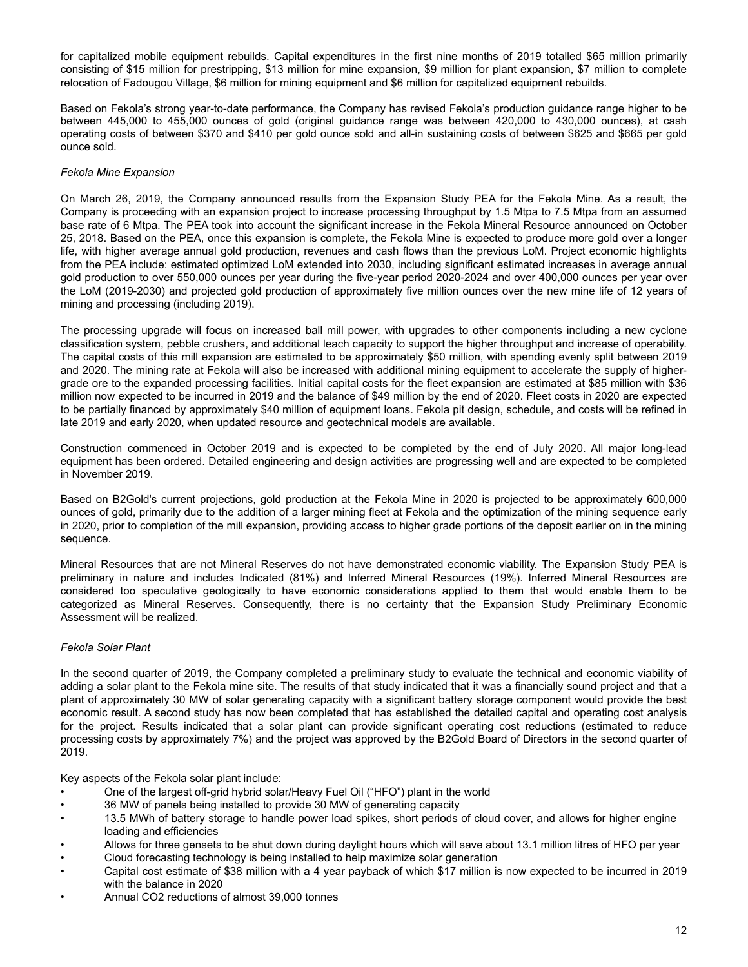for capitalized mobile equipment rebuilds. Capital expenditures in the first nine months of 2019 totalled \$65 million primarily consisting of \$15 million for prestripping, \$13 million for mine expansion, \$9 million for plant expansion, \$7 million to complete relocation of Fadougou Village, \$6 million for mining equipment and \$6 million for capitalized equipment rebuilds.

Based on Fekola's strong year-to-date performance, the Company has revised Fekola's production guidance range higher to be between 445,000 to 455,000 ounces of gold (original guidance range was between 420,000 to 430,000 ounces), at cash operating costs of between \$370 and \$410 per gold ounce sold and all-in sustaining costs of between \$625 and \$665 per gold ounce sold.

# *Fekola Mine Expansion*

On March 26, 2019, the Company announced results from the Expansion Study PEA for the Fekola Mine. As a result, the Company is proceeding with an expansion project to increase processing throughput by 1.5 Mtpa to 7.5 Mtpa from an assumed base rate of 6 Mtpa. The PEA took into account the significant increase in the Fekola Mineral Resource announced on October 25, 2018. Based on the PEA, once this expansion is complete, the Fekola Mine is expected to produce more gold over a longer life, with higher average annual gold production, revenues and cash flows than the previous LoM. Project economic highlights from the PEA include: estimated optimized LoM extended into 2030, including significant estimated increases in average annual gold production to over 550,000 ounces per year during the five-year period 2020-2024 and over 400,000 ounces per year over the LoM (2019-2030) and projected gold production of approximately five million ounces over the new mine life of 12 years of mining and processing (including 2019).

The processing upgrade will focus on increased ball mill power, with upgrades to other components including a new cyclone classification system, pebble crushers, and additional leach capacity to support the higher throughput and increase of operability. The capital costs of this mill expansion are estimated to be approximately \$50 million, with spending evenly split between 2019 and 2020. The mining rate at Fekola will also be increased with additional mining equipment to accelerate the supply of highergrade ore to the expanded processing facilities. Initial capital costs for the fleet expansion are estimated at \$85 million with \$36 million now expected to be incurred in 2019 and the balance of \$49 million by the end of 2020. Fleet costs in 2020 are expected to be partially financed by approximately \$40 million of equipment loans. Fekola pit design, schedule, and costs will be refined in late 2019 and early 2020, when updated resource and geotechnical models are available.

Construction commenced in October 2019 and is expected to be completed by the end of July 2020. All major long-lead equipment has been ordered. Detailed engineering and design activities are progressing well and are expected to be completed in November 2019.

Based on B2Gold's current projections, gold production at the Fekola Mine in 2020 is projected to be approximately 600,000 ounces of gold, primarily due to the addition of a larger mining fleet at Fekola and the optimization of the mining sequence early in 2020, prior to completion of the mill expansion, providing access to higher grade portions of the deposit earlier on in the mining sequence.

Mineral Resources that are not Mineral Reserves do not have demonstrated economic viability. The Expansion Study PEA is preliminary in nature and includes Indicated (81%) and Inferred Mineral Resources (19%). Inferred Mineral Resources are considered too speculative geologically to have economic considerations applied to them that would enable them to be categorized as Mineral Reserves. Consequently, there is no certainty that the Expansion Study Preliminary Economic Assessment will be realized.

# *Fekola Solar Plant*

In the second quarter of 2019, the Company completed a preliminary study to evaluate the technical and economic viability of adding a solar plant to the Fekola mine site. The results of that study indicated that it was a financially sound project and that a plant of approximately 30 MW of solar generating capacity with a significant battery storage component would provide the best economic result. A second study has now been completed that has established the detailed capital and operating cost analysis for the project. Results indicated that a solar plant can provide significant operating cost reductions (estimated to reduce processing costs by approximately 7%) and the project was approved by the B2Gold Board of Directors in the second quarter of 2019.

Key aspects of the Fekola solar plant include:

- One of the largest off-grid hybrid solar/Heavy Fuel Oil ("HFO") plant in the world
- 36 MW of panels being installed to provide 30 MW of generating capacity
- 13.5 MWh of battery storage to handle power load spikes, short periods of cloud cover, and allows for higher engine loading and efficiencies
- Allows for three gensets to be shut down during daylight hours which will save about 13.1 million litres of HFO per year
- Cloud forecasting technology is being installed to help maximize solar generation
- Capital cost estimate of \$38 million with a 4 year payback of which \$17 million is now expected to be incurred in 2019 with the balance in 2020
- Annual CO2 reductions of almost 39,000 tonnes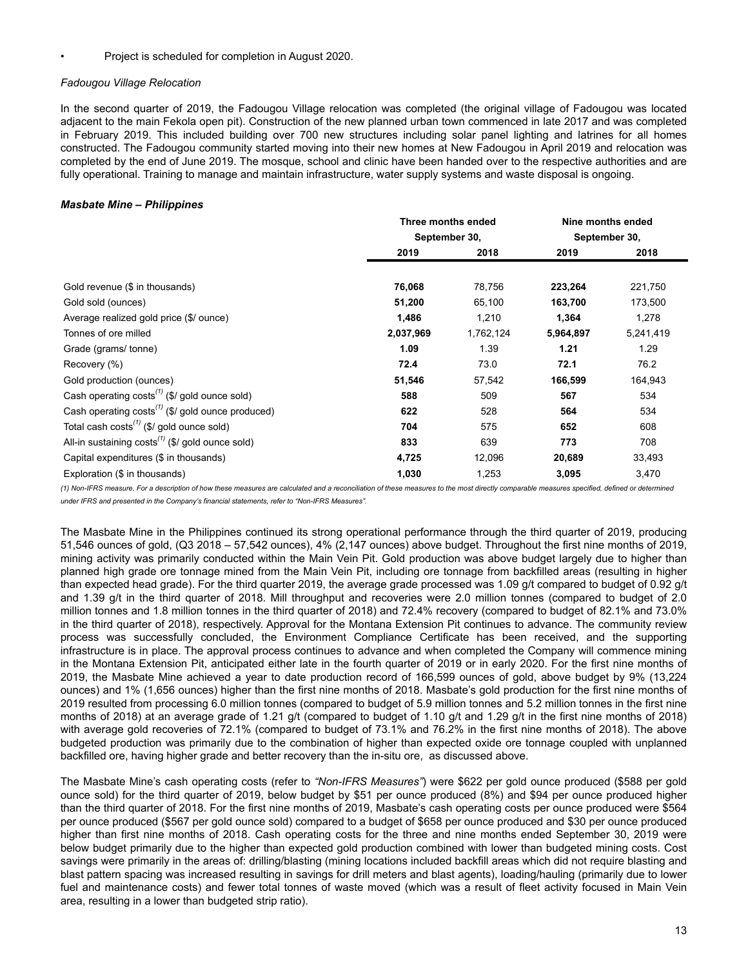• Project is scheduled for completion in August 2020.

# *Fadougou Village Relocation*

In the second quarter of 2019, the Fadougou Village relocation was completed (the original village of Fadougou was located adjacent to the main Fekola open pit). Construction of the new planned urban town commenced in late 2017 and was completed in February 2019. This included building over 700 new structures including solar panel lighting and latrines for all homes constructed. The Fadougou community started moving into their new homes at New Fadougou in April 2019 and relocation was completed by the end of June 2019. The mosque, school and clinic have been handed over to the respective authorities and are fully operational. Training to manage and maintain infrastructure, water supply systems and waste disposal is ongoing.

# *Masbate Mine – Philippines*

|                                                                    |               | Three months ended |               | Nine months ended |
|--------------------------------------------------------------------|---------------|--------------------|---------------|-------------------|
|                                                                    | September 30, |                    | September 30, |                   |
|                                                                    | 2019          | 2018               | 2019          | 2018              |
|                                                                    |               |                    |               |                   |
| Gold revenue (\$ in thousands)                                     | 76,068        | 78,756             | 223,264       | 221,750           |
| Gold sold (ounces)                                                 | 51,200        | 65,100             | 163,700       | 173,500           |
| Average realized gold price (\$/ ounce)                            | 1,486         | 1,210              | 1,364         | 1,278             |
| Tonnes of ore milled                                               | 2,037,969     | 1,762,124          | 5,964,897     | 5,241,419         |
| Grade (grams/tonne)                                                | 1.09          | 1.39               | 1.21          | 1.29              |
| Recovery (%)                                                       | 72.4          | 73.0               | 72.1          | 76.2              |
| Gold production (ounces)                                           | 51,546        | 57,542             | 166,599       | 164,943           |
| Cash operating $costs^{(1)}$ (\$/ gold ounce sold)                 | 588           | 509                | 567           | 534               |
| Cash operating $costs^{(1)}$ (\$/ gold ounce produced)             | 622           | 528                | 564           | 534               |
| Total cash costs <sup><math>(1)</math></sup> (\$/ gold ounce sold) | 704           | 575                | 652           | 608               |
| All-in sustaining $costs^{(1)}$ (\$/ gold ounce sold)              | 833           | 639                | 773           | 708               |
| Capital expenditures (\$ in thousands)                             | 4,725         | 12,096             | 20,689        | 33,493            |
| Exploration (\$ in thousands)                                      | 1,030         | 1,253              | 3,095         | 3,470             |

(1) Non-IFRS measure. For a description of how these measures are calculated and a reconciliation of these measures to the most directly comparable measures specified, defined or determined *under IFRS and presented in the Company's financial statements, refer to "Non-IFRS Measures".*

The Masbate Mine in the Philippines continued its strong operational performance through the third quarter of 2019, producing 51,546 ounces of gold, (Q3 2018 – 57,542 ounces), 4% (2,147 ounces) above budget. Throughout the first nine months of 2019, mining activity was primarily conducted within the Main Vein Pit. Gold production was above budget largely due to higher than planned high grade ore tonnage mined from the Main Vein Pit, including ore tonnage from backfilled areas (resulting in higher than expected head grade). For the third quarter 2019, the average grade processed was 1.09 g/t compared to budget of 0.92 g/t and 1.39 g/t in the third quarter of 2018. Mill throughput and recoveries were 2.0 million tonnes (compared to budget of 2.0 million tonnes and 1.8 million tonnes in the third quarter of 2018) and 72.4% recovery (compared to budget of 82.1% and 73.0% in the third quarter of 2018), respectively. Approval for the Montana Extension Pit continues to advance. The community review process was successfully concluded, the Environment Compliance Certificate has been received, and the supporting infrastructure is in place. The approval process continues to advance and when completed the Company will commence mining in the Montana Extension Pit, anticipated either late in the fourth quarter of 2019 or in early 2020. For the first nine months of 2019, the Masbate Mine achieved a year to date production record of 166,599 ounces of gold, above budget by 9% (13,224 ounces) and 1% (1,656 ounces) higher than the first nine months of 2018. Masbate's gold production for the first nine months of 2019 resulted from processing 6.0 million tonnes (compared to budget of 5.9 million tonnes and 5.2 million tonnes in the first nine months of 2018) at an average grade of 1.21 g/t (compared to budget of 1.10 g/t and 1.29 g/t in the first nine months of 2018) with average gold recoveries of 72.1% (compared to budget of 73.1% and 76.2% in the first nine months of 2018). The above budgeted production was primarily due to the combination of higher than expected oxide ore tonnage coupled with unplanned backfilled ore, having higher grade and better recovery than the in-situ ore, as discussed above.

The Masbate Mine's cash operating costs (refer to *"Non-IFRS Measures"*) were \$622 per gold ounce produced (\$588 per gold ounce sold) for the third quarter of 2019, below budget by \$51 per ounce produced (8%) and \$94 per ounce produced higher than the third quarter of 2018. For the first nine months of 2019, Masbate's cash operating costs per ounce produced were \$564 per ounce produced (\$567 per gold ounce sold) compared to a budget of \$658 per ounce produced and \$30 per ounce produced higher than first nine months of 2018. Cash operating costs for the three and nine months ended September 30, 2019 were below budget primarily due to the higher than expected gold production combined with lower than budgeted mining costs. Cost savings were primarily in the areas of: drilling/blasting (mining locations included backfill areas which did not require blasting and blast pattern spacing was increased resulting in savings for drill meters and blast agents), loading/hauling (primarily due to lower fuel and maintenance costs) and fewer total tonnes of waste moved (which was a result of fleet activity focused in Main Vein area, resulting in a lower than budgeted strip ratio).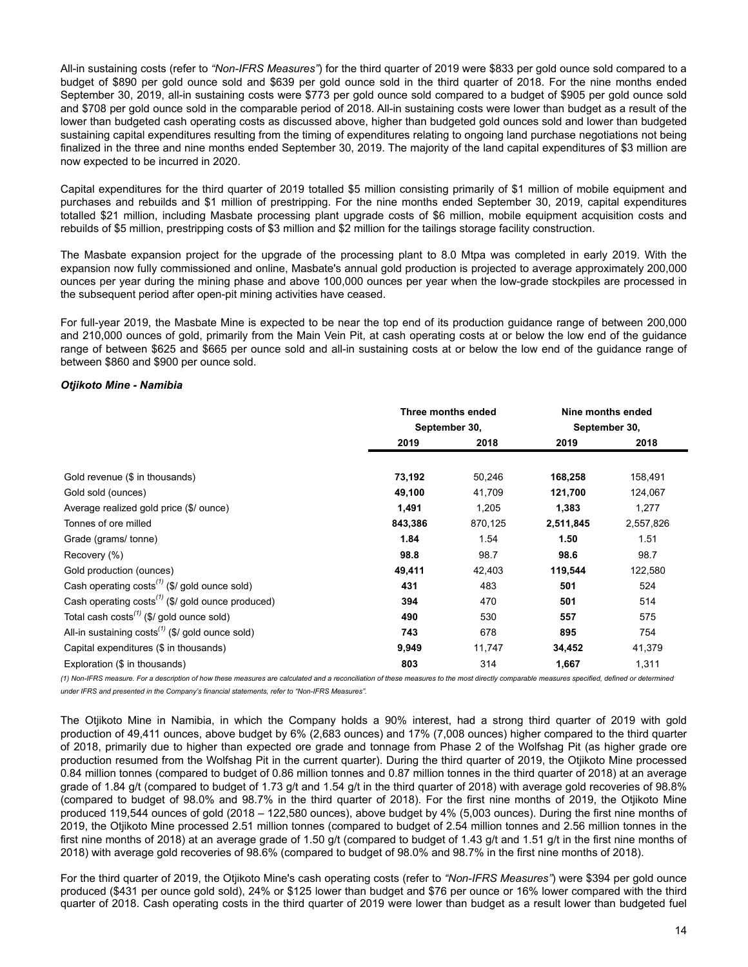All-in sustaining costs (refer to *"Non-IFRS Measures"*) for the third quarter of 2019 were \$833 per gold ounce sold compared to a budget of \$890 per gold ounce sold and \$639 per gold ounce sold in the third quarter of 2018. For the nine months ended September 30, 2019, all-in sustaining costs were \$773 per gold ounce sold compared to a budget of \$905 per gold ounce sold and \$708 per gold ounce sold in the comparable period of 2018. All-in sustaining costs were lower than budget as a result of the lower than budgeted cash operating costs as discussed above, higher than budgeted gold ounces sold and lower than budgeted sustaining capital expenditures resulting from the timing of expenditures relating to ongoing land purchase negotiations not being finalized in the three and nine months ended September 30, 2019. The majority of the land capital expenditures of \$3 million are now expected to be incurred in 2020.

Capital expenditures for the third quarter of 2019 totalled \$5 million consisting primarily of \$1 million of mobile equipment and purchases and rebuilds and \$1 million of prestripping. For the nine months ended September 30, 2019, capital expenditures totalled \$21 million, including Masbate processing plant upgrade costs of \$6 million, mobile equipment acquisition costs and rebuilds of \$5 million, prestripping costs of \$3 million and \$2 million for the tailings storage facility construction.

The Masbate expansion project for the upgrade of the processing plant to 8.0 Mtpa was completed in early 2019. With the expansion now fully commissioned and online, Masbate's annual gold production is projected to average approximately 200,000 ounces per year during the mining phase and above 100,000 ounces per year when the low-grade stockpiles are processed in the subsequent period after open-pit mining activities have ceased.

For full-year 2019, the Masbate Mine is expected to be near the top end of its production guidance range of between 200,000 and 210,000 ounces of gold, primarily from the Main Vein Pit, at cash operating costs at or below the low end of the guidance range of between \$625 and \$665 per ounce sold and all-in sustaining costs at or below the low end of the guidance range of between \$860 and \$900 per ounce sold.

# *Otjikoto Mine - Namibia*

|                                                                            |         | Three months ended |           | Nine months ended |
|----------------------------------------------------------------------------|---------|--------------------|-----------|-------------------|
|                                                                            |         | September 30,      |           | September 30,     |
|                                                                            | 2019    | 2018               | 2019      | 2018              |
|                                                                            |         |                    |           |                   |
| Gold revenue (\$ in thousands)                                             | 73,192  | 50,246             | 168,258   | 158,491           |
| Gold sold (ounces)                                                         | 49,100  | 41,709             | 121,700   | 124,067           |
| Average realized gold price (\$/ ounce)                                    | 1,491   | 1,205              | 1,383     | 1,277             |
| Tonnes of ore milled                                                       | 843,386 | 870,125            | 2,511,845 | 2,557,826         |
| Grade (grams/tonne)                                                        | 1.84    | 1.54               | 1.50      | 1.51              |
| Recovery (%)                                                               | 98.8    | 98.7               | 98.6      | 98.7              |
| Gold production (ounces)                                                   | 49,411  | 42,403             | 119,544   | 122,580           |
| Cash operating $costs^{(1)}$ (\$/ gold ounce sold)                         | 431     | 483                | 501       | 524               |
| Cash operating costs <sup><math>(1)</math></sup> (\$/ gold ounce produced) | 394     | 470                | 501       | 514               |
| Total cash costs <sup><math>(1)</math></sup> (\$/ gold ounce sold)         | 490     | 530                | 557       | 575               |
| All-in sustaining $costs^{(1)}$ (\$/ gold ounce sold)                      | 743     | 678                | 895       | 754               |
| Capital expenditures (\$ in thousands)                                     | 9,949   | 11,747             | 34,452    | 41,379            |
| Exploration (\$ in thousands)                                              | 803     | 314                | 1,667     | 1,311             |
|                                                                            |         |                    |           |                   |

(1) Non-IFRS measure. For a description of how these measures are calculated and a reconciliation of these measures to the most directly comparable measures specified, defined or determined *under IFRS and presented in the Company's financial statements, refer to "Non-IFRS Measures".*

The Otjikoto Mine in Namibia, in which the Company holds a 90% interest, had a strong third quarter of 2019 with gold production of 49,411 ounces, above budget by 6% (2,683 ounces) and 17% (7,008 ounces) higher compared to the third quarter of 2018, primarily due to higher than expected ore grade and tonnage from Phase 2 of the Wolfshag Pit (as higher grade ore production resumed from the Wolfshag Pit in the current quarter). During the third quarter of 2019, the Otjikoto Mine processed 0.84 million tonnes (compared to budget of 0.86 million tonnes and 0.87 million tonnes in the third quarter of 2018) at an average grade of 1.84 g/t (compared to budget of 1.73 g/t and 1.54 g/t in the third quarter of 2018) with average gold recoveries of 98.8% (compared to budget of 98.0% and 98.7% in the third quarter of 2018). For the first nine months of 2019, the Otjikoto Mine produced 119,544 ounces of gold (2018 – 122,580 ounces), above budget by 4% (5,003 ounces). During the first nine months of 2019, the Otjikoto Mine processed 2.51 million tonnes (compared to budget of 2.54 million tonnes and 2.56 million tonnes in the first nine months of 2018) at an average grade of 1.50 g/t (compared to budget of 1.43 g/t and 1.51 g/t in the first nine months of 2018) with average gold recoveries of 98.6% (compared to budget of 98.0% and 98.7% in the first nine months of 2018).

For the third quarter of 2019, the Otjikoto Mine's cash operating costs (refer to *"Non-IFRS Measures"*) were \$394 per gold ounce produced (\$431 per ounce gold sold), 24% or \$125 lower than budget and \$76 per ounce or 16% lower compared with the third quarter of 2018. Cash operating costs in the third quarter of 2019 were lower than budget as a result lower than budgeted fuel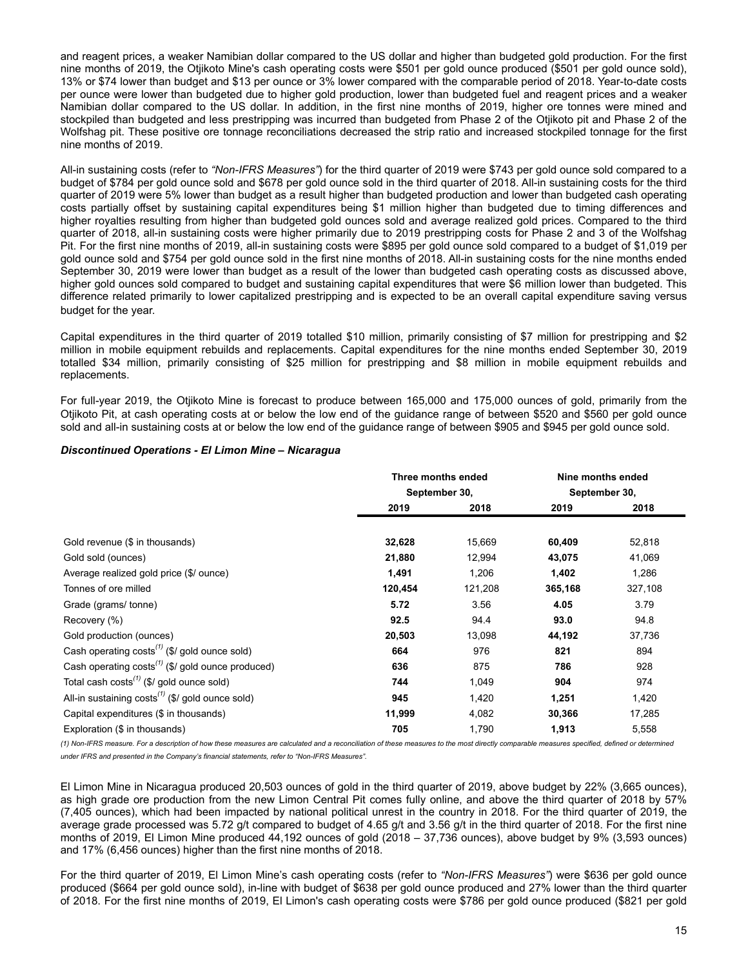and reagent prices, a weaker Namibian dollar compared to the US dollar and higher than budgeted gold production. For the first nine months of 2019, the Otjikoto Mine's cash operating costs were \$501 per gold ounce produced (\$501 per gold ounce sold), 13% or \$74 lower than budget and \$13 per ounce or 3% lower compared with the comparable period of 2018. Year-to-date costs per ounce were lower than budgeted due to higher gold production, lower than budgeted fuel and reagent prices and a weaker Namibian dollar compared to the US dollar. In addition, in the first nine months of 2019, higher ore tonnes were mined and stockpiled than budgeted and less prestripping was incurred than budgeted from Phase 2 of the Otjikoto pit and Phase 2 of the Wolfshag pit. These positive ore tonnage reconciliations decreased the strip ratio and increased stockpiled tonnage for the first nine months of 2019.

All-in sustaining costs (refer to *"Non-IFRS Measures"*) for the third quarter of 2019 were \$743 per gold ounce sold compared to a budget of \$784 per gold ounce sold and \$678 per gold ounce sold in the third quarter of 2018. All-in sustaining costs for the third quarter of 2019 were 5% lower than budget as a result higher than budgeted production and lower than budgeted cash operating costs partially offset by sustaining capital expenditures being \$1 million higher than budgeted due to timing differences and higher royalties resulting from higher than budgeted gold ounces sold and average realized gold prices. Compared to the third quarter of 2018, all-in sustaining costs were higher primarily due to 2019 prestripping costs for Phase 2 and 3 of the Wolfshag Pit. For the first nine months of 2019, all-in sustaining costs were \$895 per gold ounce sold compared to a budget of \$1,019 per gold ounce sold and \$754 per gold ounce sold in the first nine months of 2018. All-in sustaining costs for the nine months ended September 30, 2019 were lower than budget as a result of the lower than budgeted cash operating costs as discussed above, higher gold ounces sold compared to budget and sustaining capital expenditures that were \$6 million lower than budgeted. This difference related primarily to lower capitalized prestripping and is expected to be an overall capital expenditure saving versus budget for the year.

Capital expenditures in the third quarter of 2019 totalled \$10 million, primarily consisting of \$7 million for prestripping and \$2 million in mobile equipment rebuilds and replacements. Capital expenditures for the nine months ended September 30, 2019 totalled \$34 million, primarily consisting of \$25 million for prestripping and \$8 million in mobile equipment rebuilds and replacements.

For full-year 2019, the Otjikoto Mine is forecast to produce between 165,000 and 175,000 ounces of gold, primarily from the Otjikoto Pit, at cash operating costs at or below the low end of the guidance range of between \$520 and \$560 per gold ounce sold and all-in sustaining costs at or below the low end of the guidance range of between \$905 and \$945 per gold ounce sold.

#### *Discontinued Operations - El Limon Mine – Nicaragua*

|                                                                    | Three months ended |         | Nine months ended |         |
|--------------------------------------------------------------------|--------------------|---------|-------------------|---------|
|                                                                    | September 30,      |         | September 30,     |         |
|                                                                    | 2019               | 2018    | 2019              | 2018    |
|                                                                    |                    |         |                   |         |
| Gold revenue (\$ in thousands)                                     | 32,628             | 15,669  | 60,409            | 52,818  |
| Gold sold (ounces)                                                 | 21,880             | 12,994  | 43,075            | 41,069  |
| Average realized gold price (\$/ ounce)                            | 1,491              | 1,206   | 1,402             | 1,286   |
| Tonnes of ore milled                                               | 120,454            | 121,208 | 365,168           | 327,108 |
| Grade (grams/tonne)                                                | 5.72               | 3.56    | 4.05              | 3.79    |
| Recovery (%)                                                       | 92.5               | 94.4    | 93.0              | 94.8    |
| Gold production (ounces)                                           | 20,503             | 13,098  | 44,192            | 37,736  |
| Cash operating $costs^{(1)}$ (\$/ gold ounce sold)                 | 664                | 976     | 821               | 894     |
| Cash operating $costs^{(1)}$ (\$/ gold ounce produced)             | 636                | 875     | 786               | 928     |
| Total cash costs <sup><math>(1)</math></sup> (\$/ gold ounce sold) | 744                | 1,049   | 904               | 974     |
| All-in sustaining $costs^{(1)}$ (\$/ gold ounce sold)              | 945                | 1,420   | 1,251             | 1,420   |
| Capital expenditures (\$ in thousands)                             | 11,999             | 4,082   | 30,366            | 17,285  |
| Exploration (\$ in thousands)                                      | 705                | 1,790   | 1,913             | 5,558   |

(1) Non-IFRS measure. For a description of how these measures are calculated and a reconciliation of these measures to the most directly comparable measures specified, defined or determined *under IFRS and presented in the Company's financial statements, refer to "Non-IFRS Measures".*

El Limon Mine in Nicaragua produced 20,503 ounces of gold in the third quarter of 2019, above budget by 22% (3,665 ounces), as high grade ore production from the new Limon Central Pit comes fully online, and above the third quarter of 2018 by 57% (7,405 ounces), which had been impacted by national political unrest in the country in 2018. For the third quarter of 2019, the average grade processed was 5.72 g/t compared to budget of 4.65 g/t and 3.56 g/t in the third quarter of 2018. For the first nine months of 2019, El Limon Mine produced 44,192 ounces of gold (2018 – 37,736 ounces), above budget by 9% (3,593 ounces) and 17% (6,456 ounces) higher than the first nine months of 2018.

For the third quarter of 2019, El Limon Mine's cash operating costs (refer to *"Non-IFRS Measures"*) were \$636 per gold ounce produced (\$664 per gold ounce sold), in-line with budget of \$638 per gold ounce produced and 27% lower than the third quarter of 2018. For the first nine months of 2019, El Limon's cash operating costs were \$786 per gold ounce produced (\$821 per gold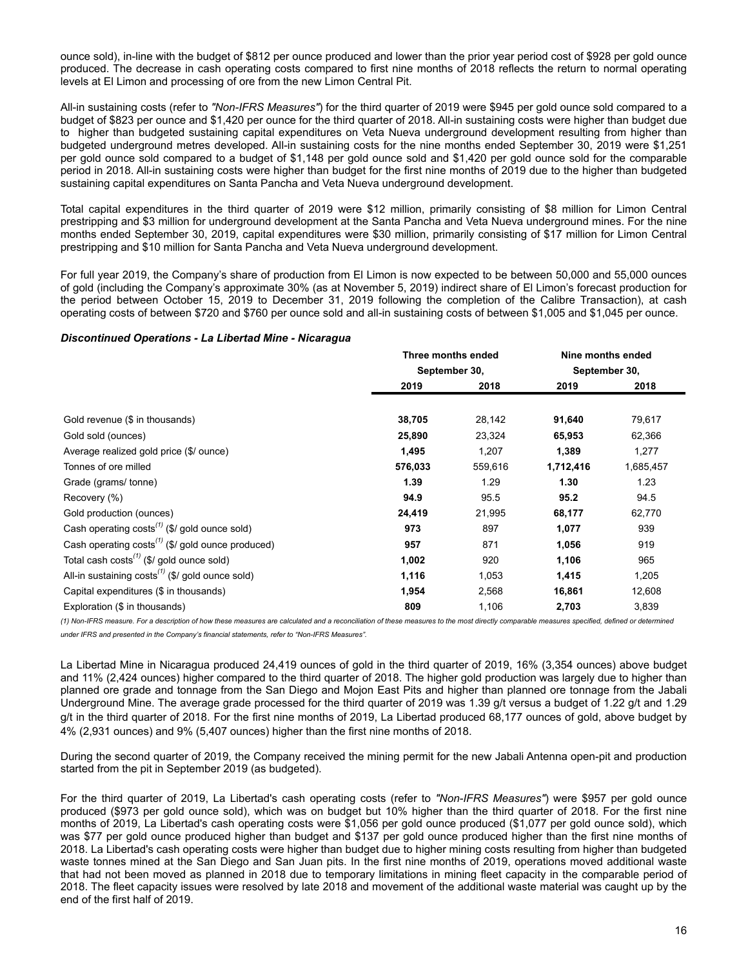ounce sold), in-line with the budget of \$812 per ounce produced and lower than the prior year period cost of \$928 per gold ounce produced. The decrease in cash operating costs compared to first nine months of 2018 reflects the return to normal operating levels at El Limon and processing of ore from the new Limon Central Pit.

All-in sustaining costs (refer to *"Non-IFRS Measures"*) for the third quarter of 2019 were \$945 per gold ounce sold compared to a budget of \$823 per ounce and \$1,420 per ounce for the third quarter of 2018. All-in sustaining costs were higher than budget due to higher than budgeted sustaining capital expenditures on Veta Nueva underground development resulting from higher than budgeted underground metres developed. All-in sustaining costs for the nine months ended September 30, 2019 were \$1,251 per gold ounce sold compared to a budget of \$1,148 per gold ounce sold and \$1,420 per gold ounce sold for the comparable period in 2018. All-in sustaining costs were higher than budget for the first nine months of 2019 due to the higher than budgeted sustaining capital expenditures on Santa Pancha and Veta Nueva underground development.

Total capital expenditures in the third quarter of 2019 were \$12 million, primarily consisting of \$8 million for Limon Central prestripping and \$3 million for underground development at the Santa Pancha and Veta Nueva underground mines. For the nine months ended September 30, 2019, capital expenditures were \$30 million, primarily consisting of \$17 million for Limon Central prestripping and \$10 million for Santa Pancha and Veta Nueva underground development.

For full year 2019, the Company's share of production from El Limon is now expected to be between 50,000 and 55,000 ounces of gold (including the Company's approximate 30% (as at November 5, 2019) indirect share of El Limon's forecast production for the period between October 15, 2019 to December 31, 2019 following the completion of the Calibre Transaction), at cash operating costs of between \$720 and \$760 per ounce sold and all-in sustaining costs of between \$1,005 and \$1,045 per ounce.

#### *Discontinued Operations - La Libertad Mine - Nicaragua*

|                                                                    | Three months ended |         | Nine months ended |               |
|--------------------------------------------------------------------|--------------------|---------|-------------------|---------------|
|                                                                    | September 30,      |         |                   | September 30, |
|                                                                    | 2019               | 2018    | 2019              | 2018          |
| Gold revenue (\$ in thousands)                                     | 38,705             | 28,142  | 91,640            | 79,617        |
| Gold sold (ounces)                                                 | 25,890             | 23,324  | 65,953            | 62,366        |
| Average realized gold price (\$/ ounce)                            | 1,495              | 1,207   | 1,389             | 1,277         |
| Tonnes of ore milled                                               | 576,033            | 559,616 | 1,712,416         | 1,685,457     |
| Grade (grams/tonne)                                                | 1.39               | 1.29    | 1.30              | 1.23          |
| Recovery (%)                                                       | 94.9               | 95.5    | 95.2              | 94.5          |
| Gold production (ounces)                                           | 24,419             | 21,995  | 68,177            | 62,770        |
| Cash operating $costs^{(1)}$ (\$/ gold ounce sold)                 | 973                | 897     | 1,077             | 939           |
| Cash operating costs <sup>(1)</sup> (\$/ gold ounce produced)      | 957                | 871     | 1,056             | 919           |
| Total cash costs <sup><math>(1)</math></sup> (\$/ gold ounce sold) | 1,002              | 920     | 1,106             | 965           |
| All-in sustaining $costs^{(1)}$ (\$/ gold ounce sold)              | 1,116              | 1,053   | 1,415             | 1,205         |
| Capital expenditures (\$ in thousands)                             | 1,954              | 2,568   | 16,861            | 12,608        |
| Exploration (\$ in thousands)                                      | 809                | 1,106   | 2,703             | 3,839         |

(1) Non-IFRS measure. For a description of how these measures are calculated and a reconciliation of these measures to the most directly comparable measures specified, defined or determined *under IFRS and presented in the Company's financial statements, refer to "Non-IFRS Measures".*

La Libertad Mine in Nicaragua produced 24,419 ounces of gold in the third quarter of 2019, 16% (3,354 ounces) above budget and 11% (2,424 ounces) higher compared to the third quarter of 2018. The higher gold production was largely due to higher than planned ore grade and tonnage from the San Diego and Mojon East Pits and higher than planned ore tonnage from the Jabali Underground Mine. The average grade processed for the third quarter of 2019 was 1.39 g/t versus a budget of 1.22 g/t and 1.29 g/t in the third quarter of 2018. For the first nine months of 2019, La Libertad produced 68,177 ounces of gold, above budget by 4% (2,931 ounces) and 9% (5,407 ounces) higher than the first nine months of 2018.

During the second quarter of 2019, the Company received the mining permit for the new Jabali Antenna open-pit and production started from the pit in September 2019 (as budgeted).

For the third quarter of 2019, La Libertad's cash operating costs (refer to *"Non-IFRS Measures"*) were \$957 per gold ounce produced (\$973 per gold ounce sold), which was on budget but 10% higher than the third quarter of 2018. For the first nine months of 2019, La Libertad's cash operating costs were \$1,056 per gold ounce produced (\$1,077 per gold ounce sold), which was \$77 per gold ounce produced higher than budget and \$137 per gold ounce produced higher than the first nine months of 2018. La Libertad's cash operating costs were higher than budget due to higher mining costs resulting from higher than budgeted waste tonnes mined at the San Diego and San Juan pits. In the first nine months of 2019, operations moved additional waste that had not been moved as planned in 2018 due to temporary limitations in mining fleet capacity in the comparable period of 2018. The fleet capacity issues were resolved by late 2018 and movement of the additional waste material was caught up by the end of the first half of 2019.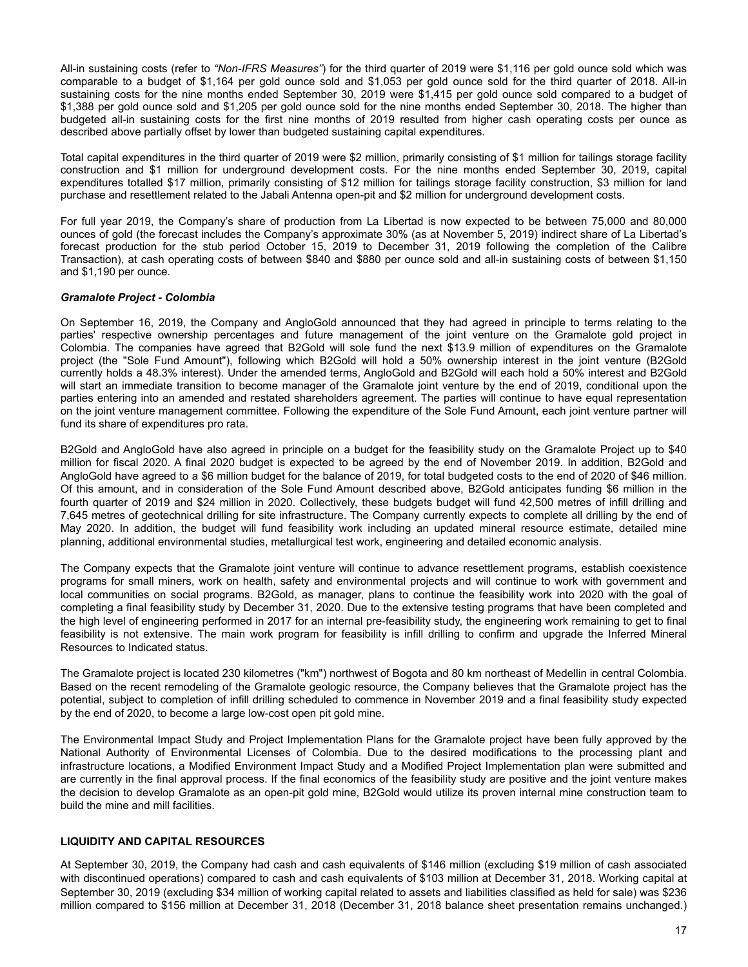<span id="page-16-0"></span>All-in sustaining costs (refer to *"Non-IFRS Measures"*) for the third quarter of 2019 were \$1,116 per gold ounce sold which was comparable to a budget of \$1,164 per gold ounce sold and \$1,053 per gold ounce sold for the third quarter of 2018. All-in sustaining costs for the nine months ended September 30, 2019 were \$1,415 per gold ounce sold compared to a budget of \$1,388 per gold ounce sold and \$1,205 per gold ounce sold for the nine months ended September 30, 2018. The higher than budgeted all-in sustaining costs for the first nine months of 2019 resulted from higher cash operating costs per ounce as described above partially offset by lower than budgeted sustaining capital expenditures.

Total capital expenditures in the third quarter of 2019 were \$2 million, primarily consisting of \$1 million for tailings storage facility construction and \$1 million for underground development costs. For the nine months ended September 30, 2019, capital expenditures totalled \$17 million, primarily consisting of \$12 million for tailings storage facility construction, \$3 million for land purchase and resettlement related to the Jabali Antenna open-pit and \$2 million for underground development costs.

For full year 2019, the Company's share of production from La Libertad is now expected to be between 75,000 and 80,000 ounces of gold (the forecast includes the Company's approximate 30% (as at November 5, 2019) indirect share of La Libertad's forecast production for the stub period October 15, 2019 to December 31, 2019 following the completion of the Calibre Transaction), at cash operating costs of between \$840 and \$880 per ounce sold and all-in sustaining costs of between \$1,150 and \$1,190 per ounce.

# *Gramalote Project - Colombia*

On September 16, 2019, the Company and AngloGold announced that they had agreed in principle to terms relating to the parties' respective ownership percentages and future management of the joint venture on the Gramalote gold project in Colombia. The companies have agreed that B2Gold will sole fund the next \$13.9 million of expenditures on the Gramalote project (the "Sole Fund Amount"), following which B2Gold will hold a 50% ownership interest in the joint venture (B2Gold currently holds a 48.3% interest). Under the amended terms, AngloGold and B2Gold will each hold a 50% interest and B2Gold will start an immediate transition to become manager of the Gramalote joint venture by the end of 2019, conditional upon the parties entering into an amended and restated shareholders agreement. The parties will continue to have equal representation on the joint venture management committee. Following the expenditure of the Sole Fund Amount, each joint venture partner will fund its share of expenditures pro rata.

B2Gold and AngloGold have also agreed in principle on a budget for the feasibility study on the Gramalote Project up to \$40 million for fiscal 2020. A final 2020 budget is expected to be agreed by the end of November 2019. In addition, B2Gold and AngloGold have agreed to a \$6 million budget for the balance of 2019, for total budgeted costs to the end of 2020 of \$46 million. Of this amount, and in consideration of the Sole Fund Amount described above, B2Gold anticipates funding \$6 million in the fourth quarter of 2019 and \$24 million in 2020. Collectively, these budgets budget will fund 42,500 metres of infill drilling and 7,645 metres of geotechnical drilling for site infrastructure. The Company currently expects to complete all drilling by the end of May 2020. In addition, the budget will fund feasibility work including an updated mineral resource estimate, detailed mine planning, additional environmental studies, metallurgical test work, engineering and detailed economic analysis.

The Company expects that the Gramalote joint venture will continue to advance resettlement programs, establish coexistence programs for small miners, work on health, safety and environmental projects and will continue to work with government and local communities on social programs. B2Gold, as manager, plans to continue the feasibility work into 2020 with the goal of completing a final feasibility study by December 31, 2020. Due to the extensive testing programs that have been completed and the high level of engineering performed in 2017 for an internal pre-feasibility study, the engineering work remaining to get to final feasibility is not extensive. The main work program for feasibility is infill drilling to confirm and upgrade the Inferred Mineral Resources to Indicated status.

The Gramalote project is located 230 kilometres ("km") northwest of Bogota and 80 km northeast of Medellin in central Colombia. Based on the recent remodeling of the Gramalote geologic resource, the Company believes that the Gramalote project has the potential, subject to completion of infill drilling scheduled to commence in November 2019 and a final feasibility study expected by the end of 2020, to become a large low-cost open pit gold mine.

The Environmental Impact Study and Project Implementation Plans for the Gramalote project have been fully approved by the National Authority of Environmental Licenses of Colombia. Due to the desired modifications to the processing plant and infrastructure locations, a Modified Environment Impact Study and a Modified Project Implementation plan were submitted and are currently in the final approval process. If the final economics of the feasibility study are positive and the joint venture makes the decision to develop Gramalote as an open-pit gold mine, B2Gold would utilize its proven internal mine construction team to build the mine and mill facilities.

# **LIQUIDITY AND CAPITAL RESOURCES**

At September 30, 2019, the Company had cash and cash equivalents of \$146 million (excluding \$19 million of cash associated with discontinued operations) compared to cash and cash equivalents of \$103 million at December 31, 2018. Working capital at September 30, 2019 (excluding \$34 million of working capital related to assets and liabilities classified as held for sale) was \$236 million compared to \$156 million at December 31, 2018 (December 31, 2018 balance sheet presentation remains unchanged.)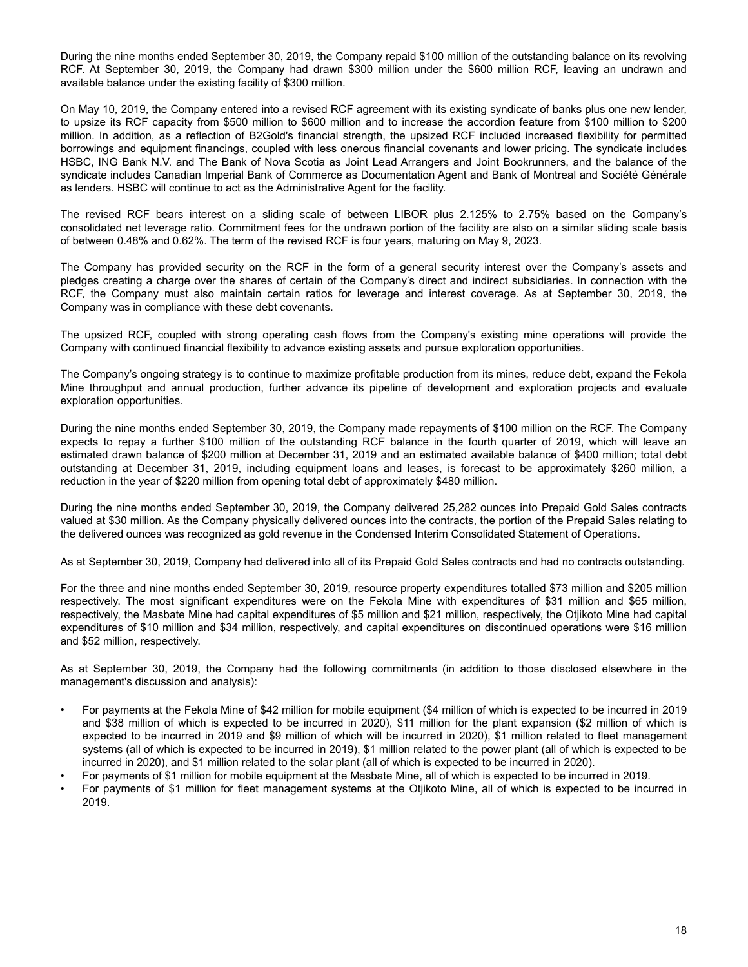During the nine months ended September 30, 2019, the Company repaid \$100 million of the outstanding balance on its revolving RCF. At September 30, 2019, the Company had drawn \$300 million under the \$600 million RCF, leaving an undrawn and available balance under the existing facility of \$300 million.

On May 10, 2019, the Company entered into a revised RCF agreement with its existing syndicate of banks plus one new lender, to upsize its RCF capacity from \$500 million to \$600 million and to increase the accordion feature from \$100 million to \$200 million. In addition, as a reflection of B2Gold's financial strength, the upsized RCF included increased flexibility for permitted borrowings and equipment financings, coupled with less onerous financial covenants and lower pricing. The syndicate includes HSBC, ING Bank N.V. and The Bank of Nova Scotia as Joint Lead Arrangers and Joint Bookrunners, and the balance of the syndicate includes Canadian Imperial Bank of Commerce as Documentation Agent and Bank of Montreal and Société Générale as lenders. HSBC will continue to act as the Administrative Agent for the facility.

The revised RCF bears interest on a sliding scale of between LIBOR plus 2.125% to 2.75% based on the Company's consolidated net leverage ratio. Commitment fees for the undrawn portion of the facility are also on a similar sliding scale basis of between 0.48% and 0.62%. The term of the revised RCF is four years, maturing on May 9, 2023.

The Company has provided security on the RCF in the form of a general security interest over the Company's assets and pledges creating a charge over the shares of certain of the Company's direct and indirect subsidiaries. In connection with the RCF, the Company must also maintain certain ratios for leverage and interest coverage. As at September 30, 2019, the Company was in compliance with these debt covenants.

The upsized RCF, coupled with strong operating cash flows from the Company's existing mine operations will provide the Company with continued financial flexibility to advance existing assets and pursue exploration opportunities.

The Company's ongoing strategy is to continue to maximize profitable production from its mines, reduce debt, expand the Fekola Mine throughput and annual production, further advance its pipeline of development and exploration projects and evaluate exploration opportunities.

During the nine months ended September 30, 2019, the Company made repayments of \$100 million on the RCF. The Company expects to repay a further \$100 million of the outstanding RCF balance in the fourth quarter of 2019, which will leave an estimated drawn balance of \$200 million at December 31, 2019 and an estimated available balance of \$400 million; total debt outstanding at December 31, 2019, including equipment loans and leases, is forecast to be approximately \$260 million, a reduction in the year of \$220 million from opening total debt of approximately \$480 million.

During the nine months ended September 30, 2019, the Company delivered 25,282 ounces into Prepaid Gold Sales contracts valued at \$30 million. As the Company physically delivered ounces into the contracts, the portion of the Prepaid Sales relating to the delivered ounces was recognized as gold revenue in the Condensed Interim Consolidated Statement of Operations.

As at September 30, 2019, Company had delivered into all of its Prepaid Gold Sales contracts and had no contracts outstanding.

For the three and nine months ended September 30, 2019, resource property expenditures totalled \$73 million and \$205 million respectively. The most significant expenditures were on the Fekola Mine with expenditures of \$31 million and \$65 million, respectively, the Masbate Mine had capital expenditures of \$5 million and \$21 million, respectively, the Otjikoto Mine had capital expenditures of \$10 million and \$34 million, respectively, and capital expenditures on discontinued operations were \$16 million and \$52 million, respectively.

As at September 30, 2019, the Company had the following commitments (in addition to those disclosed elsewhere in the management's discussion and analysis):

- For payments at the Fekola Mine of \$42 million for mobile equipment (\$4 million of which is expected to be incurred in 2019 and \$38 million of which is expected to be incurred in 2020), \$11 million for the plant expansion (\$2 million of which is expected to be incurred in 2019 and \$9 million of which will be incurred in 2020), \$1 million related to fleet management systems (all of which is expected to be incurred in 2019), \$1 million related to the power plant (all of which is expected to be incurred in 2020), and \$1 million related to the solar plant (all of which is expected to be incurred in 2020).
- For payments of \$1 million for mobile equipment at the Masbate Mine, all of which is expected to be incurred in 2019.
- For payments of \$1 million for fleet management systems at the Otjikoto Mine, all of which is expected to be incurred in 2019.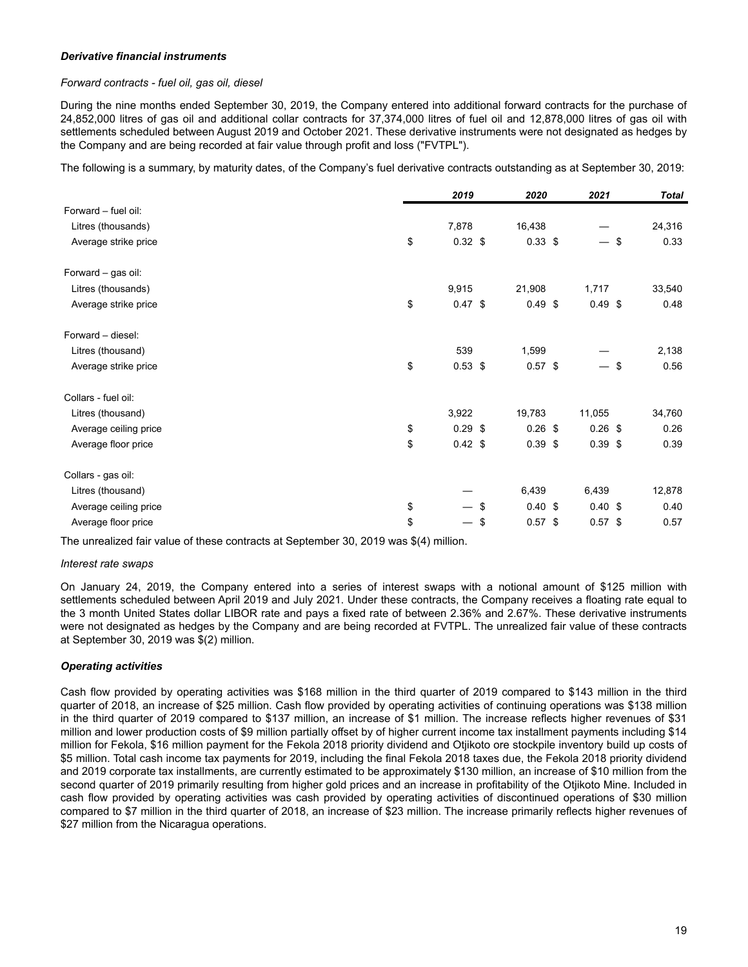# *Derivative financial instruments*

### *Forward contracts - fuel oil, gas oil, diesel*

During the nine months ended September 30, 2019, the Company entered into additional forward contracts for the purchase of 24,852,000 litres of gas oil and additional collar contracts for 37,374,000 litres of fuel oil and 12,878,000 litres of gas oil with settlements scheduled between August 2019 and October 2021. These derivative instruments were not designated as hedges by the Company and are being recorded at fair value through profit and loss ("FVTPL").

The following is a summary, by maturity dates, of the Company's fuel derivative contracts outstanding as at September 30, 2019:

|                       | 2019            | 2020            | 2021      | <b>Total</b> |
|-----------------------|-----------------|-----------------|-----------|--------------|
| Forward - fuel oil:   |                 |                 |           |              |
| Litres (thousands)    | 7,878           | 16,438          |           | 24,316       |
| Average strike price  | \$<br>$0.32$ \$ | $0.33$ \$       |           | \$<br>0.33   |
| Forward - gas oil:    |                 |                 |           |              |
| Litres (thousands)    | 9,915           | 21,908          | 1,717     | 33,540       |
| Average strike price  | \$<br>$0.47$ \$ | $0.49$ \$       | $0.49$ \$ | 0.48         |
| Forward - diesel:     |                 |                 |           |              |
| Litres (thousand)     | 539             | 1,599           |           | 2,138        |
| Average strike price  | \$<br>$0.53$ \$ | $0.57$ \$       | — \$      | 0.56         |
| Collars - fuel oil:   |                 |                 |           |              |
| Litres (thousand)     | 3,922           | 19,783          | 11,055    | 34,760       |
| Average ceiling price | \$<br>$0.29$ \$ | $0.26$ \$       | $0.26$ \$ | 0.26         |
| Average floor price   | \$<br>$0.42$ \$ | $0.39$ \$       | $0.39$ \$ | 0.39         |
| Collars - gas oil:    |                 |                 |           |              |
| Litres (thousand)     |                 | 6,439           | 6,439     | 12,878       |
| Average ceiling price | \$              | \$<br>0.40~\$   | 0.40~\$   | 0.40         |
| Average floor price   | \$              | \$<br>$0.57$ \$ | $0.57$ \$ | 0.57         |

The unrealized fair value of these contracts at September 30, 2019 was \$(4) million.

#### *Interest rate swaps*

On January 24, 2019, the Company entered into a series of interest swaps with a notional amount of \$125 million with settlements scheduled between April 2019 and July 2021. Under these contracts, the Company receives a floating rate equal to the 3 month United States dollar LIBOR rate and pays a fixed rate of between 2.36% and 2.67%. These derivative instruments were not designated as hedges by the Company and are being recorded at FVTPL. The unrealized fair value of these contracts at September 30, 2019 was \$(2) million.

# *Operating activities*

Cash flow provided by operating activities was \$168 million in the third quarter of 2019 compared to \$143 million in the third quarter of 2018, an increase of \$25 million. Cash flow provided by operating activities of continuing operations was \$138 million in the third quarter of 2019 compared to \$137 million, an increase of \$1 million. The increase reflects higher revenues of \$31 million and lower production costs of \$9 million partially offset by of higher current income tax installment payments including \$14 million for Fekola, \$16 million payment for the Fekola 2018 priority dividend and Otjikoto ore stockpile inventory build up costs of \$5 million. Total cash income tax payments for 2019, including the final Fekola 2018 taxes due, the Fekola 2018 priority dividend and 2019 corporate tax installments, are currently estimated to be approximately \$130 million, an increase of \$10 million from the second quarter of 2019 primarily resulting from higher gold prices and an increase in profitability of the Otjikoto Mine. Included in cash flow provided by operating activities was cash provided by operating activities of discontinued operations of \$30 million compared to \$7 million in the third quarter of 2018, an increase of \$23 million. The increase primarily reflects higher revenues of \$27 million from the Nicaragua operations.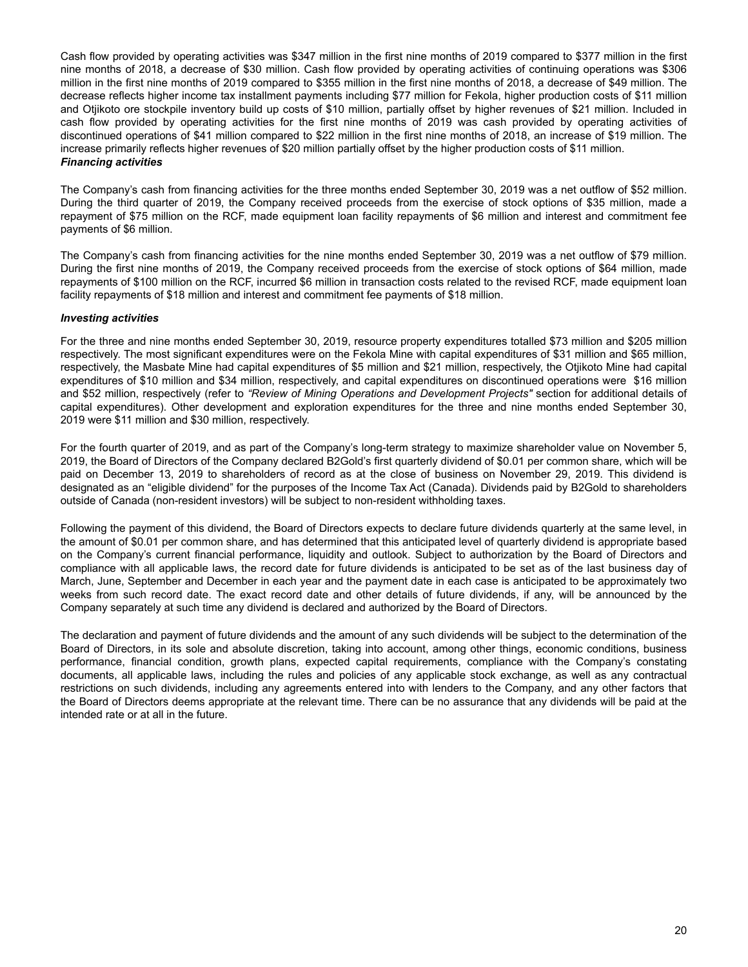Cash flow provided by operating activities was \$347 million in the first nine months of 2019 compared to \$377 million in the first nine months of 2018, a decrease of \$30 million. Cash flow provided by operating activities of continuing operations was \$306 million in the first nine months of 2019 compared to \$355 million in the first nine months of 2018, a decrease of \$49 million. The decrease reflects higher income tax installment payments including \$77 million for Fekola, higher production costs of \$11 million and Otjikoto ore stockpile inventory build up costs of \$10 million, partially offset by higher revenues of \$21 million. Included in cash flow provided by operating activities for the first nine months of 2019 was cash provided by operating activities of discontinued operations of \$41 million compared to \$22 million in the first nine months of 2018, an increase of \$19 million. The increase primarily reflects higher revenues of \$20 million partially offset by the higher production costs of \$11 million. *Financing activities*

The Company's cash from financing activities for the three months ended September 30, 2019 was a net outflow of \$52 million. During the third quarter of 2019, the Company received proceeds from the exercise of stock options of \$35 million, made a repayment of \$75 million on the RCF, made equipment loan facility repayments of \$6 million and interest and commitment fee payments of \$6 million.

The Company's cash from financing activities for the nine months ended September 30, 2019 was a net outflow of \$79 million. During the first nine months of 2019, the Company received proceeds from the exercise of stock options of \$64 million, made repayments of \$100 million on the RCF, incurred \$6 million in transaction costs related to the revised RCF, made equipment loan facility repayments of \$18 million and interest and commitment fee payments of \$18 million.

# *Investing activities*

For the three and nine months ended September 30, 2019, resource property expenditures totalled \$73 million and \$205 million respectively. The most significant expenditures were on the Fekola Mine with capital expenditures of \$31 million and \$65 million, respectively, the Masbate Mine had capital expenditures of \$5 million and \$21 million, respectively, the Otjikoto Mine had capital expenditures of \$10 million and \$34 million, respectively, and capital expenditures on discontinued operations were \$16 million and \$52 million, respectively (refer to *"Review of Mining Operations and Development Projects"* section for additional details of capital expenditures). Other development and exploration expenditures for the three and nine months ended September 30, 2019 were \$11 million and \$30 million, respectively.

For the fourth quarter of 2019, and as part of the Company's long-term strategy to maximize shareholder value on November 5, 2019, the Board of Directors of the Company declared B2Gold's first quarterly dividend of \$0.01 per common share, which will be paid on December 13, 2019 to shareholders of record as at the close of business on November 29, 2019. This dividend is designated as an "eligible dividend" for the purposes of the Income Tax Act (Canada). Dividends paid by B2Gold to shareholders outside of Canada (non-resident investors) will be subject to non-resident withholding taxes.

Following the payment of this dividend, the Board of Directors expects to declare future dividends quarterly at the same level, in the amount of \$0.01 per common share, and has determined that this anticipated level of quarterly dividend is appropriate based on the Company's current financial performance, liquidity and outlook. Subject to authorization by the Board of Directors and compliance with all applicable laws, the record date for future dividends is anticipated to be set as of the last business day of March, June, September and December in each year and the payment date in each case is anticipated to be approximately two weeks from such record date. The exact record date and other details of future dividends, if any, will be announced by the Company separately at such time any dividend is declared and authorized by the Board of Directors.

The declaration and payment of future dividends and the amount of any such dividends will be subject to the determination of the Board of Directors, in its sole and absolute discretion, taking into account, among other things, economic conditions, business performance, financial condition, growth plans, expected capital requirements, compliance with the Company's constating documents, all applicable laws, including the rules and policies of any applicable stock exchange, as well as any contractual restrictions on such dividends, including any agreements entered into with lenders to the Company, and any other factors that the Board of Directors deems appropriate at the relevant time. There can be no assurance that any dividends will be paid at the intended rate or at all in the future.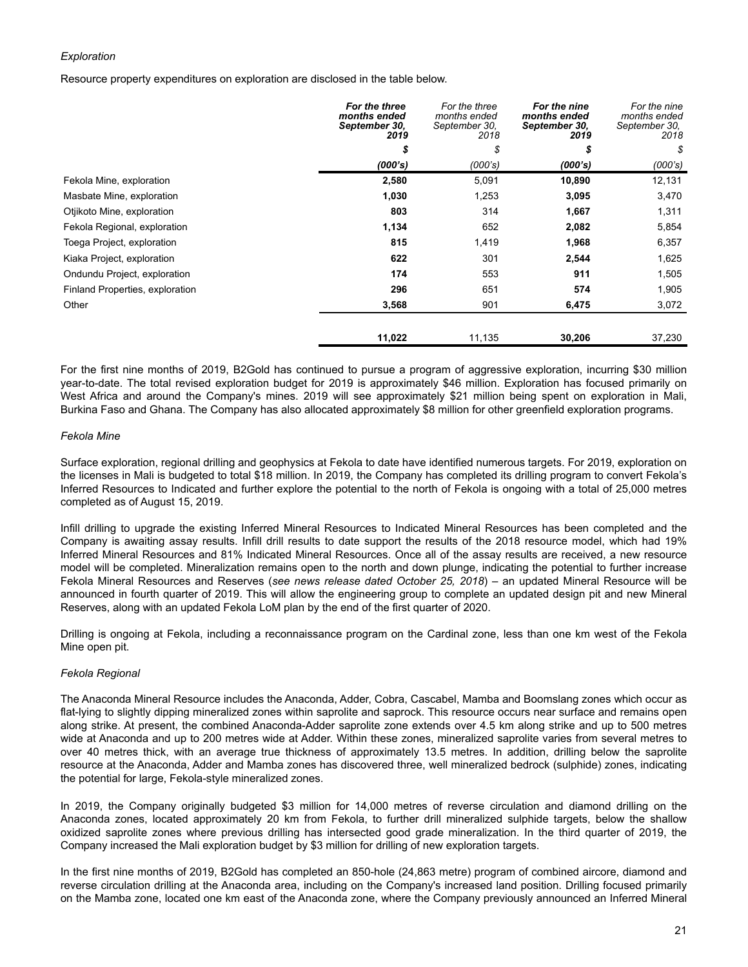# *Exploration*

Resource property expenditures on exploration are disclosed in the table below.

|                                 | For the three<br>months ended<br>September 30,<br>2019 | For the three<br>months ended<br>September 30,<br>2018 | For the nine<br>months ended<br>September 30,<br>2019 | For the nine<br>months ended<br>September 30,<br>2018 |
|---------------------------------|--------------------------------------------------------|--------------------------------------------------------|-------------------------------------------------------|-------------------------------------------------------|
|                                 | \$                                                     | \$                                                     | S                                                     | \$                                                    |
|                                 | (000's)                                                | (000's)                                                | (000's)                                               | (000's)                                               |
| Fekola Mine, exploration        | 2,580                                                  | 5,091                                                  | 10,890                                                | 12,131                                                |
| Masbate Mine, exploration       | 1,030                                                  | 1,253                                                  | 3,095                                                 | 3,470                                                 |
| Otjikoto Mine, exploration      | 803                                                    | 314                                                    | 1,667                                                 | 1,311                                                 |
| Fekola Regional, exploration    | 1,134                                                  | 652                                                    | 2,082                                                 | 5,854                                                 |
| Toega Project, exploration      | 815                                                    | 1,419                                                  | 1,968                                                 | 6,357                                                 |
| Kiaka Project, exploration      | 622                                                    | 301                                                    | 2,544                                                 | 1,625                                                 |
| Ondundu Project, exploration    | 174                                                    | 553                                                    | 911                                                   | 1,505                                                 |
| Finland Properties, exploration | 296                                                    | 651                                                    | 574                                                   | 1,905                                                 |
| Other                           | 3,568                                                  | 901                                                    | 6,475                                                 | 3,072                                                 |
|                                 | 11,022                                                 | 11,135                                                 | 30,206                                                | 37,230                                                |

For the first nine months of 2019, B2Gold has continued to pursue a program of aggressive exploration, incurring \$30 million year-to-date. The total revised exploration budget for 2019 is approximately \$46 million. Exploration has focused primarily on West Africa and around the Company's mines. 2019 will see approximately \$21 million being spent on exploration in Mali, Burkina Faso and Ghana. The Company has also allocated approximately \$8 million for other greenfield exploration programs.

#### *Fekola Mine*

Surface exploration, regional drilling and geophysics at Fekola to date have identified numerous targets. For 2019, exploration on the licenses in Mali is budgeted to total \$18 million. In 2019, the Company has completed its drilling program to convert Fekola's Inferred Resources to Indicated and further explore the potential to the north of Fekola is ongoing with a total of 25,000 metres completed as of August 15, 2019.

Infill drilling to upgrade the existing Inferred Mineral Resources to Indicated Mineral Resources has been completed and the Company is awaiting assay results. Infill drill results to date support the results of the 2018 resource model, which had 19% Inferred Mineral Resources and 81% Indicated Mineral Resources. Once all of the assay results are received, a new resource model will be completed. Mineralization remains open to the north and down plunge, indicating the potential to further increase Fekola Mineral Resources and Reserves (*see news release dated October 25, 2018*) – an updated Mineral Resource will be announced in fourth quarter of 2019. This will allow the engineering group to complete an updated design pit and new Mineral Reserves, along with an updated Fekola LoM plan by the end of the first quarter of 2020.

Drilling is ongoing at Fekola, including a reconnaissance program on the Cardinal zone, less than one km west of the Fekola Mine open pit.

# *Fekola Regional*

The Anaconda Mineral Resource includes the Anaconda, Adder, Cobra, Cascabel, Mamba and Boomslang zones which occur as flat-lying to slightly dipping mineralized zones within saprolite and saprock. This resource occurs near surface and remains open along strike. At present, the combined Anaconda-Adder saprolite zone extends over 4.5 km along strike and up to 500 metres wide at Anaconda and up to 200 metres wide at Adder. Within these zones, mineralized saprolite varies from several metres to over 40 metres thick, with an average true thickness of approximately 13.5 metres. In addition, drilling below the saprolite resource at the Anaconda, Adder and Mamba zones has discovered three, well mineralized bedrock (sulphide) zones, indicating the potential for large, Fekola-style mineralized zones.

In 2019, the Company originally budgeted \$3 million for 14,000 metres of reverse circulation and diamond drilling on the Anaconda zones, located approximately 20 km from Fekola, to further drill mineralized sulphide targets, below the shallow oxidized saprolite zones where previous drilling has intersected good grade mineralization. In the third quarter of 2019, the Company increased the Mali exploration budget by \$3 million for drilling of new exploration targets.

In the first nine months of 2019, B2Gold has completed an 850-hole (24,863 metre) program of combined aircore, diamond and reverse circulation drilling at the Anaconda area, including on the Company's increased land position. Drilling focused primarily on the Mamba zone, located one km east of the Anaconda zone, where the Company previously announced an Inferred Mineral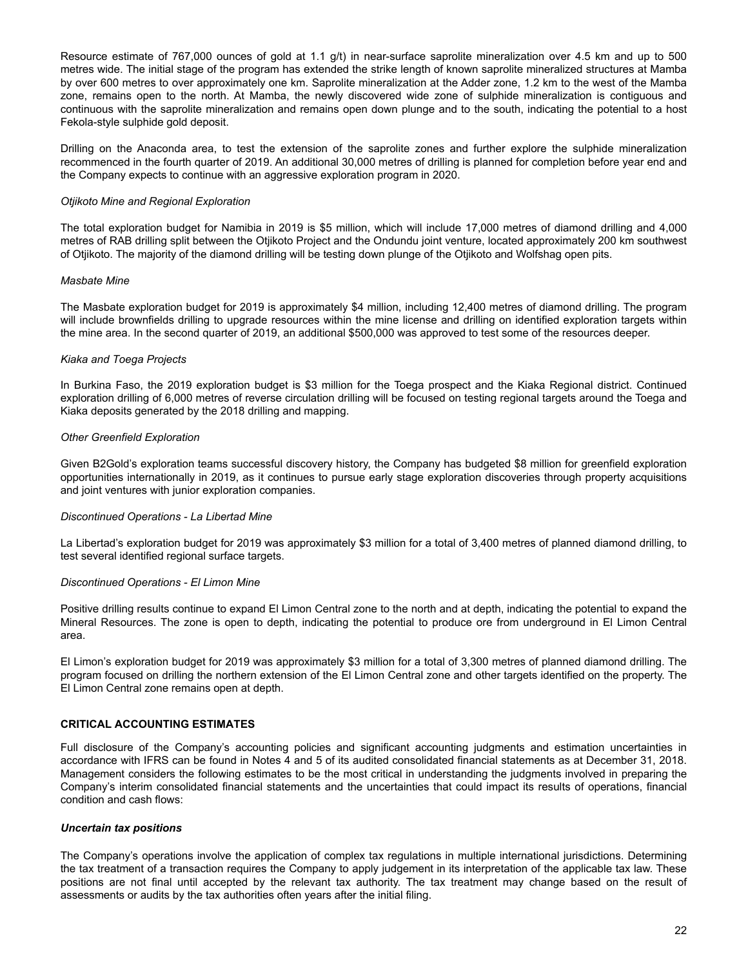<span id="page-21-0"></span>Resource estimate of 767,000 ounces of gold at 1.1 g/t) in near-surface saprolite mineralization over 4.5 km and up to 500 metres wide. The initial stage of the program has extended the strike length of known saprolite mineralized structures at Mamba by over 600 metres to over approximately one km. Saprolite mineralization at the Adder zone, 1.2 km to the west of the Mamba zone, remains open to the north. At Mamba, the newly discovered wide zone of sulphide mineralization is contiguous and continuous with the saprolite mineralization and remains open down plunge and to the south, indicating the potential to a host Fekola-style sulphide gold deposit.

Drilling on the Anaconda area, to test the extension of the saprolite zones and further explore the sulphide mineralization recommenced in the fourth quarter of 2019. An additional 30,000 metres of drilling is planned for completion before year end and the Company expects to continue with an aggressive exploration program in 2020.

# *Otjikoto Mine and Regional Exploration*

The total exploration budget for Namibia in 2019 is \$5 million, which will include 17,000 metres of diamond drilling and 4,000 metres of RAB drilling split between the Otjikoto Project and the Ondundu joint venture, located approximately 200 km southwest of Otjikoto. The majority of the diamond drilling will be testing down plunge of the Otjikoto and Wolfshag open pits.

# *Masbate Mine*

The Masbate exploration budget for 2019 is approximately \$4 million, including 12,400 metres of diamond drilling. The program will include brownfields drilling to upgrade resources within the mine license and drilling on identified exploration targets within the mine area. In the second quarter of 2019, an additional \$500,000 was approved to test some of the resources deeper.

# *Kiaka and Toega Projects*

In Burkina Faso, the 2019 exploration budget is \$3 million for the Toega prospect and the Kiaka Regional district. Continued exploration drilling of 6,000 metres of reverse circulation drilling will be focused on testing regional targets around the Toega and Kiaka deposits generated by the 2018 drilling and mapping.

# *Other Greenfield Exploration*

Given B2Gold's exploration teams successful discovery history, the Company has budgeted \$8 million for greenfield exploration opportunities internationally in 2019, as it continues to pursue early stage exploration discoveries through property acquisitions and joint ventures with junior exploration companies.

# *Discontinued Operations - La Libertad Mine*

La Libertad's exploration budget for 2019 was approximately \$3 million for a total of 3,400 metres of planned diamond drilling, to test several identified regional surface targets.

# *Discontinued Operations - El Limon Mine*

Positive drilling results continue to expand El Limon Central zone to the north and at depth, indicating the potential to expand the Mineral Resources. The zone is open to depth, indicating the potential to produce ore from underground in El Limon Central area.

El Limon's exploration budget for 2019 was approximately \$3 million for a total of 3,300 metres of planned diamond drilling. The program focused on drilling the northern extension of the El Limon Central zone and other targets identified on the property. The El Limon Central zone remains open at depth.

# **CRITICAL ACCOUNTING ESTIMATES**

Full disclosure of the Company's accounting policies and significant accounting judgments and estimation uncertainties in accordance with IFRS can be found in Notes 4 and 5 of its audited consolidated financial statements as at December 31, 2018. Management considers the following estimates to be the most critical in understanding the judgments involved in preparing the Company's interim consolidated financial statements and the uncertainties that could impact its results of operations, financial condition and cash flows:

# *Uncertain tax positions*

The Company's operations involve the application of complex tax regulations in multiple international jurisdictions. Determining the tax treatment of a transaction requires the Company to apply judgement in its interpretation of the applicable tax law. These positions are not final until accepted by the relevant tax authority. The tax treatment may change based on the result of assessments or audits by the tax authorities often years after the initial filing.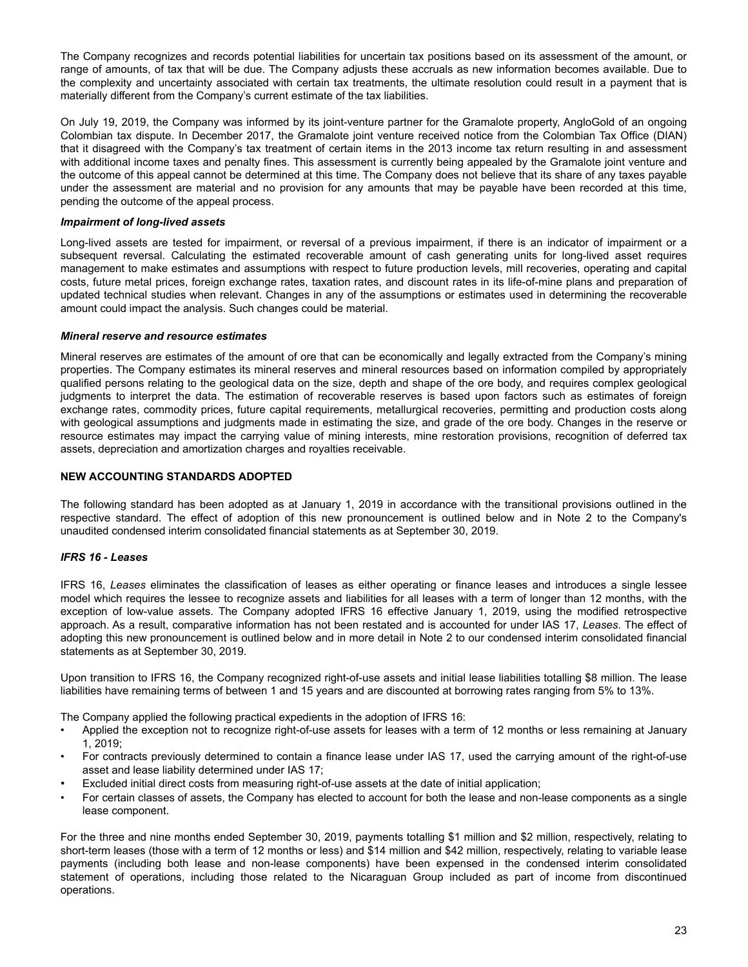The Company recognizes and records potential liabilities for uncertain tax positions based on its assessment of the amount, or range of amounts, of tax that will be due. The Company adjusts these accruals as new information becomes available. Due to the complexity and uncertainty associated with certain tax treatments, the ultimate resolution could result in a payment that is materially different from the Company's current estimate of the tax liabilities.

On July 19, 2019, the Company was informed by its joint-venture partner for the Gramalote property, AngloGold of an ongoing Colombian tax dispute. In December 2017, the Gramalote joint venture received notice from the Colombian Tax Office (DIAN) that it disagreed with the Company's tax treatment of certain items in the 2013 income tax return resulting in and assessment with additional income taxes and penalty fines. This assessment is currently being appealed by the Gramalote joint venture and the outcome of this appeal cannot be determined at this time. The Company does not believe that its share of any taxes payable under the assessment are material and no provision for any amounts that may be payable have been recorded at this time, pending the outcome of the appeal process.

# *Impairment of long-lived assets*

Long-lived assets are tested for impairment, or reversal of a previous impairment, if there is an indicator of impairment or a subsequent reversal. Calculating the estimated recoverable amount of cash generating units for long-lived asset requires management to make estimates and assumptions with respect to future production levels, mill recoveries, operating and capital costs, future metal prices, foreign exchange rates, taxation rates, and discount rates in its life-of-mine plans and preparation of updated technical studies when relevant. Changes in any of the assumptions or estimates used in determining the recoverable amount could impact the analysis. Such changes could be material.

# *Mineral reserve and resource estimates*

Mineral reserves are estimates of the amount of ore that can be economically and legally extracted from the Company's mining properties. The Company estimates its mineral reserves and mineral resources based on information compiled by appropriately qualified persons relating to the geological data on the size, depth and shape of the ore body, and requires complex geological judgments to interpret the data. The estimation of recoverable reserves is based upon factors such as estimates of foreign exchange rates, commodity prices, future capital requirements, metallurgical recoveries, permitting and production costs along with geological assumptions and judgments made in estimating the size, and grade of the ore body. Changes in the reserve or resource estimates may impact the carrying value of mining interests, mine restoration provisions, recognition of deferred tax assets, depreciation and amortization charges and royalties receivable.

# **NEW ACCOUNTING STANDARDS ADOPTED**

The following standard has been adopted as at January 1, 2019 in accordance with the transitional provisions outlined in the respective standard. The effect of adoption of this new pronouncement is outlined below and in Note 2 to the Company's unaudited condensed interim consolidated financial statements as at September 30, 2019.

# *IFRS 16 - Leases*

IFRS 16, *Leases* eliminates the classification of leases as either operating or finance leases and introduces a single lessee model which requires the lessee to recognize assets and liabilities for all leases with a term of longer than 12 months, with the exception of low-value assets. The Company adopted IFRS 16 effective January 1, 2019, using the modified retrospective approach. As a result, comparative information has not been restated and is accounted for under IAS 17, *Leases*. The effect of adopting this new pronouncement is outlined below and in more detail in Note 2 to our condensed interim consolidated financial statements as at September 30, 2019.

Upon transition to IFRS 16, the Company recognized right-of-use assets and initial lease liabilities totalling \$8 million. The lease liabilities have remaining terms of between 1 and 15 years and are discounted at borrowing rates ranging from 5% to 13%.

The Company applied the following practical expedients in the adoption of IFRS 16:

- Applied the exception not to recognize right-of-use assets for leases with a term of 12 months or less remaining at January 1, 2019;
- For contracts previously determined to contain a finance lease under IAS 17, used the carrying amount of the right-of-use asset and lease liability determined under IAS 17;
- Excluded initial direct costs from measuring right-of-use assets at the date of initial application;
- For certain classes of assets, the Company has elected to account for both the lease and non-lease components as a single lease component.

For the three and nine months ended September 30, 2019, payments totalling \$1 million and \$2 million, respectively, relating to short-term leases (those with a term of 12 months or less) and \$14 million and \$42 million, respectively, relating to variable lease payments (including both lease and non-lease components) have been expensed in the condensed interim consolidated statement of operations, including those related to the Nicaraguan Group included as part of income from discontinued operations.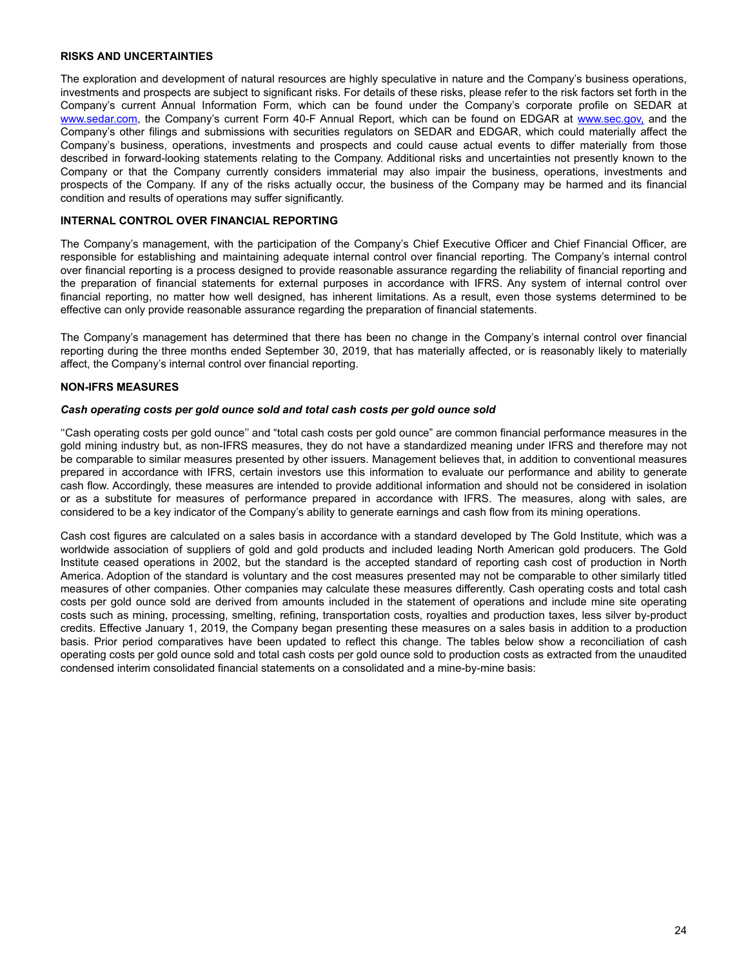# <span id="page-23-0"></span>**RISKS AND UNCERTAINTIES**

The exploration and development of natural resources are highly speculative in nature and the Company's business operations, investments and prospects are subject to significant risks. For details of these risks, please refer to the risk factors set forth in the Company's current Annual Information Form, which can be found under the Company's corporate profile on SEDAR at www.sedar.com, the Company's current Form 40-F Annual Report, which can be found on EDGAR at www.sec.gov, and the Company's other filings and submissions with securities regulators on SEDAR and EDGAR, which could materially affect the Company's business, operations, investments and prospects and could cause actual events to differ materially from those described in forward-looking statements relating to the Company. Additional risks and uncertainties not presently known to the Company or that the Company currently considers immaterial may also impair the business, operations, investments and prospects of the Company. If any of the risks actually occur, the business of the Company may be harmed and its financial condition and results of operations may suffer significantly.

# **INTERNAL CONTROL OVER FINANCIAL REPORTING**

The Company's management, with the participation of the Company's Chief Executive Officer and Chief Financial Officer, are responsible for establishing and maintaining adequate internal control over financial reporting. The Company's internal control over financial reporting is a process designed to provide reasonable assurance regarding the reliability of financial reporting and the preparation of financial statements for external purposes in accordance with IFRS. Any system of internal control over financial reporting, no matter how well designed, has inherent limitations. As a result, even those systems determined to be effective can only provide reasonable assurance regarding the preparation of financial statements.

The Company's management has determined that there has been no change in the Company's internal control over financial reporting during the three months ended September 30, 2019, that has materially affected, or is reasonably likely to materially affect, the Company's internal control over financial reporting.

# **NON-IFRS MEASURES**

# *Cash operating costs per gold ounce sold and total cash costs per gold ounce sold*

''Cash operating costs per gold ounce'' and "total cash costs per gold ounce" are common financial performance measures in the gold mining industry but, as non-IFRS measures, they do not have a standardized meaning under IFRS and therefore may not be comparable to similar measures presented by other issuers. Management believes that, in addition to conventional measures prepared in accordance with IFRS, certain investors use this information to evaluate our performance and ability to generate cash flow. Accordingly, these measures are intended to provide additional information and should not be considered in isolation or as a substitute for measures of performance prepared in accordance with IFRS. The measures, along with sales, are considered to be a key indicator of the Company's ability to generate earnings and cash flow from its mining operations.

Cash cost figures are calculated on a sales basis in accordance with a standard developed by The Gold Institute, which was a worldwide association of suppliers of gold and gold products and included leading North American gold producers. The Gold Institute ceased operations in 2002, but the standard is the accepted standard of reporting cash cost of production in North America. Adoption of the standard is voluntary and the cost measures presented may not be comparable to other similarly titled measures of other companies. Other companies may calculate these measures differently. Cash operating costs and total cash costs per gold ounce sold are derived from amounts included in the statement of operations and include mine site operating costs such as mining, processing, smelting, refining, transportation costs, royalties and production taxes, less silver by-product credits. Effective January 1, 2019, the Company began presenting these measures on a sales basis in addition to a production basis. Prior period comparatives have been updated to reflect this change. The tables below show a reconciliation of cash operating costs per gold ounce sold and total cash costs per gold ounce sold to production costs as extracted from the unaudited condensed interim consolidated financial statements on a consolidated and a mine-by-mine basis: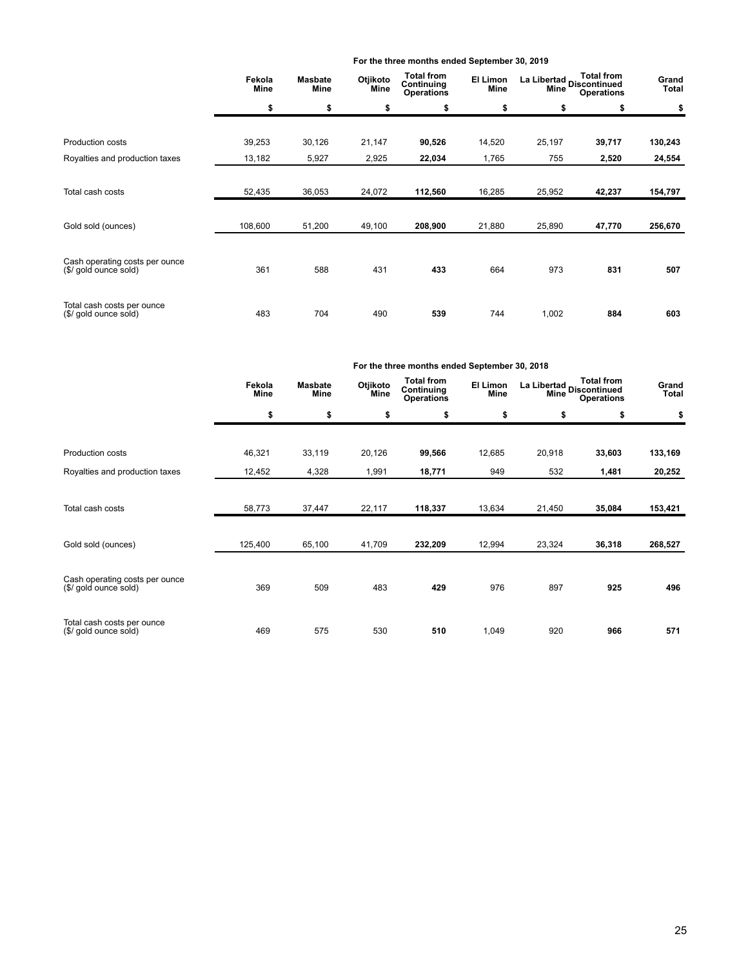|                                                     | Fekola<br>Mine | <b>Masbate</b><br>Mine | Otjikoto<br>Mine | <b>Total from</b><br>Continuing<br><b>Operations</b> | El Limon<br>Mine |        | <b>Total from</b><br>La Libertad<br>Mine Discontinued<br><b>Operations</b> |         |
|-----------------------------------------------------|----------------|------------------------|------------------|------------------------------------------------------|------------------|--------|----------------------------------------------------------------------------|---------|
|                                                     | \$             | \$                     | \$               | \$                                                   | \$               | \$     | \$                                                                         | \$      |
|                                                     |                |                        |                  |                                                      |                  |        |                                                                            |         |
| <b>Production costs</b>                             | 39,253         | 30,126                 | 21,147           | 90,526                                               | 14,520           | 25,197 | 39,717                                                                     | 130,243 |
| Royalties and production taxes                      | 13,182         | 5,927                  | 2,925            | 22,034                                               | 1,765            | 755    | 2,520                                                                      | 24,554  |
|                                                     |                |                        |                  |                                                      |                  |        |                                                                            |         |
| Total cash costs                                    | 52,435         | 36,053                 | 24,072           | 112,560                                              | 16,285           | 25,952 | 42,237                                                                     | 154,797 |
|                                                     |                |                        |                  |                                                      |                  |        |                                                                            |         |
| Gold sold (ounces)                                  | 108,600        | 51,200                 | 49,100           | 208,900                                              | 21,880           | 25,890 | 47,770                                                                     | 256,670 |
| Cash operating costs per ounce                      |                |                        |                  |                                                      |                  |        |                                                                            |         |
| (\$/ gold ounce sold)                               | 361            | 588                    | 431              | 433                                                  | 664              | 973    | 831                                                                        | 507     |
|                                                     |                |                        |                  |                                                      |                  |        |                                                                            |         |
| Total cash costs per ounce<br>(\$/ gold ounce sold) | 483            | 704                    | 490              | 539                                                  | 744              | 1,002  | 884                                                                        | 603     |

**For the three months ended September 30, 2019**

|                                                         | For the three months ended September 30, 2018 |                        |                  |                                                      |                  |                                  |                                        |                |  |  |  |
|---------------------------------------------------------|-----------------------------------------------|------------------------|------------------|------------------------------------------------------|------------------|----------------------------------|----------------------------------------|----------------|--|--|--|
|                                                         | Fekola<br>Mine                                | <b>Masbate</b><br>Mine | Otjikoto<br>Mine | <b>Total from</b><br>Continuing<br><b>Operations</b> | El Limon<br>Mine | La Libertad Discontinued<br>Mine | <b>Total from</b><br><b>Operations</b> | Grand<br>Total |  |  |  |
|                                                         | \$                                            | \$                     | \$               | \$                                                   | \$               | \$                               | \$                                     | \$             |  |  |  |
| Production costs                                        | 46,321                                        | 33,119                 | 20,126           | 99,566                                               | 12,685           | 20,918                           | 33,603                                 | 133,169        |  |  |  |
| Royalties and production taxes                          | 12,452                                        | 4,328                  | 1,991            | 18,771                                               | 949              | 532                              | 1,481                                  | 20,252         |  |  |  |
| Total cash costs                                        | 58,773                                        | 37,447                 | 22,117           | 118,337                                              | 13,634           | 21,450                           | 35,084                                 | 153,421        |  |  |  |
| Gold sold (ounces)                                      | 125,400                                       | 65,100                 | 41,709           | 232,209                                              | 12,994           | 23,324                           | 36,318                                 | 268,527        |  |  |  |
| Cash operating costs per ounce<br>(\$/ gold ounce sold) | 369                                           | 509                    | 483              | 429                                                  | 976              | 897                              | 925                                    | 496            |  |  |  |
| Total cash costs per ounce<br>(\$/ gold ounce sold)     | 469                                           | 575                    | 530              | 510                                                  | 1,049            | 920                              | 966                                    | 571            |  |  |  |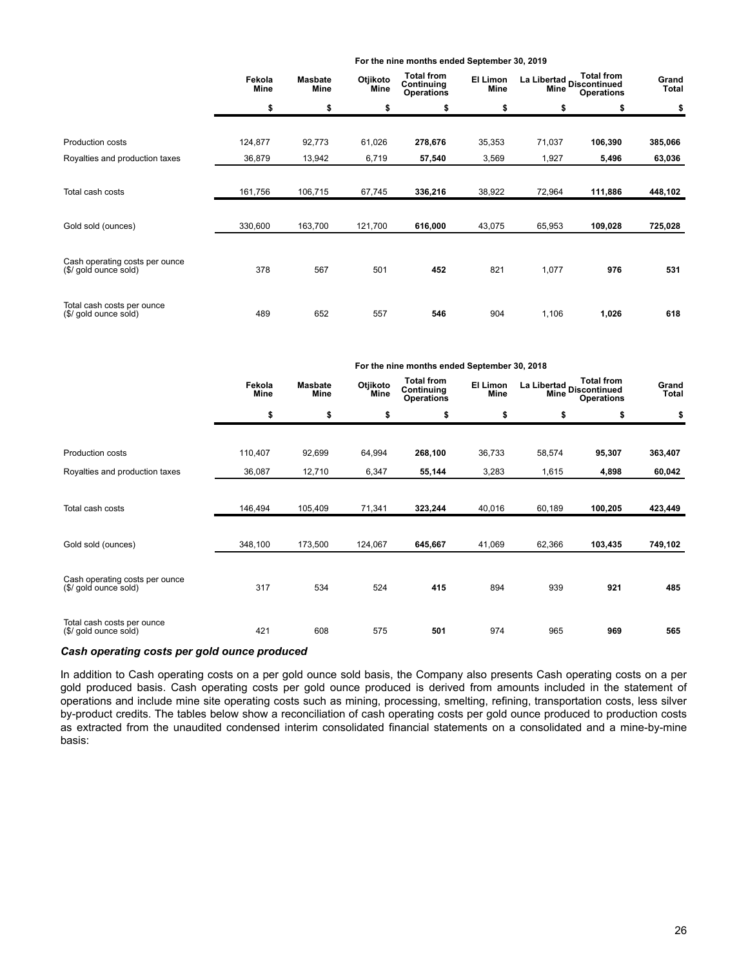|                                                         |                       |                        |                         | For the nine months ended September 30, 2019         |                         |                                   |                   |                       |
|---------------------------------------------------------|-----------------------|------------------------|-------------------------|------------------------------------------------------|-------------------------|-----------------------------------|-------------------|-----------------------|
|                                                         | Fekola<br><b>Mine</b> | <b>Masbate</b><br>Mine | Otjikoto<br><b>Mine</b> | <b>Total from</b><br>Continuing<br><b>Operations</b> | El Limon<br><b>Mine</b> | La Libertad<br>Aline Discontinued | <b>Operations</b> | Grand<br><b>Total</b> |
|                                                         | \$                    | \$                     | \$                      | \$                                                   | \$                      | \$                                | \$                | \$                    |
| Production costs                                        | 124,877               | 92,773                 | 61,026                  | 278,676                                              | 35,353                  | 71,037                            | 106,390           | 385,066               |
| Royalties and production taxes                          | 36,879                | 13,942                 | 6,719                   | 57,540                                               | 3,569                   | 1,927                             | 5,496             | 63,036                |
| Total cash costs                                        | 161,756               | 106,715                | 67,745                  | 336,216                                              | 38,922                  | 72,964                            | 111,886           | 448,102               |
| Gold sold (ounces)                                      | 330,600               | 163,700                | 121,700                 | 616,000                                              | 43,075                  | 65,953                            | 109,028           | 725,028               |
| Cash operating costs per ounce<br>(\$/ gold ounce sold) | 378                   | 567                    | 501                     | 452                                                  | 821                     | 1,077                             | 976               | 531                   |
| Total cash costs per ounce<br>(\$/ gold ounce sold)     | 489                   | 652                    | 557                     | 546                                                  | 904                     | 1,106                             | 1,026             | 618                   |

|                                                         |                |                               |                  | For the nine months ended September 30, 2018         |                  |                                                                               |         |                |
|---------------------------------------------------------|----------------|-------------------------------|------------------|------------------------------------------------------|------------------|-------------------------------------------------------------------------------|---------|----------------|
|                                                         | Fekola<br>Mine | <b>Masbate</b><br><b>Mine</b> | Otjikoto<br>Mine | <b>Total from</b><br>Continuing<br><b>Operations</b> | El Limon<br>Mine | <b>Total from</b><br>La Libertad<br>Discontinued<br>Mine<br><b>Operations</b> |         | Grand<br>Total |
|                                                         | \$             | \$                            | \$               | \$                                                   | \$               | \$                                                                            | \$      | \$             |
| Production costs                                        | 110,407        | 92,699                        | 64,994           | 268,100                                              | 36,733           | 58,574                                                                        | 95,307  | 363,407        |
| Royalties and production taxes                          | 36,087         | 12,710                        | 6,347            | 55,144                                               | 3,283            | 1,615                                                                         | 4,898   | 60,042         |
| Total cash costs                                        | 146,494        | 105,409                       | 71,341           | 323,244                                              | 40,016           | 60,189                                                                        | 100,205 | 423,449        |
| Gold sold (ounces)                                      | 348,100        | 173,500                       | 124,067          | 645,667                                              | 41,069           | 62,366                                                                        | 103,435 | 749,102        |
| Cash operating costs per ounce<br>(\$/ gold ounce sold) | 317            | 534                           | 524              | 415                                                  | 894              | 939                                                                           | 921     | 485            |
| Total cash costs per ounce<br>(\$/ gold ounce sold)     | 421            | 608                           | 575              | 501                                                  | 974              | 965                                                                           | 969     | 565            |

# *Cash operating costs per gold ounce produced*

In addition to Cash operating costs on a per gold ounce sold basis, the Company also presents Cash operating costs on a per gold produced basis. Cash operating costs per gold ounce produced is derived from amounts included in the statement of operations and include mine site operating costs such as mining, processing, smelting, refining, transportation costs, less silver by-product credits. The tables below show a reconciliation of cash operating costs per gold ounce produced to production costs as extracted from the unaudited condensed interim consolidated financial statements on a consolidated and a mine-by-mine basis: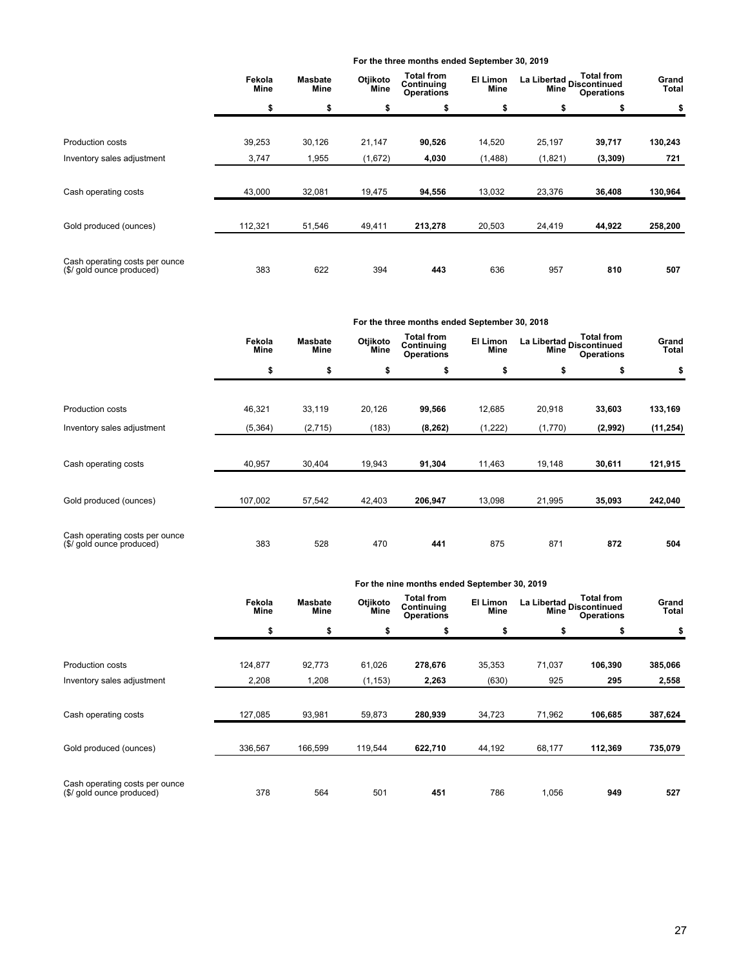|                                                             |                |                        |                  | For the three months ended September 30, 2019        |                  |                                                        |          |                |
|-------------------------------------------------------------|----------------|------------------------|------------------|------------------------------------------------------|------------------|--------------------------------------------------------|----------|----------------|
|                                                             | Fekola<br>Mine | <b>Masbate</b><br>Mine | Otjikoto<br>Mine | <b>Total from</b><br>Continuing<br><b>Operations</b> | El Limon<br>Mine | La Libertad<br>Alima Discontinued<br><b>Operations</b> |          | Grand<br>Total |
|                                                             | \$             | \$                     | \$               | \$                                                   | \$               | \$                                                     | \$       | \$             |
| <b>Production costs</b>                                     | 39,253         | 30,126                 | 21,147           | 90,526                                               | 14,520           | 25,197                                                 | 39,717   | 130,243        |
| Inventory sales adjustment                                  | 3,747          | 1,955                  | (1,672)          | 4,030                                                | (1,488)          | (1,821)                                                | (3, 309) | 721            |
| Cash operating costs                                        | 43,000         | 32,081                 | 19,475           | 94,556                                               | 13,032           | 23,376                                                 | 36,408   | 130,964        |
| Gold produced (ounces)                                      | 112,321        | 51,546                 | 49,411           | 213,278                                              | 20,503           | 24,419                                                 | 44,922   | 258,200        |
| Cash operating costs per ounce<br>(\$/ gold ounce produced) | 383            | 622                    | 394              | 443                                                  | 636              | 957                                                    | 810      | 507            |

|                                                             |                |                               |                  | For the three months ended September 30, 2018        |                  |                                                                            |         |                |
|-------------------------------------------------------------|----------------|-------------------------------|------------------|------------------------------------------------------|------------------|----------------------------------------------------------------------------|---------|----------------|
|                                                             | Fekola<br>Mine | <b>Masbate</b><br><b>Mine</b> | Otjikoto<br>Mine | <b>Total from</b><br>Continuing<br><b>Operations</b> | El Limon<br>Mine | <b>Total from</b><br>La Libertad Discontinued<br>Mine<br><b>Operations</b> |         | Grand<br>Total |
|                                                             | \$             | \$                            | \$               | \$                                                   | \$               | \$                                                                         | \$      | \$             |
|                                                             |                |                               |                  |                                                      |                  |                                                                            |         |                |
| <b>Production costs</b>                                     | 46,321         | 33,119                        | 20,126           | 99,566                                               | 12,685           | 20,918                                                                     | 33,603  | 133,169        |
| Inventory sales adjustment                                  | (5, 364)       | (2,715)                       | (183)            | (8, 262)                                             | (1,222)          | (1,770)                                                                    | (2,992) | (11, 254)      |
|                                                             |                |                               |                  |                                                      |                  |                                                                            |         |                |
| Cash operating costs                                        | 40,957         | 30,404                        | 19,943           | 91,304                                               | 11,463           | 19,148                                                                     | 30,611  | 121,915        |
|                                                             |                |                               |                  |                                                      |                  |                                                                            |         |                |
| Gold produced (ounces)                                      | 107,002        | 57,542                        | 42,403           | 206,947                                              | 13,098           | 21,995                                                                     | 35,093  | 242,040        |
|                                                             |                |                               |                  |                                                      |                  |                                                                            |         |                |
| Cash operating costs per ounce<br>(\$/ gold ounce produced) | 383            | 528                           | 470              | 441                                                  | 875              | 871                                                                        | 872     | 504            |

| For the nine months ended September 30, 2019 |  |
|----------------------------------------------|--|
|----------------------------------------------|--|

|                                                             | Fekola<br><b>Mine</b> | <b>Masbate</b><br><b>Mine</b> | Otjikoto<br>Mine | <b>Total from</b><br>Continuing<br><b>Operations</b> | El Limon<br>Mine | La Libertad<br>Discontinued<br>Mine | <b>Total from</b><br><b>Operations</b> | Grand<br>Total |
|-------------------------------------------------------------|-----------------------|-------------------------------|------------------|------------------------------------------------------|------------------|-------------------------------------|----------------------------------------|----------------|
|                                                             | \$                    | \$                            | \$               | \$                                                   | \$               | \$                                  | \$                                     | \$             |
| <b>Production costs</b>                                     | 124,877               | 92,773                        | 61,026           | 278,676                                              | 35,353           | 71,037                              | 106,390                                | 385,066        |
| Inventory sales adjustment                                  | 2,208                 | 1,208                         | (1, 153)         | 2,263                                                | (630)            | 925                                 | 295                                    | 2,558          |
| Cash operating costs                                        | 127,085               | 93,981                        | 59,873           | 280,939                                              | 34,723           | 71,962                              | 106,685                                | 387,624        |
| Gold produced (ounces)                                      | 336,567               | 166,599                       | 119,544          | 622,710                                              | 44,192           | 68,177                              | 112,369                                | 735,079        |
| Cash operating costs per ounce<br>(\$/ gold ounce produced) | 378                   | 564                           | 501              | 451                                                  | 786              | 1,056                               | 949                                    | 527            |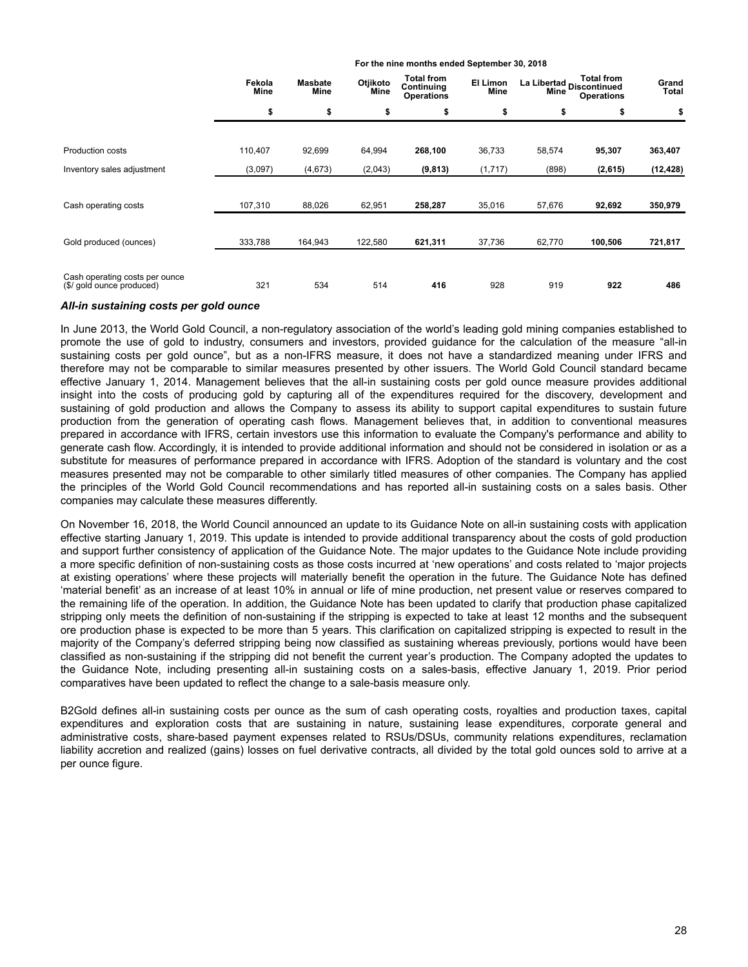|                                                             | Fekola<br>Mine | Otjikoto<br><b>Masbate</b><br>Mine<br>Mine | <b>Total from</b><br>Continuing<br><b>Operations</b> | El Limon<br>Mine | <b>Total from</b><br>La Libertad<br>Continued<br><b>Operations</b> |        | Grand<br>Total |           |
|-------------------------------------------------------------|----------------|--------------------------------------------|------------------------------------------------------|------------------|--------------------------------------------------------------------|--------|----------------|-----------|
|                                                             | \$             | \$                                         | \$                                                   | \$               | \$                                                                 | \$     | \$             | \$        |
| <b>Production costs</b>                                     | 110,407        | 92,699                                     | 64,994                                               | 268,100          | 36,733                                                             | 58,574 | 95,307         | 363,407   |
| Inventory sales adjustment                                  | (3,097)        | (4,673)                                    | (2,043)                                              | (9, 813)         | (1,717)                                                            | (898)  | (2,615)        | (12, 428) |
| Cash operating costs                                        | 107,310        | 88,026                                     | 62,951                                               | 258,287          | 35,016                                                             | 57,676 | 92,692         | 350,979   |
| Gold produced (ounces)                                      | 333,788        | 164,943                                    | 122,580                                              | 621,311          | 37,736                                                             | 62,770 | 100,506        | 721,817   |
| Cash operating costs per ounce<br>(\$/ gold ounce produced) | 321            | 534                                        | 514                                                  | 416              | 928                                                                | 919    | 922            | 486       |

**For the nine months ended September 30, 2018**

# *All-in sustaining costs per gold ounce*

In June 2013, the World Gold Council, a non-regulatory association of the world's leading gold mining companies established to promote the use of gold to industry, consumers and investors, provided guidance for the calculation of the measure "all-in sustaining costs per gold ounce", but as a non-IFRS measure, it does not have a standardized meaning under IFRS and therefore may not be comparable to similar measures presented by other issuers. The World Gold Council standard became effective January 1, 2014. Management believes that the all-in sustaining costs per gold ounce measure provides additional insight into the costs of producing gold by capturing all of the expenditures required for the discovery, development and sustaining of gold production and allows the Company to assess its ability to support capital expenditures to sustain future production from the generation of operating cash flows. Management believes that, in addition to conventional measures prepared in accordance with IFRS, certain investors use this information to evaluate the Company's performance and ability to generate cash flow. Accordingly, it is intended to provide additional information and should not be considered in isolation or as a substitute for measures of performance prepared in accordance with IFRS. Adoption of the standard is voluntary and the cost measures presented may not be comparable to other similarly titled measures of other companies. The Company has applied the principles of the World Gold Council recommendations and has reported all-in sustaining costs on a sales basis. Other companies may calculate these measures differently.

On November 16, 2018, the World Council announced an update to its Guidance Note on all-in sustaining costs with application effective starting January 1, 2019. This update is intended to provide additional transparency about the costs of gold production and support further consistency of application of the Guidance Note. The major updates to the Guidance Note include providing a more specific definition of non-sustaining costs as those costs incurred at 'new operations' and costs related to 'major projects at existing operations' where these projects will materially benefit the operation in the future. The Guidance Note has defined 'material benefit' as an increase of at least 10% in annual or life of mine production, net present value or reserves compared to the remaining life of the operation. In addition, the Guidance Note has been updated to clarify that production phase capitalized stripping only meets the definition of non-sustaining if the stripping is expected to take at least 12 months and the subsequent ore production phase is expected to be more than 5 years. This clarification on capitalized stripping is expected to result in the majority of the Company's deferred stripping being now classified as sustaining whereas previously, portions would have been classified as non-sustaining if the stripping did not benefit the current year's production. The Company adopted the updates to the Guidance Note, including presenting all-in sustaining costs on a sales-basis, effective January 1, 2019. Prior period comparatives have been updated to reflect the change to a sale-basis measure only.

B2Gold defines all-in sustaining costs per ounce as the sum of cash operating costs, royalties and production taxes, capital expenditures and exploration costs that are sustaining in nature, sustaining lease expenditures, corporate general and administrative costs, share-based payment expenses related to RSUs/DSUs, community relations expenditures, reclamation liability accretion and realized (gains) losses on fuel derivative contracts, all divided by the total gold ounces sold to arrive at a per ounce figure.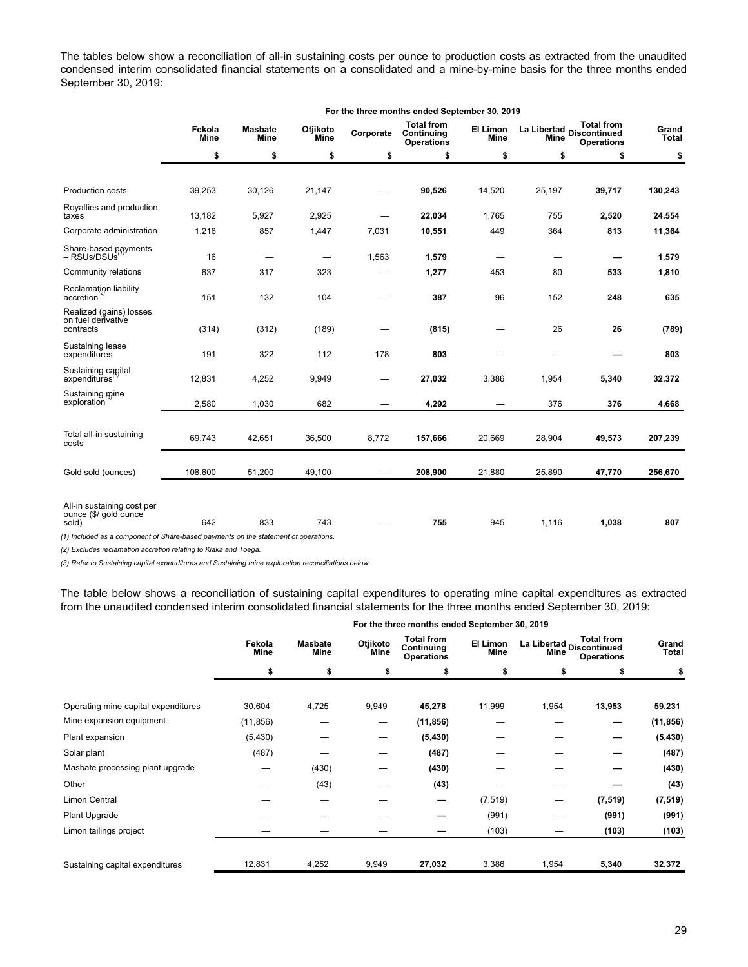The tables below show a reconciliation of all-in sustaining costs per ounce to production costs as extracted from the unaudited condensed interim consolidated financial statements on a consolidated and a mine-by-mine basis for the three months ended September 30, 2019:

**For the three months ended September 30, 2019**

| Fekola<br><b>Mine</b> | <b>Masbate</b><br>Mine | Otjikoto<br><b>Mine</b>  | Corporate                                                                           | <b>Total from</b><br>Continuing<br><b>Operations</b> | El Limon<br><b>Mine</b> | Mine   | <b>Total from</b><br><b>Operations</b> | Grand<br><b>Total</b>       |
|-----------------------|------------------------|--------------------------|-------------------------------------------------------------------------------------|------------------------------------------------------|-------------------------|--------|----------------------------------------|-----------------------------|
| \$                    | \$                     | \$                       | \$                                                                                  | \$                                                   | \$                      | \$     | \$                                     | \$                          |
|                       |                        |                          |                                                                                     |                                                      |                         |        |                                        |                             |
| 39,253                | 30,126                 | 21,147                   |                                                                                     | 90,526                                               | 14,520                  | 25,197 | 39,717                                 | 130,243                     |
| 13,182                | 5,927                  | 2,925                    |                                                                                     | 22,034                                               | 1,765                   | 755    | 2,520                                  | 24,554                      |
| 1,216                 | 857                    | 1,447                    | 7,031                                                                               | 10,551                                               | 449                     | 364    | 813                                    | 11,364                      |
| 16                    |                        | $\overline{\phantom{0}}$ | 1,563                                                                               | 1,579                                                |                         |        |                                        | 1,579                       |
| 637                   | 317                    | 323                      |                                                                                     | 1,277                                                | 453                     | 80     | 533                                    | 1,810                       |
| 151                   | 132                    | 104                      |                                                                                     | 387                                                  | 96                      | 152    | 248                                    | 635                         |
| (314)                 | (312)                  | (189)                    |                                                                                     | (815)                                                |                         | 26     | 26                                     | (789)                       |
| 191                   | 322                    | 112                      | 178                                                                                 | 803                                                  |                         |        |                                        | 803                         |
| 12,831                | 4,252                  | 9,949                    |                                                                                     | 27,032                                               | 3,386                   | 1,954  | 5,340                                  | 32,372                      |
| 2,580                 | 1,030                  | 682                      |                                                                                     | 4,292                                                |                         | 376    | 376                                    | 4,668                       |
|                       |                        |                          |                                                                                     |                                                      |                         |        |                                        |                             |
| 69,743                | 42,651                 | 36,500                   | 8,772                                                                               | 157,666                                              | 20,669                  | 28,904 | 49,573                                 | 207,239                     |
| 108,600               | 51,200                 | 49,100                   |                                                                                     | 208,900                                              | 21,880                  | 25,890 | 47,770                                 | 256,670                     |
| 642                   | 833                    | 743                      |                                                                                     | 755                                                  | 945                     | 1,116  | 1,038                                  | 807                         |
|                       |                        |                          | (1) Included as a component of Share-based payments on the statement of operations. |                                                      |                         |        |                                        | La Libertad<br>Discontinued |

*(2) Excludes reclamation accretion relating to Kiaka and Toega.*

*(3) Refer to Sustaining capital expenditures and Sustaining mine exploration reconciliations below.*

The table below shows a reconciliation of sustaining capital expenditures to operating mine capital expenditures as extracted from the unaudited condensed interim consolidated financial statements for the three months ended September 30, 2019:

|                                     |                |                        |                  | For the three months ended September 30, 2019        |                  |       |                                                                       |           |
|-------------------------------------|----------------|------------------------|------------------|------------------------------------------------------|------------------|-------|-----------------------------------------------------------------------|-----------|
|                                     | Fekola<br>Mine | <b>Masbate</b><br>Mine | Otjikoto<br>Mine | <b>Total from</b><br>Continuing<br><b>Operations</b> | El Limon<br>Mine | Mine  | <b>Total from</b><br>La Libertad<br>Discontinued<br><b>Operations</b> |           |
|                                     | \$             | \$                     | \$               | \$                                                   | \$               | \$    |                                                                       | \$        |
| Operating mine capital expenditures | 30,604         | 4,725                  | 9,949            | 45,278                                               | 11,999           | 1,954 | 13,953                                                                | 59,231    |
| Mine expansion equipment            | (11, 856)      |                        | –                | (11, 856)                                            |                  |       | –                                                                     | (11, 856) |
| Plant expansion                     | (5, 430)       |                        |                  | (5, 430)                                             |                  |       |                                                                       | (5, 430)  |
| Solar plant                         | (487)          |                        |                  | (487)                                                |                  |       |                                                                       | (487)     |
| Masbate processing plant upgrade    |                | (430)                  |                  | (430)                                                |                  |       |                                                                       | (430)     |
| Other                               |                | (43)                   |                  | (43)                                                 |                  |       |                                                                       | (43)      |
| Limon Central                       |                |                        |                  | -                                                    | (7, 519)         | —     | (7, 519)                                                              | (7, 519)  |
| Plant Upgrade                       |                |                        |                  |                                                      | (991)            |       | (991)                                                                 | (991)     |
| Limon tailings project              |                |                        |                  |                                                      | (103)            |       | (103)                                                                 | (103)     |
|                                     |                |                        |                  |                                                      |                  |       |                                                                       |           |
| Sustaining capital expenditures     | 12,831         | 4,252                  | 9,949            | 27,032                                               | 3,386            | 1,954 | 5,340                                                                 | 32,372    |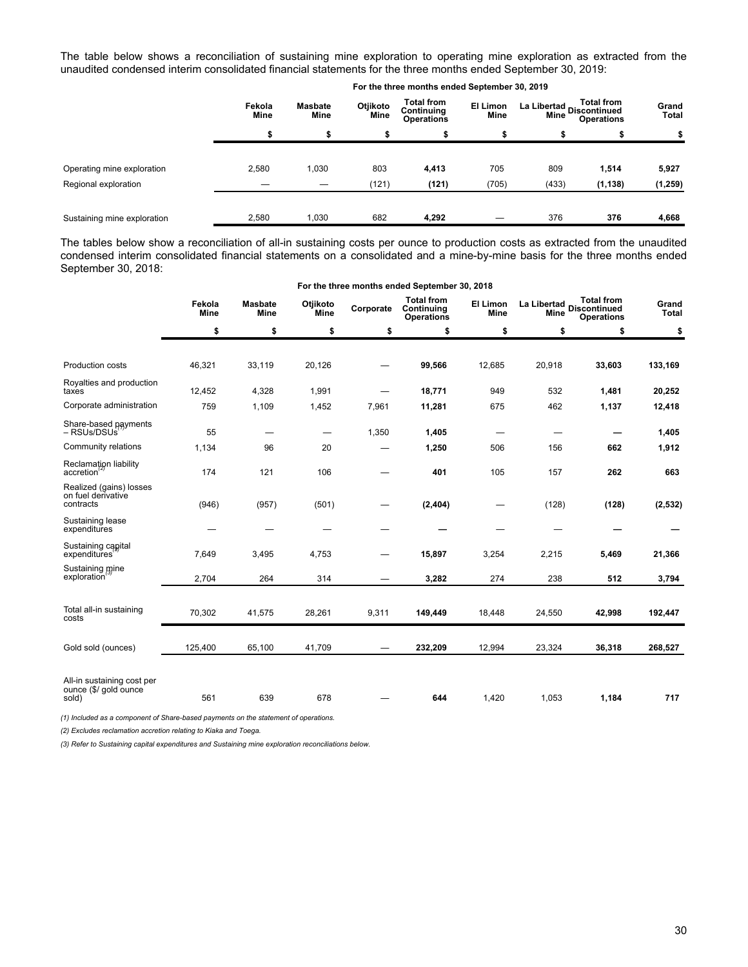The table below shows a reconciliation of sustaining mine exploration to operating mine exploration as extracted from the unaudited condensed interim consolidated financial statements for the three months ended September 30, 2019:

|                             |                       |                               |                  | For the three months ended September 30, 2019        |                  |                                                                            |          |                       |
|-----------------------------|-----------------------|-------------------------------|------------------|------------------------------------------------------|------------------|----------------------------------------------------------------------------|----------|-----------------------|
|                             | Fekola<br><b>Mine</b> | <b>Masbate</b><br><b>Mine</b> | Otjikoto<br>Mine | <b>Total from</b><br>Continuing<br><b>Operations</b> | El Limon<br>Mine | <b>Total from</b><br>La Libertad Discontinued<br>Mine<br><b>Operations</b> |          | Grand<br><b>Total</b> |
|                             | s                     | S                             | æ                |                                                      | ъ                | S                                                                          | æ        | \$                    |
| Operating mine exploration  | 2,580                 | 1,030                         | 803              | 4,413                                                | 705              | 809                                                                        | 1,514    | 5,927                 |
| Regional exploration        |                       |                               | (121)            | (121)                                                | (705)            | (433)                                                                      | (1, 138) | (1, 259)              |
| Sustaining mine exploration | 2,580                 | 1,030                         | 682              | 4,292                                                |                  | 376                                                                        | 376      | 4,668                 |

The tables below show a reconciliation of all-in sustaining costs per ounce to production costs as extracted from the unaudited condensed interim consolidated financial statements on a consolidated and a mine-by-mine basis for the three months ended September 30, 2018:

|                                                              |                |                               |                          |                                   | For the three months ended September 30, 2018        |                         |                          |                                                                             |                       |
|--------------------------------------------------------------|----------------|-------------------------------|--------------------------|-----------------------------------|------------------------------------------------------|-------------------------|--------------------------|-----------------------------------------------------------------------------|-----------------------|
|                                                              | Fekola<br>Mine | <b>Masbate</b><br><b>Mine</b> | Otjikoto<br>Mine         | Corporate                         | <b>Total from</b><br>Continuing<br><b>Operations</b> | El Limon<br><b>Mine</b> |                          | <b>Total from</b><br>La Libertad<br>Aline Discontinued<br><b>Operations</b> | Grand<br><b>Total</b> |
|                                                              | \$             | \$                            | \$                       | \$                                | \$                                                   | \$                      | \$                       | \$                                                                          | \$                    |
|                                                              |                |                               |                          |                                   |                                                      |                         |                          |                                                                             |                       |
| Production costs                                             | 46,321         | 33,119                        | 20,126                   |                                   | 99,566                                               | 12,685                  | 20,918                   | 33,603                                                                      | 133,169               |
| Royalties and production<br>taxes                            | 12,452         | 4,328                         | 1,991                    |                                   | 18,771                                               | 949                     | 532                      | 1,481                                                                       | 20,252                |
| Corporate administration                                     | 759            | 1,109                         | 1,452                    | 7,961                             | 11,281                                               | 675                     | 462                      | 1,137                                                                       | 12,418                |
| Share-based payments<br>– RSUs/DSUs <sup>'</sup>             | 55             |                               | $\overline{\phantom{0}}$ | 1,350                             | 1,405                                                | —                       | $\overline{\phantom{0}}$ |                                                                             | 1,405                 |
| Community relations                                          | 1,134          | 96                            | 20                       |                                   | 1,250                                                | 506                     | 156                      | 662                                                                         | 1,912                 |
| Reclamation liability<br>accretion                           | 174            | 121                           | 106                      |                                   | 401                                                  | 105                     | 157                      | 262                                                                         | 663                   |
| Realized (gains) losses<br>on fuel derivative<br>contracts   | (946)          | (957)                         | (501)                    |                                   | (2, 404)                                             |                         | (128)                    | (128)                                                                       | (2, 532)              |
| Sustaining lease<br>expenditures                             |                |                               |                          |                                   |                                                      |                         |                          |                                                                             |                       |
| Sustaining capital<br>expenditures                           | 7,649          | 3,495                         | 4,753                    |                                   | 15,897                                               | 3,254                   | 2,215                    | 5,469                                                                       | 21,366                |
| Sustaining mine<br>exploration                               | 2,704          | 264                           | 314                      |                                   | 3,282                                                | 274                     | 238                      | 512                                                                         | 3,794                 |
| Total all-in sustaining<br>costs                             | 70,302         | 41,575                        | 28,261                   | 9,311                             | 149,449                                              | 18,448                  | 24,550                   | 42,998                                                                      | 192,447               |
| Gold sold (ounces)                                           | 125,400        | 65,100                        | 41,709                   | $\overbrace{\phantom{123221111}}$ | 232,209                                              | 12,994                  | 23,324                   | 36,318                                                                      | 268,527               |
| All-in sustaining cost per<br>ounce (\$/ gold ounce<br>sold) | 561            | 639                           | 678                      |                                   | 644                                                  | 1,420                   | 1,053                    | 1,184                                                                       | 717                   |

*(1) Included as a component of Share-based payments on the statement of operations.*

*(2) Excludes reclamation accretion relating to Kiaka and Toega.*

*(3) Refer to Sustaining capital expenditures and Sustaining mine exploration reconciliations below.*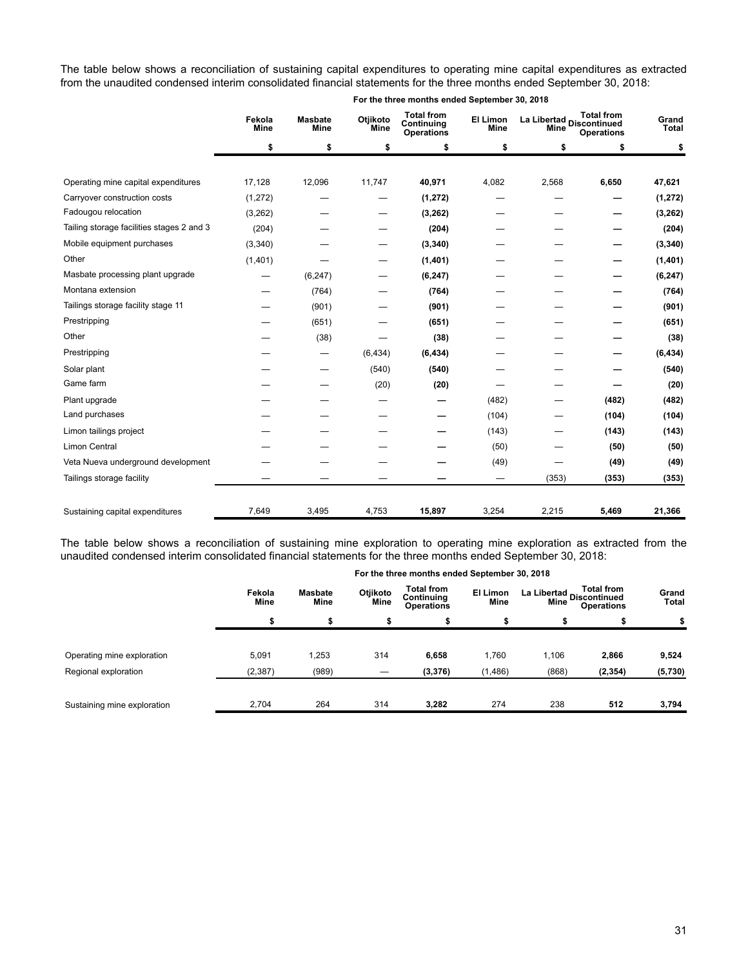The table below shows a reconciliation of sustaining capital expenditures to operating mine capital expenditures as extracted from the unaudited condensed interim consolidated financial statements for the three months ended September 30, 2018:

|                                           | Fekola<br><b>Mine</b> | <b>Masbate</b><br><b>Mine</b> | Otjikoto<br><b>Mine</b> | <b>Total from</b><br>Continuing<br><b>Operations</b> | El Limon<br><b>Mine</b> | La Libertad Discontinued<br><b>Mine</b> | <b>Total from</b><br><b>Operations</b> | Grand<br>Total |
|-------------------------------------------|-----------------------|-------------------------------|-------------------------|------------------------------------------------------|-------------------------|-----------------------------------------|----------------------------------------|----------------|
|                                           | \$                    | \$                            | \$                      | \$                                                   | \$                      | \$                                      | \$                                     | \$             |
| Operating mine capital expenditures       | 17,128                | 12,096                        | 11,747                  | 40,971                                               | 4,082                   | 2,568                                   | 6,650                                  | 47,621         |
| Carryover construction costs              | (1, 272)              |                               | —                       | (1, 272)                                             |                         |                                         |                                        | (1, 272)       |
| Fadougou relocation                       | (3,262)               |                               |                         | (3, 262)                                             |                         |                                         |                                        | (3, 262)       |
| Tailing storage facilities stages 2 and 3 | (204)                 |                               |                         | (204)                                                |                         |                                         |                                        | (204)          |
| Mobile equipment purchases                | (3,340)               |                               |                         | (3, 340)                                             |                         |                                         |                                        | (3, 340)       |
| Other                                     | (1,401)               |                               |                         | (1,401)                                              |                         |                                         |                                        | (1,401)        |
| Masbate processing plant upgrade          | —                     | (6, 247)                      |                         | (6, 247)                                             |                         |                                         |                                        | (6, 247)       |
| Montana extension                         |                       | (764)                         |                         | (764)                                                |                         |                                         |                                        | (764)          |
| Tailings storage facility stage 11        |                       | (901)                         |                         | (901)                                                |                         |                                         |                                        | (901)          |
| Prestripping                              |                       | (651)                         |                         | (651)                                                |                         |                                         |                                        | (651)          |
| Other                                     |                       | (38)                          |                         | (38)                                                 |                         |                                         |                                        | (38)           |
| Prestripping                              |                       | $\overline{\phantom{0}}$      | (6, 434)                | (6, 434)                                             |                         |                                         |                                        | (6, 434)       |
| Solar plant                               |                       |                               | (540)                   | (540)                                                |                         |                                         |                                        | (540)          |
| Game farm                                 |                       |                               | (20)                    | (20)                                                 |                         |                                         |                                        | (20)           |
| Plant upgrade                             |                       |                               |                         |                                                      | (482)                   |                                         | (482)                                  | (482)          |
| Land purchases                            |                       |                               |                         |                                                      | (104)                   |                                         | (104)                                  | (104)          |
| Limon tailings project                    |                       |                               |                         |                                                      | (143)                   |                                         | (143)                                  | (143)          |
| <b>Limon Central</b>                      |                       |                               |                         |                                                      | (50)                    |                                         | (50)                                   | (50)           |
| Veta Nueva underground development        |                       |                               |                         |                                                      | (49)                    |                                         | (49)                                   | (49)           |
| Tailings storage facility                 |                       |                               |                         |                                                      |                         | (353)                                   | (353)                                  | (353)          |
| Sustaining capital expenditures           | 7,649                 | 3,495                         | 4,753                   | 15,897                                               | 3,254                   | 2,215                                   | 5,469                                  | 21,366         |

The table below shows a reconciliation of sustaining mine exploration to operating mine exploration as extracted from the unaudited condensed interim consolidated financial statements for the three months ended September 30, 2018:

|                             |                       |                               |                  | For the three months ended September 30, 2018        |                         |                                                                       |          |                |
|-----------------------------|-----------------------|-------------------------------|------------------|------------------------------------------------------|-------------------------|-----------------------------------------------------------------------|----------|----------------|
|                             | Fekola<br><b>Mine</b> | <b>Masbate</b><br><b>Mine</b> | Otjikoto<br>Mine | <b>Total from</b><br>Continuing<br><b>Operations</b> | El Limon<br><b>Mine</b> | <b>Total from</b><br>La Libertad<br>Discontinued<br><b>Operations</b> |          | Grand<br>Total |
|                             |                       |                               | \$               |                                                      | \$                      | \$                                                                    |          | \$             |
|                             |                       |                               |                  |                                                      |                         |                                                                       |          |                |
| Operating mine exploration  | 5,091                 | 1,253                         | 314              | 6,658                                                | 1,760                   | 1,106                                                                 | 2,866    | 9,524          |
| Regional exploration        | (2, 387)              | (989)                         | –                | (3, 376)                                             | (1, 486)                | (868)                                                                 | (2, 354) | (5,730)        |
|                             |                       |                               |                  |                                                      |                         |                                                                       |          |                |
| Sustaining mine exploration | 2,704                 | 264                           | 314              | 3,282                                                | 274                     | 238                                                                   | 512      | 3,794          |

# **For the three months ended September 30, 2018**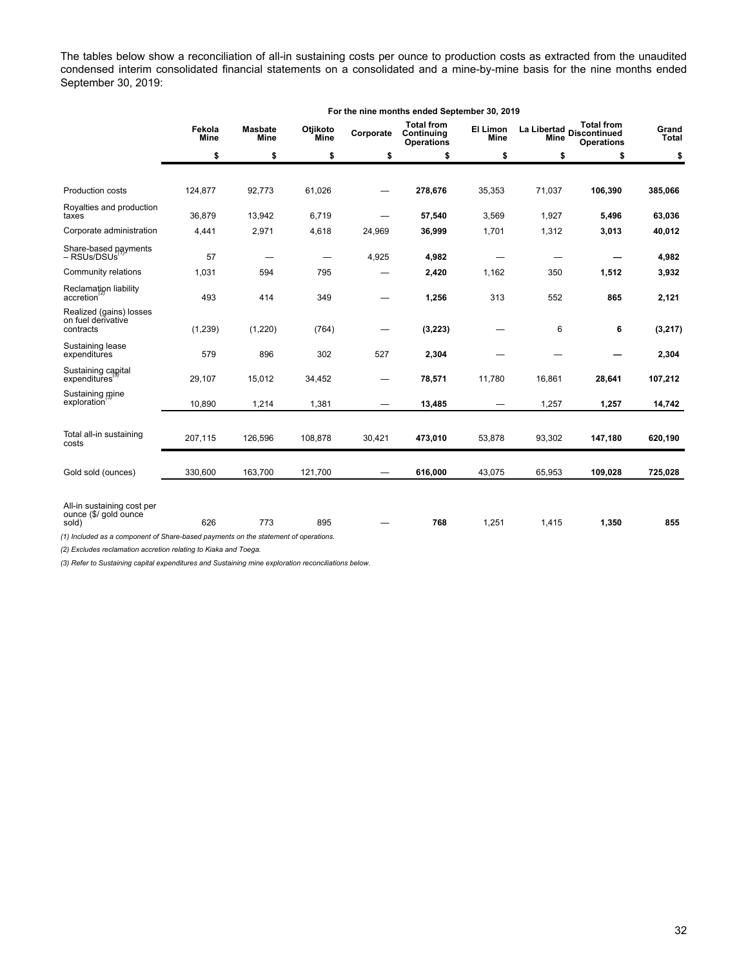The tables below show a reconciliation of all-in sustaining costs per ounce to production costs as extracted from the unaudited condensed interim consolidated financial statements on a consolidated and a mine-by-mine basis for the nine months ended September 30, 2019:

|                                                                                     | For the nine months ended September 30, 2019    |          |                         |           |                                                      |                                |                                                                                             |         |                       |  |
|-------------------------------------------------------------------------------------|-------------------------------------------------|----------|-------------------------|-----------|------------------------------------------------------|--------------------------------|---------------------------------------------------------------------------------------------|---------|-----------------------|--|
|                                                                                     | Fekola<br><b>Masbate</b><br><b>Mine</b><br>Mine |          | Otjikoto<br><b>Mine</b> | Corporate | <b>Total from</b><br>Continuing<br><b>Operations</b> | <b>El Limon</b><br><b>Mine</b> | <b>Total from</b><br>La Libertad<br><b>Discontinued</b><br><b>Mine</b><br><b>Operations</b> |         | Grand<br><b>Total</b> |  |
|                                                                                     | \$                                              | \$       | \$                      | \$        | \$                                                   | \$                             | \$                                                                                          | \$      | \$                    |  |
|                                                                                     |                                                 |          |                         |           |                                                      |                                |                                                                                             |         |                       |  |
| Production costs                                                                    | 124,877                                         | 92,773   | 61,026                  |           | 278,676                                              | 35,353                         | 71,037                                                                                      | 106,390 | 385,066               |  |
| Royalties and production<br>taxes                                                   | 36,879                                          | 13,942   | 6,719                   |           | 57,540                                               | 3,569                          | 1,927                                                                                       | 5,496   | 63,036                |  |
| Corporate administration                                                            | 4,441                                           | 2,971    | 4,618                   | 24,969    | 36,999                                               | 1,701                          | 1,312                                                                                       | 3,013   | 40,012                |  |
| Share-based payments<br>- RSUs/DSUs                                                 | 57                                              |          |                         | 4,925     | 4,982                                                |                                |                                                                                             |         | 4,982                 |  |
| Community relations                                                                 | 1,031                                           | 594      | 795                     |           | 2,420                                                | 1,162                          | 350                                                                                         | 1,512   | 3,932                 |  |
| Reclamation liability<br>accretion                                                  | 493                                             | 414      | 349                     |           | 1,256                                                | 313                            | 552                                                                                         | 865     | 2,121                 |  |
| Realized (gains) losses<br>on fuel derivative<br>contracts                          | (1, 239)                                        | (1, 220) | (764)                   |           | (3, 223)                                             |                                | 6                                                                                           | 6       | (3, 217)              |  |
| Sustaining lease<br>expenditures                                                    | 579                                             | 896      | 302                     | 527       | 2,304                                                |                                |                                                                                             |         | 2,304                 |  |
| Sustaining capital<br>expenditures                                                  | 29,107                                          | 15,012   | 34,452                  |           | 78,571                                               | 11,780                         | 16,861                                                                                      | 28,641  | 107,212               |  |
| Sustaining mine<br>exploration                                                      | 10,890                                          | 1,214    | 1,381                   |           | 13,485                                               | —                              | 1,257                                                                                       | 1,257   | 14,742                |  |
|                                                                                     |                                                 |          |                         |           |                                                      |                                |                                                                                             |         |                       |  |
| Total all-in sustaining<br>costs                                                    | 207,115                                         | 126,596  | 108,878                 | 30,421    | 473,010                                              | 53,878                         | 93,302                                                                                      | 147,180 | 620,190               |  |
| Gold sold (ounces)                                                                  | 330,600                                         | 163,700  | 121,700                 |           | 616,000                                              | 43,075                         | 65,953                                                                                      | 109,028 | 725,028               |  |
| All-in sustaining cost per                                                          |                                                 |          |                         |           |                                                      |                                |                                                                                             |         |                       |  |
| ounce (\$/ gold ounce<br>sold)                                                      | 626                                             | 773      | 895                     |           | 768                                                  | 1,251                          | 1,415                                                                                       | 1,350   | 855                   |  |
| (1) Included as a component of Share-based payments on the statement of operations. |                                                 |          |                         |           |                                                      |                                |                                                                                             |         |                       |  |

*(2) Excludes reclamation accretion relating to Kiaka and Toega.*

*(3) Refer to Sustaining capital expenditures and Sustaining mine exploration reconciliations below.*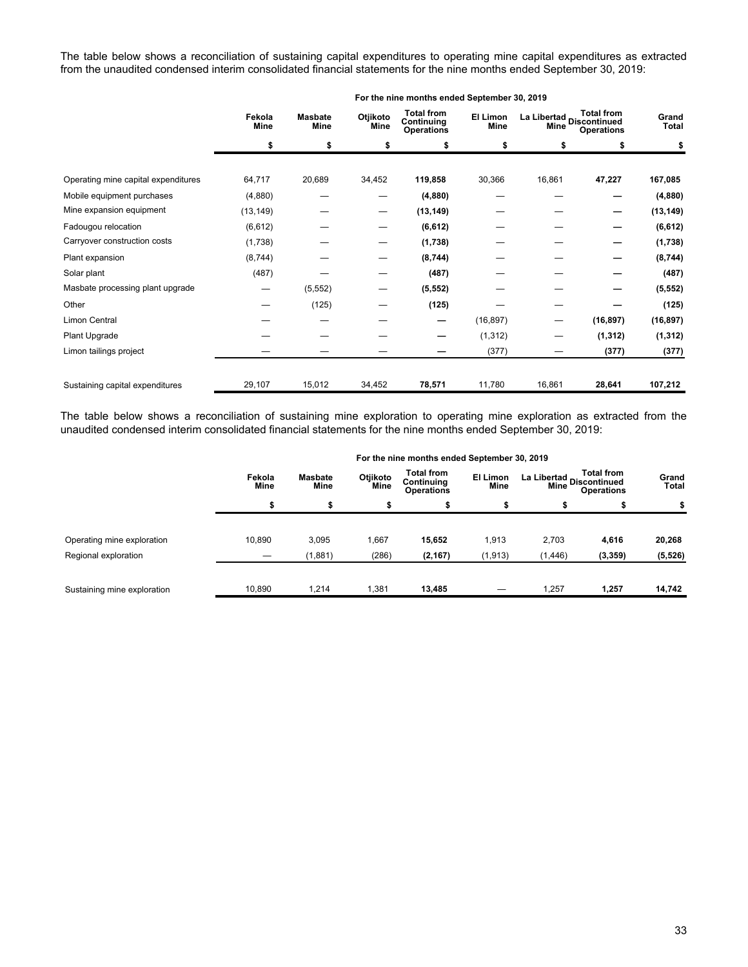The table below shows a reconciliation of sustaining capital expenditures to operating mine capital expenditures as extracted from the unaudited condensed interim consolidated financial statements for the nine months ended September 30, 2019:

|                                     | For the nine months ended September 30, 2019 |                        |                                |                                                      |                  |                                  |                                        |                |  |
|-------------------------------------|----------------------------------------------|------------------------|--------------------------------|------------------------------------------------------|------------------|----------------------------------|----------------------------------------|----------------|--|
|                                     | Fekola<br>Mine                               | <b>Masbate</b><br>Mine | Otjikoto<br>Mine               | <b>Total from</b><br>Continuing<br><b>Operations</b> | El Limon<br>Mine | La Libertad Discontinued<br>Mine | <b>Total from</b><br><b>Operations</b> | Grand<br>Total |  |
|                                     | \$                                           | \$                     | \$                             | \$                                                   | \$               | \$                               | \$                                     | \$             |  |
|                                     |                                              |                        |                                |                                                      |                  |                                  |                                        |                |  |
| Operating mine capital expenditures | 64,717                                       | 20,689                 | 34,452                         | 119,858                                              | 30,366           | 16,861                           | 47,227                                 | 167,085        |  |
| Mobile equipment purchases          | (4,880)                                      |                        |                                | (4,880)                                              |                  |                                  |                                        | (4,880)        |  |
| Mine expansion equipment            | (13, 149)                                    |                        | $\qquad \qquad \longleftarrow$ | (13, 149)                                            |                  |                                  | –                                      | (13, 149)      |  |
| Fadougou relocation                 | (6,612)                                      |                        | —                              | (6, 612)                                             |                  |                                  |                                        | (6, 612)       |  |
| Carryover construction costs        | (1,738)                                      |                        |                                | (1,738)                                              |                  |                                  |                                        | (1,738)        |  |
| Plant expansion                     | (8,744)                                      |                        |                                | (8,744)                                              |                  |                                  |                                        | (8,744)        |  |
| Solar plant                         | (487)                                        |                        |                                | (487)                                                |                  |                                  |                                        | (487)          |  |
| Masbate processing plant upgrade    | —                                            | (5, 552)               |                                | (5, 552)                                             |                  |                                  |                                        | (5, 552)       |  |
| Other                               |                                              | (125)                  |                                | (125)                                                |                  |                                  |                                        | (125)          |  |
| Limon Central                       |                                              |                        |                                | —                                                    | (16, 897)        | $\overline{\phantom{0}}$         | (16, 897)                              | (16, 897)      |  |
| Plant Upgrade                       |                                              |                        |                                |                                                      | (1, 312)         | —                                | (1, 312)                               | (1, 312)       |  |
| Limon tailings project              |                                              |                        |                                |                                                      | (377)            |                                  | (377)                                  | (377)          |  |
| Sustaining capital expenditures     | 29,107                                       | 15,012                 | 34,452                         | 78,571                                               | 11,780           | 16,861                           | 28,641                                 | 107,212        |  |

The table below shows a reconciliation of sustaining mine exploration to operating mine exploration as extracted from the unaudited condensed interim consolidated financial statements for the nine months ended September 30, 2019:

|                             | For the nine months ended September 30, 2019 |                 |                  |                                                      |                  |                                                                       |          |                |  |
|-----------------------------|----------------------------------------------|-----------------|------------------|------------------------------------------------------|------------------|-----------------------------------------------------------------------|----------|----------------|--|
|                             | Fekola<br>Mine                               | Masbate<br>Mine | Otjikoto<br>Mine | <b>Total from</b><br>Continuing<br><b>Operations</b> | El Limon<br>Mine | <b>Total from</b><br>La Libertad<br>Discontinued<br><b>Operations</b> |          | Grand<br>Total |  |
|                             |                                              |                 |                  |                                                      | э                | \$                                                                    |          | \$             |  |
| Operating mine exploration  | 10,890                                       | 3,095           | 1,667            | 15,652                                               | 1,913            | 2,703                                                                 | 4,616    | 20,268         |  |
| Regional exploration        |                                              | (1,881)         | (286)            | (2, 167)                                             | (1, 913)         | (1, 446)                                                              | (3, 359) | (5, 526)       |  |
| Sustaining mine exploration | 10,890                                       | 1,214           | 1,381            | 13,485                                               |                  | 1,257                                                                 | 1,257    | 14,742         |  |

# **For the nine months ended September 30, 2019**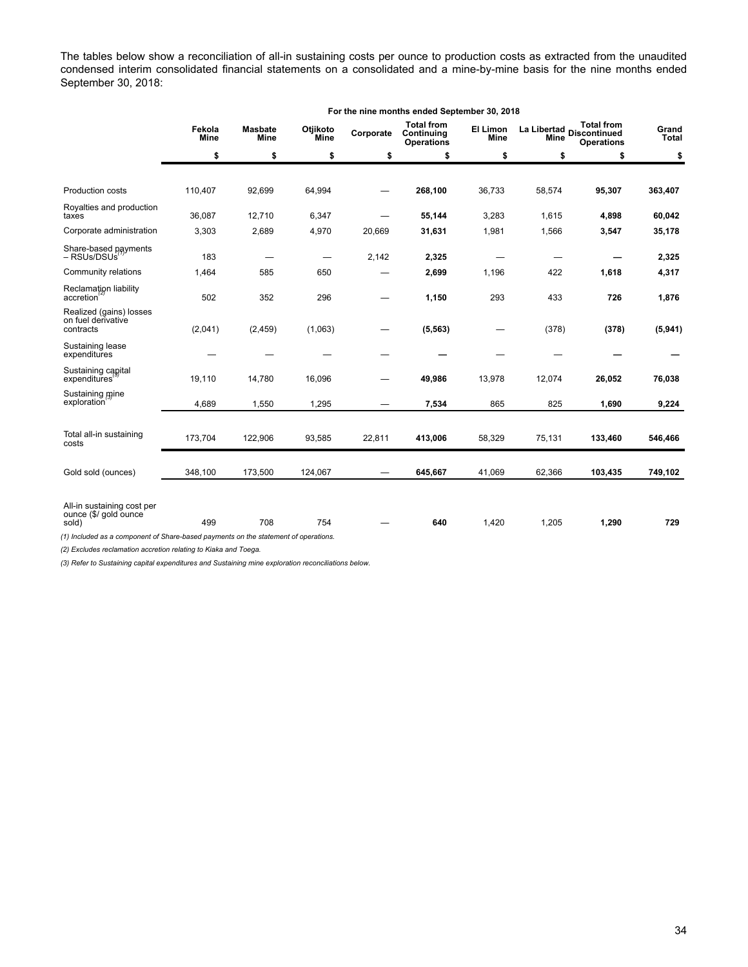The tables below show a reconciliation of all-in sustaining costs per ounce to production costs as extracted from the unaudited condensed interim consolidated financial statements on a consolidated and a mine-by-mine basis for the nine months ended September 30, 2018:

|                                                                                     | For the nine months ended September 30, 2018 |                        |                         |           |                                                      |                                |                            |                                                               |                       |  |
|-------------------------------------------------------------------------------------|----------------------------------------------|------------------------|-------------------------|-----------|------------------------------------------------------|--------------------------------|----------------------------|---------------------------------------------------------------|-----------------------|--|
|                                                                                     | Fekola<br><b>Mine</b>                        | <b>Masbate</b><br>Mine | Otjikoto<br><b>Mine</b> | Corporate | <b>Total from</b><br>Continuing<br><b>Operations</b> | <b>El Limon</b><br><b>Mine</b> | La Libertad<br><b>Mine</b> | <b>Total from</b><br><b>Discontinued</b><br><b>Operations</b> | Grand<br><b>Total</b> |  |
|                                                                                     | \$                                           | \$                     | \$                      | \$        | \$                                                   | \$                             | \$                         | \$                                                            | \$                    |  |
|                                                                                     |                                              |                        |                         |           |                                                      |                                |                            |                                                               |                       |  |
| Production costs                                                                    | 110,407                                      | 92,699                 | 64,994                  |           | 268,100                                              | 36,733                         | 58,574                     | 95,307                                                        | 363,407               |  |
| Royalties and production<br>taxes                                                   | 36,087                                       | 12,710                 | 6,347                   |           | 55,144                                               | 3,283                          | 1,615                      | 4,898                                                         | 60,042                |  |
| Corporate administration                                                            | 3,303                                        | 2,689                  | 4,970                   | 20,669    | 31,631                                               | 1,981                          | 1,566                      | 3,547                                                         | 35,178                |  |
| Share-based payments<br>- RSUs/DSUs                                                 | 183                                          |                        |                         | 2,142     | 2,325                                                |                                |                            |                                                               | 2,325                 |  |
| Community relations                                                                 | 1,464                                        | 585                    | 650                     |           | 2,699                                                | 1,196                          | 422                        | 1,618                                                         | 4,317                 |  |
| Reclamation liability<br>accretion                                                  | 502                                          | 352                    | 296                     |           | 1,150                                                | 293                            | 433                        | 726                                                           | 1,876                 |  |
| Realized (gains) losses<br>on fuel derivative<br>contracts                          | (2,041)                                      | (2, 459)               | (1,063)                 |           | (5, 563)                                             |                                | (378)                      | (378)                                                         | (5,941)               |  |
| Sustaining lease<br>expenditures                                                    |                                              |                        |                         |           |                                                      |                                |                            |                                                               |                       |  |
| Sustaining capital<br>expenditures                                                  | 19,110                                       | 14,780                 | 16,096                  |           | 49,986                                               | 13,978                         | 12,074                     | 26,052                                                        | 76,038                |  |
| Sustaining mine<br>exploration                                                      | 4,689                                        | 1,550                  | 1,295                   |           | 7,534                                                | 865                            | 825                        | 1,690                                                         | 9,224                 |  |
|                                                                                     |                                              |                        |                         |           |                                                      |                                |                            |                                                               |                       |  |
| Total all-in sustaining<br>costs                                                    | 173,704                                      | 122,906                | 93,585                  | 22,811    | 413,006                                              | 58,329                         | 75,131                     | 133,460                                                       | 546,466               |  |
| Gold sold (ounces)                                                                  | 348,100                                      | 173,500                | 124,067                 |           | 645,667                                              | 41,069                         | 62,366                     | 103,435                                                       | 749,102               |  |
| All-in sustaining cost per<br>ounce (\$/ gold ounce<br>sold)                        | 499                                          | 708                    | 754                     |           | 640                                                  | 1,420                          | 1,205                      | 1,290                                                         | 729                   |  |
| (1) Included as a component of Share-based payments on the statement of operations. |                                              |                        |                         |           |                                                      |                                |                            |                                                               |                       |  |

*(2) Excludes reclamation accretion relating to Kiaka and Toega.*

*(3) Refer to Sustaining capital expenditures and Sustaining mine exploration reconciliations below.*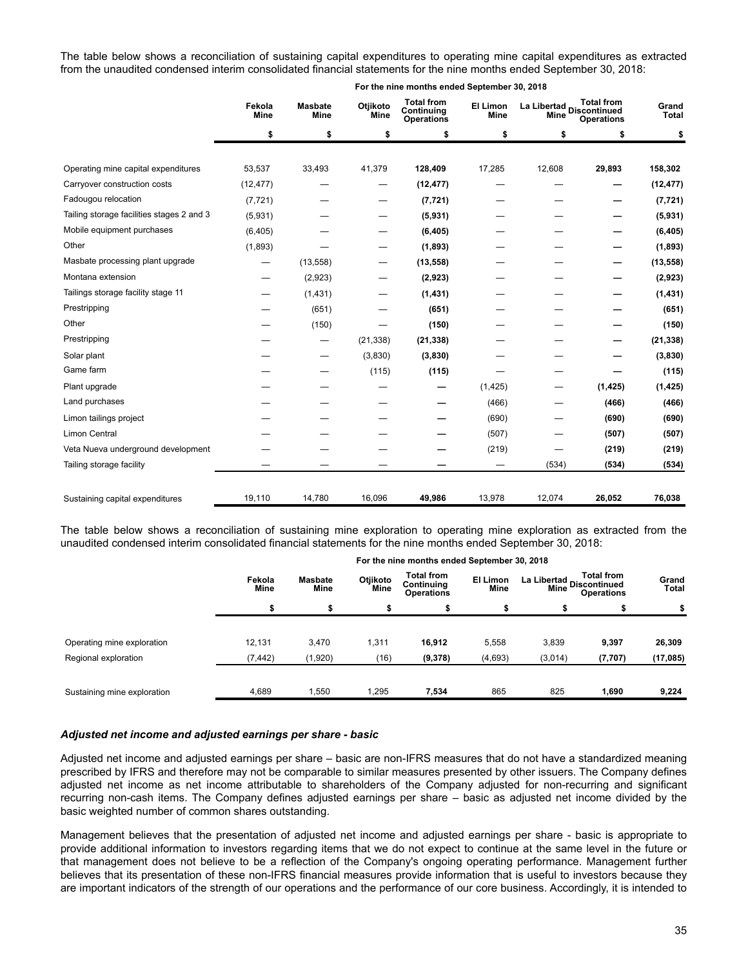The table below shows a reconciliation of sustaining capital expenditures to operating mine capital expenditures as extracted from the unaudited condensed interim consolidated financial statements for the nine months ended September 30, 2018:

|                                           | Fekola<br>Mine | <b>Masbate</b><br>Mine | Otjikoto<br><b>Mine</b>  | <b>Total from</b><br>Continuing<br><b>Operations</b> | El Limon<br>Mine | La Libertad Discontinued<br>Mine | <b>Total from</b><br><b>Operations</b> | Grand<br><b>Total</b> |
|-------------------------------------------|----------------|------------------------|--------------------------|------------------------------------------------------|------------------|----------------------------------|----------------------------------------|-----------------------|
|                                           | \$             | \$                     | \$                       | \$                                                   | \$               | \$                               | \$                                     | \$                    |
| Operating mine capital expenditures       | 53,537         | 33,493                 | 41,379                   | 128,409                                              | 17,285           | 12,608                           | 29,893                                 | 158,302               |
| Carryover construction costs              | (12, 477)      |                        | $\overline{\phantom{0}}$ | (12, 477)                                            |                  |                                  |                                        | (12, 477)             |
| Fadougou relocation                       | (7, 721)       |                        |                          | (7, 721)                                             |                  |                                  |                                        | (7, 721)              |
| Tailing storage facilities stages 2 and 3 | (5,931)        |                        |                          | (5,931)                                              |                  |                                  |                                        | (5,931)               |
| Mobile equipment purchases                | (6, 405)       |                        |                          | (6, 405)                                             |                  |                                  |                                        | (6, 405)              |
| Other                                     | (1,893)        |                        |                          | (1,893)                                              |                  |                                  |                                        | (1,893)               |
| Masbate processing plant upgrade          | —              | (13, 558)              | —                        | (13, 558)                                            |                  |                                  | —                                      | (13, 558)             |
| Montana extension                         |                | (2,923)                |                          | (2,923)                                              |                  |                                  |                                        | (2,923)               |
| Tailings storage facility stage 11        |                | (1,431)                |                          | (1, 431)                                             |                  |                                  |                                        | (1, 431)              |
| Prestripping                              |                | (651)                  |                          | (651)                                                |                  |                                  |                                        | (651)                 |
| Other                                     |                | (150)                  |                          | (150)                                                |                  |                                  |                                        | (150)                 |
| Prestripping                              |                | —                      | (21, 338)                | (21, 338)                                            |                  |                                  |                                        | (21, 338)             |
| Solar plant                               |                | —                      | (3,830)                  | (3,830)                                              |                  |                                  |                                        | (3,830)               |
| Game farm                                 |                |                        | (115)                    | (115)                                                |                  |                                  |                                        | (115)                 |
| Plant upgrade                             |                |                        |                          |                                                      | (1, 425)         | —                                | (1, 425)                               | (1, 425)              |
| Land purchases                            |                |                        |                          |                                                      | (466)            | —                                | (466)                                  | (466)                 |
| Limon tailings project                    |                |                        |                          |                                                      | (690)            |                                  | (690)                                  | (690)                 |
| <b>Limon Central</b>                      |                |                        |                          |                                                      | (507)            |                                  | (507)                                  | (507)                 |
| Veta Nueva underground development        |                |                        |                          |                                                      | (219)            |                                  | (219)                                  | (219)                 |
| Tailing storage facility                  |                |                        |                          |                                                      |                  | (534)                            | (534)                                  | (534)                 |
| Sustaining capital expenditures           | 19,110         | 14,780                 | 16,096                   | 49,986                                               | 13,978           | 12,074                           | 26,052                                 | 76,038                |

**For the nine months ended September 30, 2018**

The table below shows a reconciliation of sustaining mine exploration to operating mine exploration as extracted from the unaudited condensed interim consolidated financial statements for the nine months ended September 30, 2018:

|                             | For the nine months ended September 30, 2018 |                 |                  |                                                      |                  |                                                                    |          |                |  |  |
|-----------------------------|----------------------------------------------|-----------------|------------------|------------------------------------------------------|------------------|--------------------------------------------------------------------|----------|----------------|--|--|
|                             | Fekola<br>Mine                               | Masbate<br>Mine | Otjikoto<br>Mine | <b>Total from</b><br>Continuing<br><b>Operations</b> | El Limon<br>Mine | <b>Total from</b><br>La Libertad<br>Continued<br><b>Operations</b> |          | Grand<br>Total |  |  |
|                             |                                              |                 | \$               |                                                      |                  |                                                                    |          |                |  |  |
|                             |                                              |                 |                  |                                                      |                  |                                                                    |          |                |  |  |
| Operating mine exploration  | 12,131                                       | 3,470           | 1,311            | 16,912                                               | 5,558            | 3,839                                                              | 9,397    | 26,309         |  |  |
| Regional exploration        | (7, 442)                                     | (1,920)         | (16)             | (9,378)                                              | (4,693)          | (3,014)                                                            | (7, 707) | (17,085)       |  |  |
|                             |                                              |                 |                  |                                                      |                  |                                                                    |          |                |  |  |
| Sustaining mine exploration | 4.689                                        | 1.550           | 1.295            | 7,534                                                | 865              | 825                                                                | 1.690    | 9,224          |  |  |

#### *Adjusted net income and adjusted earnings per share - basic*

Adjusted net income and adjusted earnings per share – basic are non-IFRS measures that do not have a standardized meaning prescribed by IFRS and therefore may not be comparable to similar measures presented by other issuers. The Company defines adjusted net income as net income attributable to shareholders of the Company adjusted for non-recurring and significant recurring non-cash items. The Company defines adjusted earnings per share – basic as adjusted net income divided by the basic weighted number of common shares outstanding.

Management believes that the presentation of adjusted net income and adjusted earnings per share - basic is appropriate to provide additional information to investors regarding items that we do not expect to continue at the same level in the future or that management does not believe to be a reflection of the Company's ongoing operating performance. Management further believes that its presentation of these non-IFRS financial measures provide information that is useful to investors because they are important indicators of the strength of our operations and the performance of our core business. Accordingly, it is intended to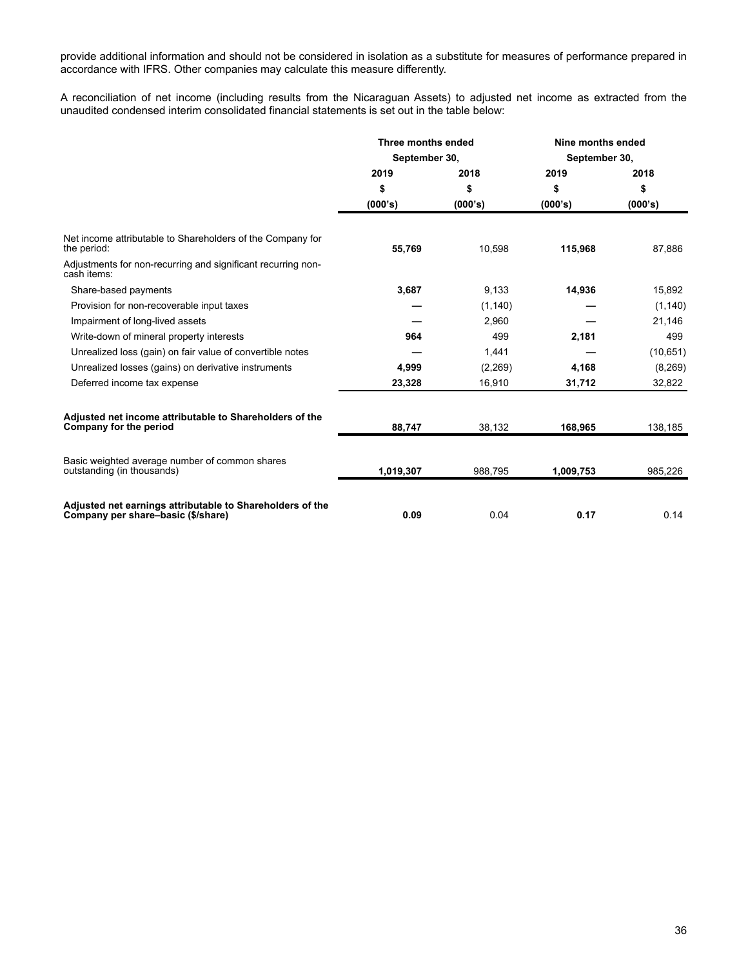provide additional information and should not be considered in isolation as a substitute for measures of performance prepared in accordance with IFRS. Other companies may calculate this measure differently.

A reconciliation of net income (including results from the Nicaraguan Assets) to adjusted net income as extracted from the unaudited condensed interim consolidated financial statements is set out in the table below:

|                                                                                                 | Three months ended |          | Nine months ended |           |  |
|-------------------------------------------------------------------------------------------------|--------------------|----------|-------------------|-----------|--|
|                                                                                                 | September 30,      |          | September 30,     |           |  |
|                                                                                                 | 2019               | 2018     | 2019              | 2018      |  |
|                                                                                                 | \$                 | \$       | \$                | \$        |  |
|                                                                                                 | (000's)            | (000's)  | (000's)           | (000's)   |  |
| Net income attributable to Shareholders of the Company for<br>the period:                       | 55.769             | 10,598   | 115,968           | 87,886    |  |
| Adjustments for non-recurring and significant recurring non-<br>cash items:                     |                    |          |                   |           |  |
| Share-based payments                                                                            | 3,687              | 9,133    | 14,936            | 15,892    |  |
| Provision for non-recoverable input taxes                                                       |                    | (1, 140) |                   | (1, 140)  |  |
| Impairment of long-lived assets                                                                 |                    | 2.960    |                   | 21,146    |  |
| Write-down of mineral property interests                                                        | 964                | 499      | 2,181             | 499       |  |
| Unrealized loss (gain) on fair value of convertible notes                                       |                    | 1,441    |                   | (10, 651) |  |
| Unrealized losses (gains) on derivative instruments                                             | 4,999              | (2,269)  | 4,168             | (8,269)   |  |
| Deferred income tax expense                                                                     | 23,328             | 16,910   | 31,712            | 32,822    |  |
| Adjusted net income attributable to Shareholders of the<br>Company for the period               | 88,747             | 38,132   | 168.965           | 138,185   |  |
| Basic weighted average number of common shares<br>outstanding (in thousands)                    | 1,019,307          | 988.795  | 1,009,753         | 985,226   |  |
| Adjusted net earnings attributable to Shareholders of the<br>Company per share-basic (\$/share) | 0.09               | 0.04     | 0.17              | 0.14      |  |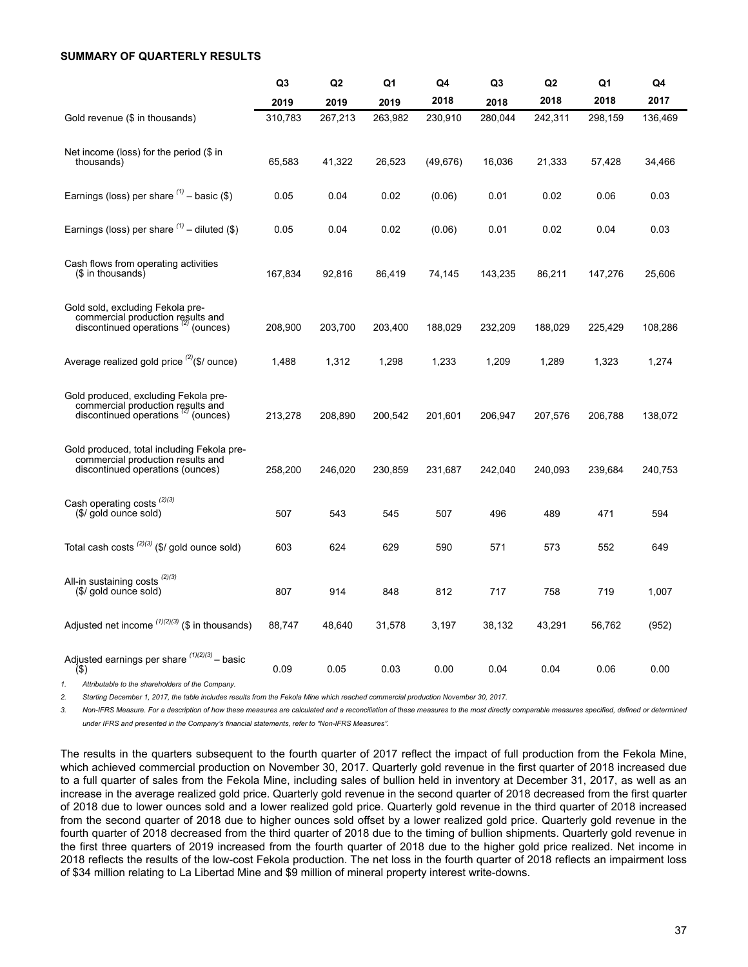# <span id="page-36-0"></span>**SUMMARY OF QUARTERLY RESULTS**

|                                                                                                                          | Q3      | Q <sub>2</sub> | Q1      | Q4        | Q3      | Q2      | Q1      | Q4      |
|--------------------------------------------------------------------------------------------------------------------------|---------|----------------|---------|-----------|---------|---------|---------|---------|
|                                                                                                                          | 2019    | 2019           | 2019    | 2018      | 2018    | 2018    | 2018    | 2017    |
| Gold revenue (\$ in thousands)                                                                                           | 310,783 | 267,213        | 263,982 | 230,910   | 280,044 | 242,311 | 298,159 | 136,469 |
| Net income (loss) for the period $(\$$ in<br>thousands)                                                                  | 65,583  | 41,322         | 26,523  | (49, 676) | 16,036  | 21,333  | 57,428  | 34,466  |
| Earnings (loss) per share $(1)$ – basic (\$)                                                                             | 0.05    | 0.04           | 0.02    | (0.06)    | 0.01    | 0.02    | 0.06    | 0.03    |
| Earnings (loss) per share $(1)$ – diluted (\$)                                                                           | 0.05    | 0.04           | 0.02    | (0.06)    | 0.01    | 0.02    | 0.04    | 0.03    |
| Cash flows from operating activities<br>(\$ in thousands)                                                                | 167,834 | 92,816         | 86,419  | 74,145    | 143,235 | 86,211  | 147,276 | 25,606  |
| Gold sold, excluding Fekola pre-<br>commercial production results and<br>discontinued operations <sup>(2)</sup> (ounces) | 208,900 | 203,700        | 203,400 | 188,029   | 232,209 | 188,029 | 225,429 | 108,286 |
| Average realized gold price $(2)(\frac{1}{2})$ ounce)                                                                    | 1,488   | 1,312          | 1,298   | 1,233     | 1,209   | 1,289   | 1,323   | 1,274   |
| Gold produced, excluding Fekola pre-<br>commercial production results and<br>discontinued operations " (ounces)          | 213,278 | 208,890        | 200,542 | 201,601   | 206,947 | 207,576 | 206,788 | 138,072 |
| Gold produced, total including Fekola pre-<br>commercial production results and<br>discontinued operations (ounces)      | 258,200 | 246,020        | 230,859 | 231,687   | 242,040 | 240.093 | 239,684 | 240,753 |
| Cash operating costs <sup>(2)(3)</sup><br>(\$/ gold ounce sold)                                                          | 507     | 543            | 545     | 507       | 496     | 489     | 471     | 594     |
| Total cash costs $^{(2)(3)}$ (\$/ gold ounce sold)                                                                       | 603     | 624            | 629     | 590       | 571     | 573     | 552     | 649     |
| All-in sustaining costs <sup>(2)(3)</sup><br>(\$/ gold ounce sold)                                                       | 807     | 914            | 848     | 812       | 717     | 758     | 719     | 1,007   |
| Adjusted net income $(1)(2)(3)$ (\$ in thousands)                                                                        | 88,747  | 48,640         | 31,578  | 3,197     | 38,132  | 43,291  | 56,762  | (952)   |
| Adjusted earnings per share $(1)(2)(3)$ - basic<br>$($ \$)                                                               | 0.09    | 0.05           | 0.03    | 0.00      | 0.04    | 0.04    | 0.06    | 0.00    |

*1. Attributable to the shareholders of the Company.*

2. Starting December 1, 2017, the table includes results from the Fekola Mine which reached commercial production November 30, 2017.

3. Non-IFRS Measure. For a description of how these measures are calculated and a reconciliation of these measures to the most directly comparable measures specified, defined or determined *under IFRS and presented in the Company's financial statements, refer to "Non-IFRS Measures".*

The results in the quarters subsequent to the fourth quarter of 2017 reflect the impact of full production from the Fekola Mine, which achieved commercial production on November 30, 2017. Quarterly gold revenue in the first quarter of 2018 increased due to a full quarter of sales from the Fekola Mine, including sales of bullion held in inventory at December 31, 2017, as well as an increase in the average realized gold price. Quarterly gold revenue in the second quarter of 2018 decreased from the first quarter of 2018 due to lower ounces sold and a lower realized gold price. Quarterly gold revenue in the third quarter of 2018 increased from the second quarter of 2018 due to higher ounces sold offset by a lower realized gold price. Quarterly gold revenue in the fourth quarter of 2018 decreased from the third quarter of 2018 due to the timing of bullion shipments. Quarterly gold revenue in the first three quarters of 2019 increased from the fourth quarter of 2018 due to the higher gold price realized. Net income in 2018 reflects the results of the low-cost Fekola production. The net loss in the fourth quarter of 2018 reflects an impairment loss of \$34 million relating to La Libertad Mine and \$9 million of mineral property interest write-downs.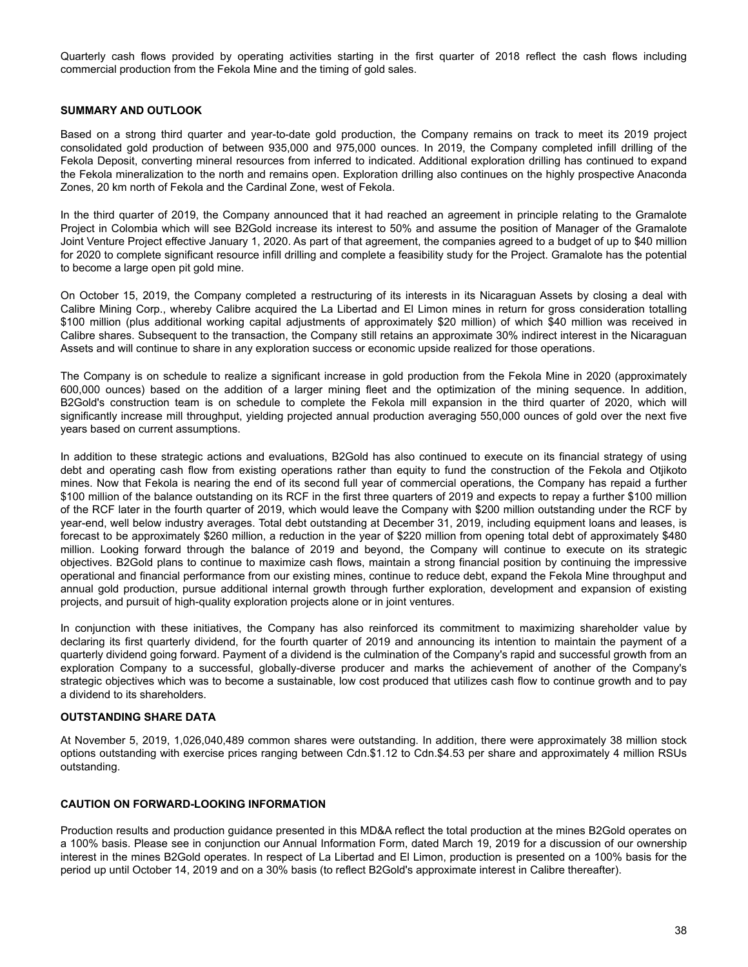<span id="page-37-0"></span>Quarterly cash flows provided by operating activities starting in the first quarter of 2018 reflect the cash flows including commercial production from the Fekola Mine and the timing of gold sales.

# **SUMMARY AND OUTLOOK**

Based on a strong third quarter and year-to-date gold production, the Company remains on track to meet its 2019 project consolidated gold production of between 935,000 and 975,000 ounces. In 2019, the Company completed infill drilling of the Fekola Deposit, converting mineral resources from inferred to indicated. Additional exploration drilling has continued to expand the Fekola mineralization to the north and remains open. Exploration drilling also continues on the highly prospective Anaconda Zones, 20 km north of Fekola and the Cardinal Zone, west of Fekola.

In the third quarter of 2019, the Company announced that it had reached an agreement in principle relating to the Gramalote Project in Colombia which will see B2Gold increase its interest to 50% and assume the position of Manager of the Gramalote Joint Venture Project effective January 1, 2020. As part of that agreement, the companies agreed to a budget of up to \$40 million for 2020 to complete significant resource infill drilling and complete a feasibility study for the Project. Gramalote has the potential to become a large open pit gold mine.

On October 15, 2019, the Company completed a restructuring of its interests in its Nicaraguan Assets by closing a deal with Calibre Mining Corp., whereby Calibre acquired the La Libertad and El Limon mines in return for gross consideration totalling \$100 million (plus additional working capital adjustments of approximately \$20 million) of which \$40 million was received in Calibre shares. Subsequent to the transaction, the Company still retains an approximate 30% indirect interest in the Nicaraguan Assets and will continue to share in any exploration success or economic upside realized for those operations.

The Company is on schedule to realize a significant increase in gold production from the Fekola Mine in 2020 (approximately 600,000 ounces) based on the addition of a larger mining fleet and the optimization of the mining sequence. In addition, B2Gold's construction team is on schedule to complete the Fekola mill expansion in the third quarter of 2020, which will significantly increase mill throughput, yielding projected annual production averaging 550,000 ounces of gold over the next five years based on current assumptions.

In addition to these strategic actions and evaluations, B2Gold has also continued to execute on its financial strategy of using debt and operating cash flow from existing operations rather than equity to fund the construction of the Fekola and Otjikoto mines. Now that Fekola is nearing the end of its second full year of commercial operations, the Company has repaid a further \$100 million of the balance outstanding on its RCF in the first three quarters of 2019 and expects to repay a further \$100 million of the RCF later in the fourth quarter of 2019, which would leave the Company with \$200 million outstanding under the RCF by year-end, well below industry averages. Total debt outstanding at December 31, 2019, including equipment loans and leases, is forecast to be approximately \$260 million, a reduction in the year of \$220 million from opening total debt of approximately \$480 million. Looking forward through the balance of 2019 and beyond, the Company will continue to execute on its strategic objectives. B2Gold plans to continue to maximize cash flows, maintain a strong financial position by continuing the impressive operational and financial performance from our existing mines, continue to reduce debt, expand the Fekola Mine throughput and annual gold production, pursue additional internal growth through further exploration, development and expansion of existing projects, and pursuit of high-quality exploration projects alone or in joint ventures.

In conjunction with these initiatives, the Company has also reinforced its commitment to maximizing shareholder value by declaring its first quarterly dividend, for the fourth quarter of 2019 and announcing its intention to maintain the payment of a quarterly dividend going forward. Payment of a dividend is the culmination of the Company's rapid and successful growth from an exploration Company to a successful, globally-diverse producer and marks the achievement of another of the Company's strategic objectives which was to become a sustainable, low cost produced that utilizes cash flow to continue growth and to pay a dividend to its shareholders.

# **OUTSTANDING SHARE DATA**

At November 5, 2019, 1,026,040,489 common shares were outstanding. In addition, there were approximately 38 million stock options outstanding with exercise prices ranging between Cdn.\$1.12 to Cdn.\$4.53 per share and approximately 4 million RSUs outstanding.

# **CAUTION ON FORWARD-LOOKING INFORMATION**

Production results and production guidance presented in this MD&A reflect the total production at the mines B2Gold operates on a 100% basis. Please see in conjunction our Annual Information Form, dated March 19, 2019 for a discussion of our ownership interest in the mines B2Gold operates. In respect of La Libertad and El Limon, production is presented on a 100% basis for the period up until October 14, 2019 and on a 30% basis (to reflect B2Gold's approximate interest in Calibre thereafter).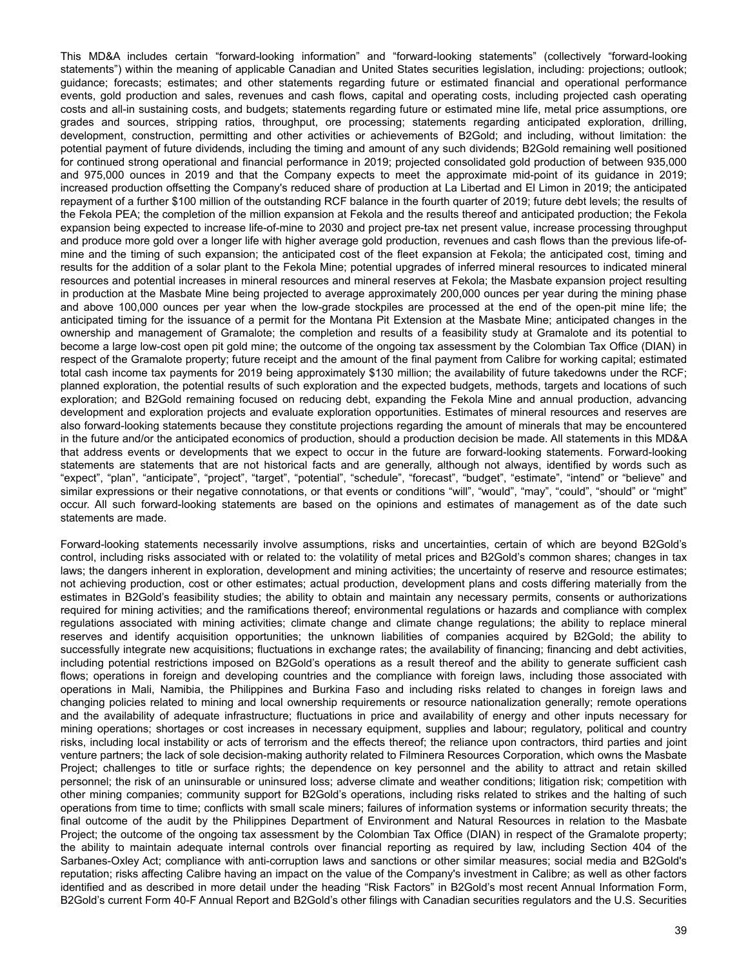This MD&A includes certain "forward-looking information" and "forward-looking statements" (collectively "forward-looking statements") within the meaning of applicable Canadian and United States securities legislation, including: projections; outlook; guidance; forecasts; estimates; and other statements regarding future or estimated financial and operational performance events, gold production and sales, revenues and cash flows, capital and operating costs, including projected cash operating costs and all-in sustaining costs, and budgets; statements regarding future or estimated mine life, metal price assumptions, ore grades and sources, stripping ratios, throughput, ore processing; statements regarding anticipated exploration, drilling, development, construction, permitting and other activities or achievements of B2Gold; and including, without limitation: the potential payment of future dividends, including the timing and amount of any such dividends; B2Gold remaining well positioned for continued strong operational and financial performance in 2019; projected consolidated gold production of between 935,000 and 975,000 ounces in 2019 and that the Company expects to meet the approximate mid-point of its guidance in 2019; increased production offsetting the Company's reduced share of production at La Libertad and El Limon in 2019; the anticipated repayment of a further \$100 million of the outstanding RCF balance in the fourth quarter of 2019; future debt levels; the results of the Fekola PEA; the completion of the million expansion at Fekola and the results thereof and anticipated production; the Fekola expansion being expected to increase life-of-mine to 2030 and project pre-tax net present value, increase processing throughput and produce more gold over a longer life with higher average gold production, revenues and cash flows than the previous life-ofmine and the timing of such expansion; the anticipated cost of the fleet expansion at Fekola; the anticipated cost, timing and results for the addition of a solar plant to the Fekola Mine; potential upgrades of inferred mineral resources to indicated mineral resources and potential increases in mineral resources and mineral reserves at Fekola; the Masbate expansion project resulting in production at the Masbate Mine being projected to average approximately 200,000 ounces per year during the mining phase and above 100,000 ounces per year when the low-grade stockpiles are processed at the end of the open-pit mine life; the anticipated timing for the issuance of a permit for the Montana Pit Extension at the Masbate Mine; anticipated changes in the ownership and management of Gramalote; the completion and results of a feasibility study at Gramalote and its potential to become a large low-cost open pit gold mine; the outcome of the ongoing tax assessment by the Colombian Tax Office (DIAN) in respect of the Gramalote property; future receipt and the amount of the final payment from Calibre for working capital; estimated total cash income tax payments for 2019 being approximately \$130 million; the availability of future takedowns under the RCF; planned exploration, the potential results of such exploration and the expected budgets, methods, targets and locations of such exploration; and B2Gold remaining focused on reducing debt, expanding the Fekola Mine and annual production, advancing development and exploration projects and evaluate exploration opportunities. Estimates of mineral resources and reserves are also forward-looking statements because they constitute projections regarding the amount of minerals that may be encountered in the future and/or the anticipated economics of production, should a production decision be made. All statements in this MD&A that address events or developments that we expect to occur in the future are forward-looking statements. Forward-looking statements are statements that are not historical facts and are generally, although not always, identified by words such as "expect", "plan", "anticipate", "project", "target", "potential", "schedule", "forecast", "budget", "estimate", "intend" or "believe" and similar expressions or their negative connotations, or that events or conditions "will", "would", "may", "could", "should" or "might" occur. All such forward-looking statements are based on the opinions and estimates of management as of the date such statements are made.

Forward-looking statements necessarily involve assumptions, risks and uncertainties, certain of which are beyond B2Gold's control, including risks associated with or related to: the volatility of metal prices and B2Gold's common shares; changes in tax laws; the dangers inherent in exploration, development and mining activities; the uncertainty of reserve and resource estimates; not achieving production, cost or other estimates; actual production, development plans and costs differing materially from the estimates in B2Gold's feasibility studies; the ability to obtain and maintain any necessary permits, consents or authorizations required for mining activities; and the ramifications thereof; environmental regulations or hazards and compliance with complex regulations associated with mining activities; climate change and climate change regulations; the ability to replace mineral reserves and identify acquisition opportunities; the unknown liabilities of companies acquired by B2Gold; the ability to successfully integrate new acquisitions; fluctuations in exchange rates; the availability of financing; financing and debt activities, including potential restrictions imposed on B2Gold's operations as a result thereof and the ability to generate sufficient cash flows; operations in foreign and developing countries and the compliance with foreign laws, including those associated with operations in Mali, Namibia, the Philippines and Burkina Faso and including risks related to changes in foreign laws and changing policies related to mining and local ownership requirements or resource nationalization generally; remote operations and the availability of adequate infrastructure; fluctuations in price and availability of energy and other inputs necessary for mining operations; shortages or cost increases in necessary equipment, supplies and labour; regulatory, political and country risks, including local instability or acts of terrorism and the effects thereof; the reliance upon contractors, third parties and joint venture partners; the lack of sole decision-making authority related to Filminera Resources Corporation, which owns the Masbate Project; challenges to title or surface rights; the dependence on key personnel and the ability to attract and retain skilled personnel; the risk of an uninsurable or uninsured loss; adverse climate and weather conditions; litigation risk; competition with other mining companies; community support for B2Gold's operations, including risks related to strikes and the halting of such operations from time to time; conflicts with small scale miners; failures of information systems or information security threats; the final outcome of the audit by the Philippines Department of Environment and Natural Resources in relation to the Masbate Project; the outcome of the ongoing tax assessment by the Colombian Tax Office (DIAN) in respect of the Gramalote property; the ability to maintain adequate internal controls over financial reporting as required by law, including Section 404 of the Sarbanes-Oxley Act; compliance with anti-corruption laws and sanctions or other similar measures; social media and B2Gold's reputation; risks affecting Calibre having an impact on the value of the Company's investment in Calibre; as well as other factors identified and as described in more detail under the heading "Risk Factors" in B2Gold's most recent Annual Information Form, B2Gold's current Form 40-F Annual Report and B2Gold's other filings with Canadian securities regulators and the U.S. Securities